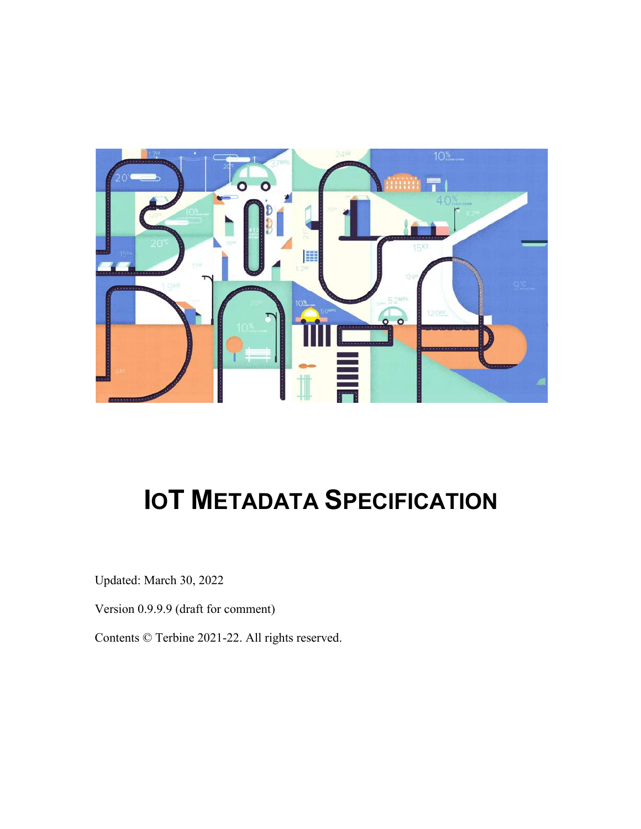

# **IOT METADATA SPECIFICATION**

Updated: March 30, 2022

Version 0.9.9.9 (draft for comment)

Contents © Terbine 2021-22. All rights reserved.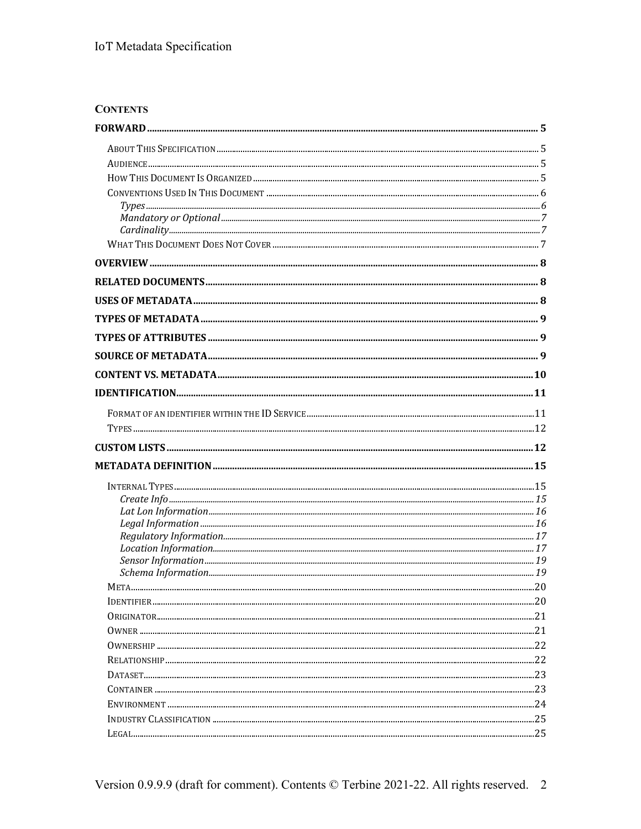# **CONTENTS**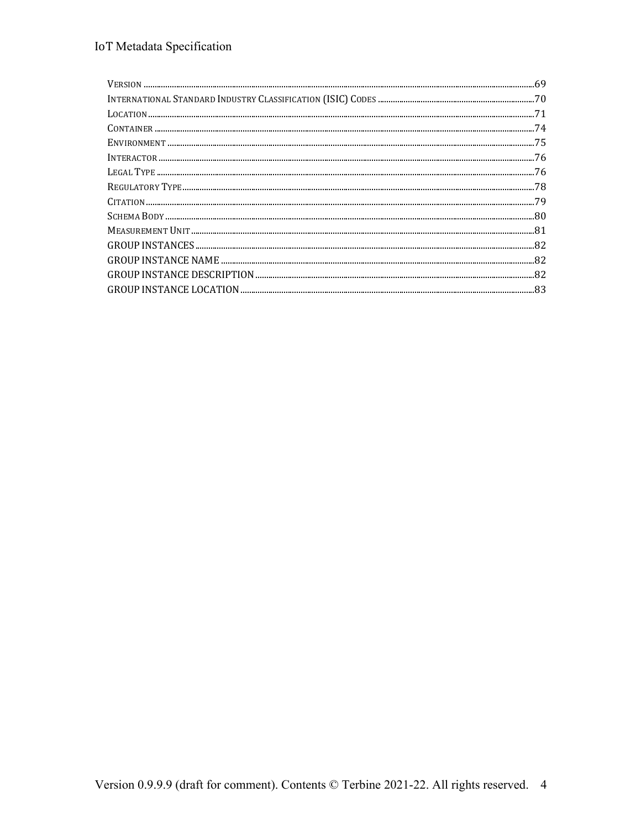| $\frac{1}{1} \text{NTERACTOR} \text{} \text{} \text{} \text{} \text{} \text{} \text{} \text{} \text{} \text{} \text{} \text{} \text{} \text{} \text{} \text{} \text{} \text{} \text{} \text{} \text{} \text{} \text{} \text{} \text{} \text{} \text{} \text{} \text{} \text{} \text{} \text{} \text{} \text$ |     |
|--------------------------------------------------------------------------------------------------------------------------------------------------------------------------------------------------------------------------------------------------------------------------------------------------------------|-----|
|                                                                                                                                                                                                                                                                                                              | 76  |
|                                                                                                                                                                                                                                                                                                              | -78 |
|                                                                                                                                                                                                                                                                                                              |     |
|                                                                                                                                                                                                                                                                                                              |     |
|                                                                                                                                                                                                                                                                                                              |     |
|                                                                                                                                                                                                                                                                                                              |     |
|                                                                                                                                                                                                                                                                                                              |     |
|                                                                                                                                                                                                                                                                                                              | -82 |
|                                                                                                                                                                                                                                                                                                              |     |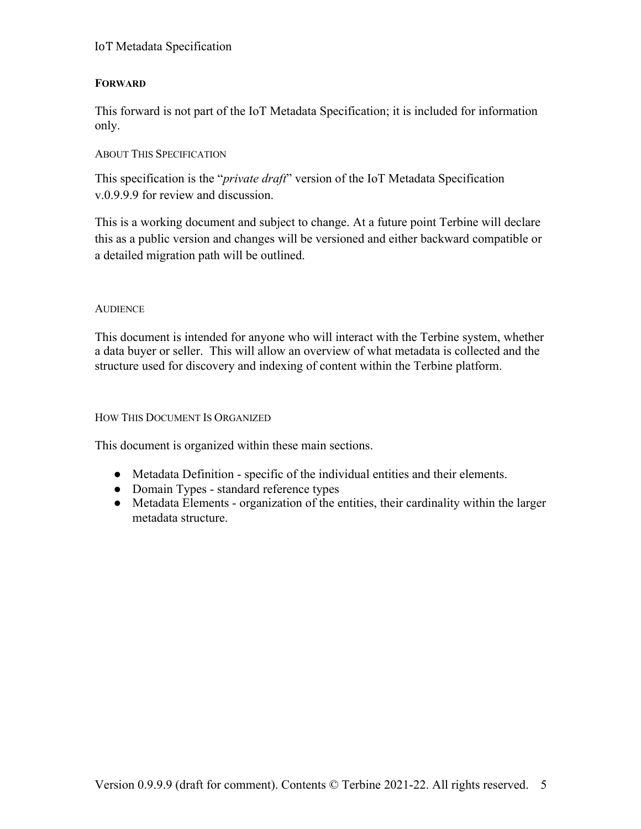# **FORWARD**

This forward is not part of the IoT Metadata Specification; it is included for information only.

# ABOUT THIS SPECIFICATION

This specification is the "*private draft*" version of the IoT Metadata Specification v.0.9.9.9 for review and discussion.

This is a working document and subject to change. At a future point Terbine will declare this as a public version and changes will be versioned and either backward compatible or a detailed migration path will be outlined.

# **AUDIENCE**

This document is intended for anyone who will interact with the Terbine system, whether a data buyer or seller. This will allow an overview of what metadata is collected and the structure used for discovery and indexing of content within the Terbine platform.

#### HOW THIS DOCUMENT IS ORGANIZED

This document is organized within these main sections.

- Metadata Definition specific of the individual entities and their elements.
- Domain Types standard reference types
- Metadata Elements organization of the entities, their cardinality within the larger metadata structure.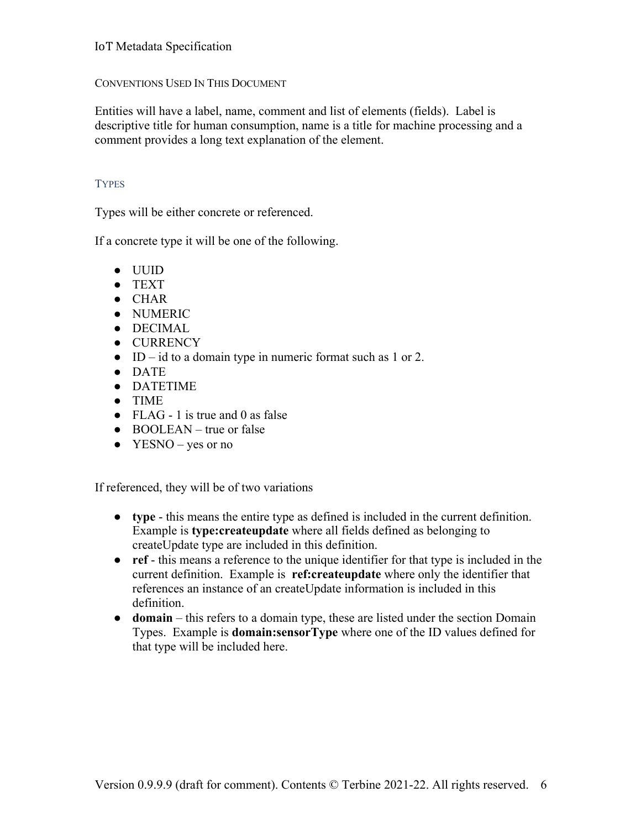# CONVENTIONS USED IN THIS DOCUMENT

Entities will have a label, name, comment and list of elements (fields). Label is descriptive title for human consumption, name is a title for machine processing and a comment provides a long text explanation of the element.

# **TYPES**

Types will be either concrete or referenced.

If a concrete type it will be one of the following.

- UUID
- TEXT
- CHAR
- NUMERIC
- DECIMAL
- CURRENCY
- $\bullet$  ID id to a domain type in numeric format such as 1 or 2.
- DATE
- DATETIME
- TIME
- FLAG 1 is true and 0 as false
- $\bullet$  BOOLEAN true or false
- $\bullet$  YESNO yes or no

If referenced, they will be of two variations

- **type** this means the entire type as defined is included in the current definition. Example is **type:createupdate** where all fields defined as belonging to createUpdate type are included in this definition.
- **ref** this means a reference to the unique identifier for that type is included in the current definition. Example is **ref:createupdate** where only the identifier that references an instance of an createUpdate information is included in this definition.
- **domain** this refers to a domain type, these are listed under the section Domain Types. Example is **domain:sensorType** where one of the ID values defined for that type will be included here.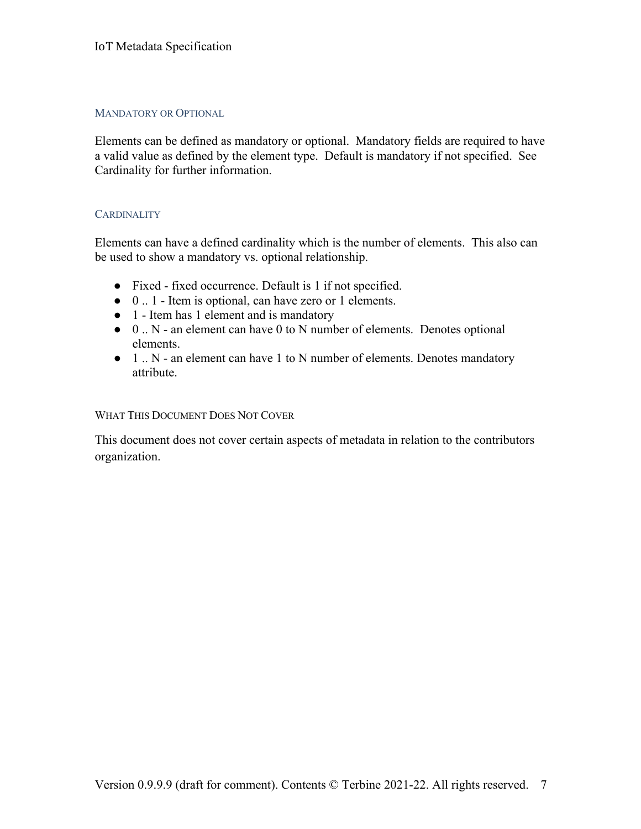## MANDATORY OR OPTIONAL

Elements can be defined as mandatory or optional. Mandatory fields are required to have a valid value as defined by the element type. Default is mandatory if not specified. See Cardinality for further information.

#### **CARDINALITY**

Elements can have a defined cardinality which is the number of elements. This also can be used to show a mandatory vs. optional relationship.

- Fixed fixed occurrence. Default is 1 if not specified.
- 0 .. 1 Item is optional, can have zero or 1 elements.
- 1 Item has 1 element and is mandatory
- 0 .. N an element can have 0 to N number of elements. Denotes optional elements.
- 1 .. N an element can have 1 to N number of elements. Denotes mandatory attribute.

#### WHAT THIS DOCUMENT DOES NOT COVER

This document does not cover certain aspects of metadata in relation to the contributors organization.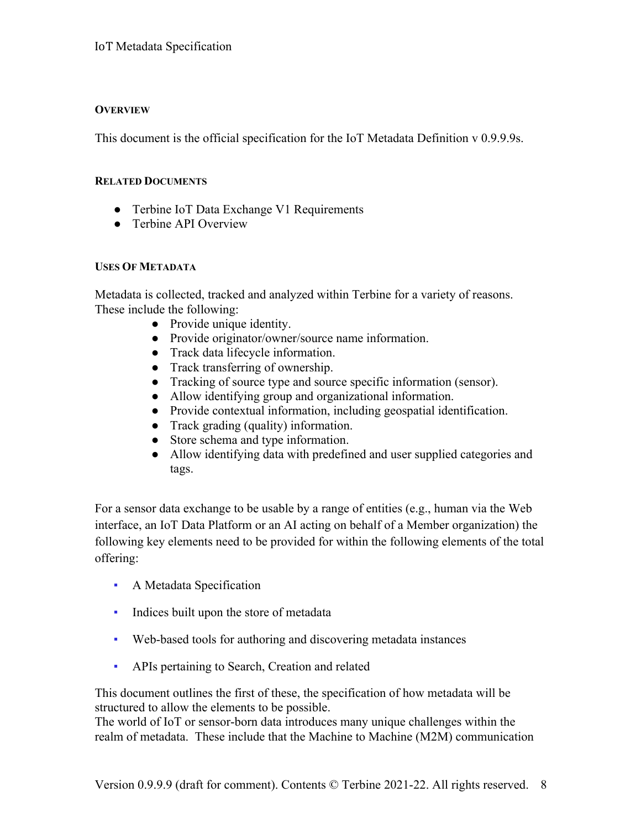# **OVERVIEW**

This document is the official specification for the IoT Metadata Definition v 0.9.9.9s.

# **RELATED DOCUMENTS**

- Terbine IoT Data Exchange V1 Requirements
- Terbine API Overview

# **USES OF METADATA**

Metadata is collected, tracked and analyzed within Terbine for a variety of reasons. These include the following:

- Provide unique identity.
- Provide originator/owner/source name information.
- Track data lifecycle information.
- Track transferring of ownership.
- Tracking of source type and source specific information (sensor).
- Allow identifying group and organizational information.
- Provide contextual information, including geospatial identification.
- Track grading (quality) information.
- Store schema and type information.
- Allow identifying data with predefined and user supplied categories and tags.

For a sensor data exchange to be usable by a range of entities (e.g., human via the Web interface, an IoT Data Platform or an AI acting on behalf of a Member organization) the following key elements need to be provided for within the following elements of the total offering:

- A Metadata Specification
- **•** Indices built upon the store of metadata
- Web-based tools for authoring and discovering metadata instances
- **APIs pertaining to Search, Creation and related**

This document outlines the first of these, the specification of how metadata will be structured to allow the elements to be possible.

The world of IoT or sensor-born data introduces many unique challenges within the realm of metadata. These include that the Machine to Machine (M2M) communication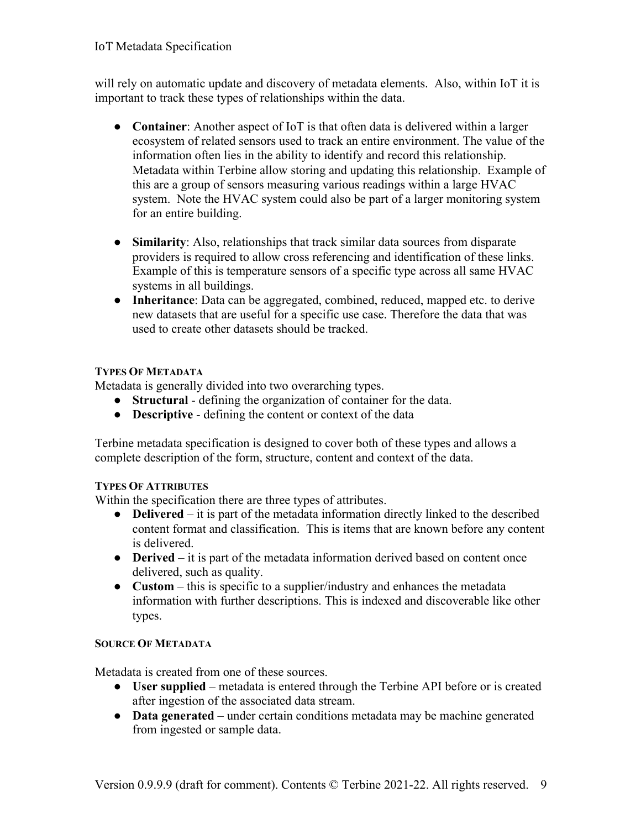will rely on automatic update and discovery of metadata elements. Also, within IoT it is important to track these types of relationships within the data.

- **Container**: Another aspect of IoT is that often data is delivered within a larger ecosystem of related sensors used to track an entire environment. The value of the information often lies in the ability to identify and record this relationship. Metadata within Terbine allow storing and updating this relationship. Example of this are a group of sensors measuring various readings within a large HVAC system. Note the HVAC system could also be part of a larger monitoring system for an entire building.
- **Similarity**: Also, relationships that track similar data sources from disparate providers is required to allow cross referencing and identification of these links. Example of this is temperature sensors of a specific type across all same HVAC systems in all buildings.
- **Inheritance**: Data can be aggregated, combined, reduced, mapped etc. to derive new datasets that are useful for a specific use case. Therefore the data that was used to create other datasets should be tracked.

# **TYPES OF METADATA**

Metadata is generally divided into two overarching types.

- **Structural**  defining the organization of container for the data.
- **Descriptive**  defining the content or context of the data

Terbine metadata specification is designed to cover both of these types and allows a complete description of the form, structure, content and context of the data.

# **TYPES OF ATTRIBUTES**

Within the specification there are three types of attributes.

- **Delivered** it is part of the metadata information directly linked to the described content format and classification. This is items that are known before any content is delivered.
- **Derived** it is part of the metadata information derived based on content once delivered, such as quality.
- **Custom** this is specific to a supplier/industry and enhances the metadata information with further descriptions. This is indexed and discoverable like other types.

#### **SOURCE OF METADATA**

Metadata is created from one of these sources.

- **User supplied** metadata is entered through the Terbine API before or is created after ingestion of the associated data stream.
- **Data generated** under certain conditions metadata may be machine generated from ingested or sample data.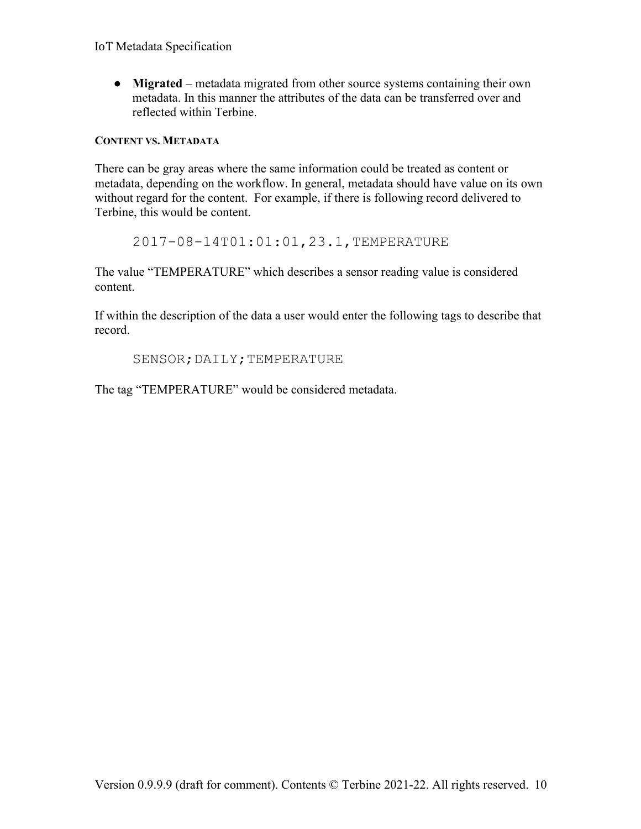● **Migrated** – metadata migrated from other source systems containing their own metadata. In this manner the attributes of the data can be transferred over and reflected within Terbine.

# **CONTENT VS. METADATA**

There can be gray areas where the same information could be treated as content or metadata, depending on the workflow. In general, metadata should have value on its own without regard for the content. For example, if there is following record delivered to Terbine, this would be content.

2017-08-14T01:01:01,23.1,TEMPERATURE

The value "TEMPERATURE" which describes a sensor reading value is considered content.

If within the description of the data a user would enter the following tags to describe that record.

SENSOR; DAILY; TEMPERATURE

The tag "TEMPERATURE" would be considered metadata.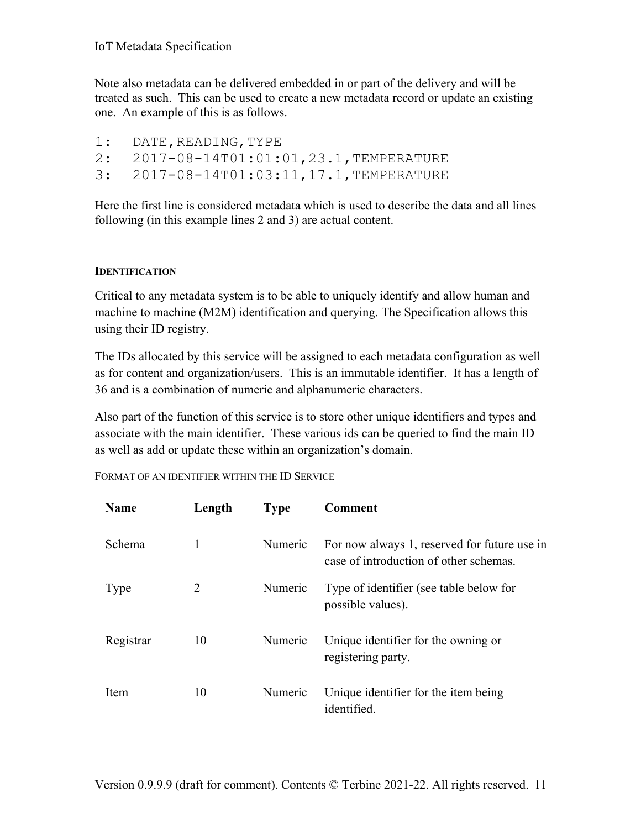Note also metadata can be delivered embedded in or part of the delivery and will be treated as such. This can be used to create a new metadata record or update an existing one. An example of this is as follows.

| 1: DATE, READING, TYPE                  |
|-----------------------------------------|
| 2: 2017-08-14T01:01:01,23.1,TEMPERATURE |
| 3: 2017-08-14T01:03:11,17.1,TEMPERATURE |

Here the first line is considered metadata which is used to describe the data and all lines following (in this example lines 2 and 3) are actual content.

# **IDENTIFICATION**

Critical to any metadata system is to be able to uniquely identify and allow human and machine to machine (M2M) identification and querying. The Specification allows this using their ID registry.

The IDs allocated by this service will be assigned to each metadata configuration as well as for content and organization/users. This is an immutable identifier. It has a length of 36 and is a combination of numeric and alphanumeric characters.

Also part of the function of this service is to store other unique identifiers and types and associate with the main identifier. These various ids can be queried to find the main ID as well as add or update these within an organization's domain.

FORMAT OF AN IDENTIFIER WITHIN THE ID SERVICE

| <b>Name</b> | Length | <b>Type</b> | <b>Comment</b>                                                                         |
|-------------|--------|-------------|----------------------------------------------------------------------------------------|
| Schema      | 1      | Numeric     | For now always 1, reserved for future use in<br>case of introduction of other schemas. |
| Type        | 2      | Numeric     | Type of identifier (see table below for<br>possible values).                           |
| Registrar   | 10     | Numeric     | Unique identifier for the owning or<br>registering party.                              |
| Item        | 10     | Numeric     | Unique identifier for the item being<br>identified.                                    |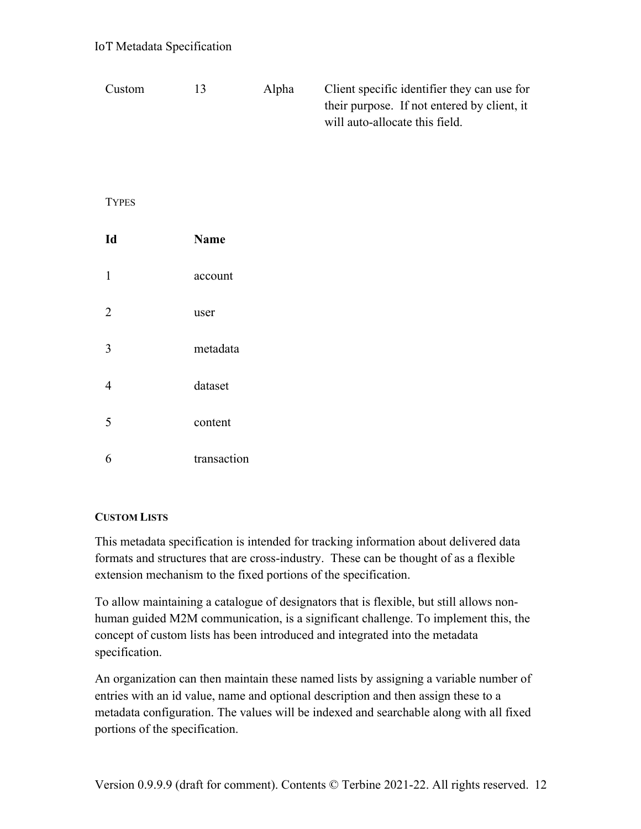| Custom         | 13          | Alpha | Client specific identifier they can use for<br>their purpose. If not entered by client, it<br>will auto-allocate this field. |
|----------------|-------------|-------|------------------------------------------------------------------------------------------------------------------------------|
| <b>TYPES</b>   |             |       |                                                                                                                              |
| Id             | <b>Name</b> |       |                                                                                                                              |
| $\mathbf{1}$   | account     |       |                                                                                                                              |
| $\overline{2}$ | user        |       |                                                                                                                              |
| 3              | metadata    |       |                                                                                                                              |
| $\overline{4}$ | dataset     |       |                                                                                                                              |
| 5              | content     |       |                                                                                                                              |
| 6              | transaction |       |                                                                                                                              |

# **CUSTOM LISTS**

This metadata specification is intended for tracking information about delivered data formats and structures that are cross-industry. These can be thought of as a flexible extension mechanism to the fixed portions of the specification.

To allow maintaining a catalogue of designators that is flexible, but still allows nonhuman guided M2M communication, is a significant challenge. To implement this, the concept of custom lists has been introduced and integrated into the metadata specification.

An organization can then maintain these named lists by assigning a variable number of entries with an id value, name and optional description and then assign these to a metadata configuration. The values will be indexed and searchable along with all fixed portions of the specification.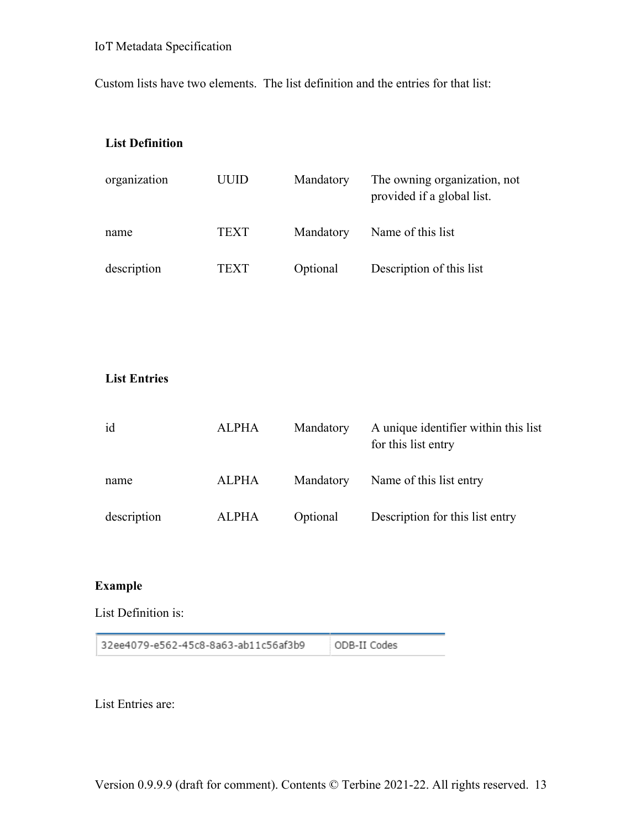Custom lists have two elements. The list definition and the entries for that list:

## **List Definition**

| organization | UUID | Mandatory | The owning organization, not<br>provided if a global list. |
|--------------|------|-----------|------------------------------------------------------------|
| name         | TEXT | Mandatory | Name of this list                                          |
| description  | TEXT | Optional  | Description of this list                                   |

# **List Entries**

| id          | <b>ALPHA</b> | Mandatory | A unique identifier within this list<br>for this list entry |
|-------------|--------------|-----------|-------------------------------------------------------------|
| name        | <b>ALPHA</b> | Mandatory | Name of this list entry                                     |
| description | <b>ALPHA</b> | Optional  | Description for this list entry                             |

# **Example**

List Definition is:

32ee4079-e562-45c8-8a63-ab11c56af3b9 ODB-II Codes

List Entries are: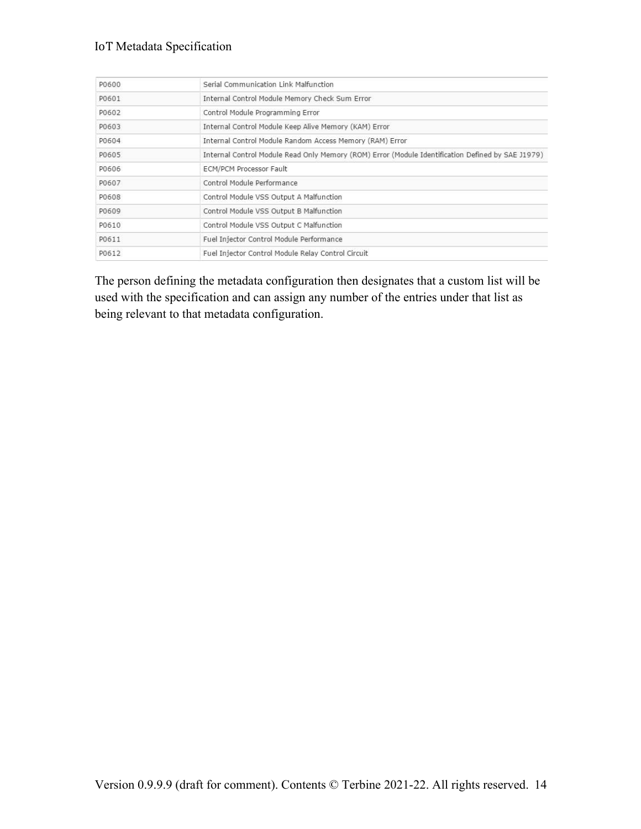| P0600 | Serial Communication Link Malfunction                                                             |
|-------|---------------------------------------------------------------------------------------------------|
| P0601 | Internal Control Module Memory Check Sum Error                                                    |
| P0602 | Control Module Programming Error                                                                  |
| P0603 | Internal Control Module Keep Alive Memory (KAM) Error                                             |
| P0604 | Internal Control Module Random Access Memory (RAM) Error                                          |
| P0605 | Internal Control Module Read Only Memory (ROM) Error (Module Identification Defined by SAE J1979) |
| P0606 | ECM/PCM Processor Fault                                                                           |
| P0607 | Control Module Performance                                                                        |
| P0608 | Control Module VSS Output A Malfunction                                                           |
| P0609 | Control Module VSS Output B Malfunction                                                           |
| P0610 | Control Module VSS Output C Malfunction                                                           |
| P0611 | Fuel Injector Control Module Performance                                                          |
| P0612 | Fuel Injector Control Module Relay Control Circuit                                                |

The person defining the metadata configuration then designates that a custom list will be used with the specification and can assign any number of the entries under that list as being relevant to that metadata configuration.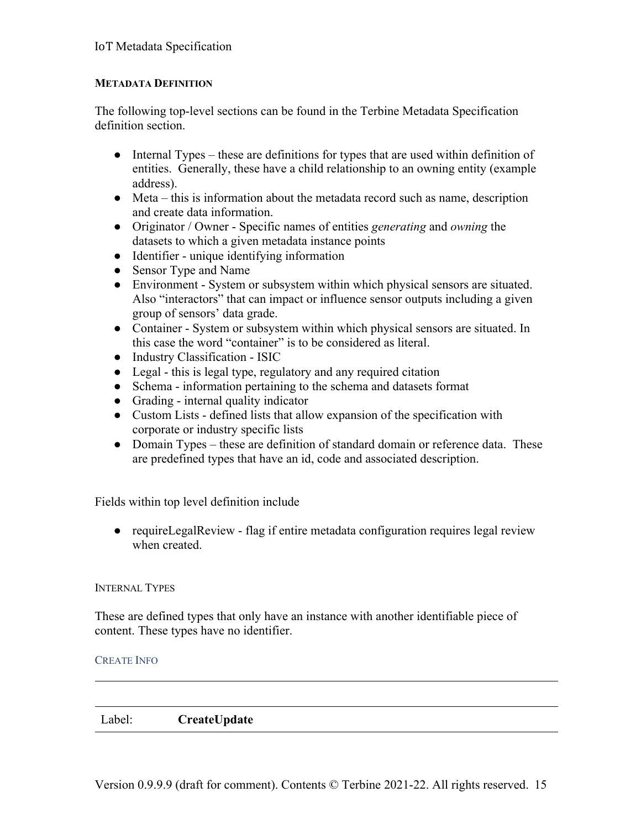# **METADATA DEFINITION**

The following top-level sections can be found in the Terbine Metadata Specification definition section.

- Internal Types these are definitions for types that are used within definition of entities. Generally, these have a child relationship to an owning entity (example address).
- $\bullet$  Meta this is information about the metadata record such as name, description and create data information.
- Originator / Owner Specific names of entities *generating* and *owning* the datasets to which a given metadata instance points
- Identifier unique identifying information
- Sensor Type and Name
- Environment System or subsystem within which physical sensors are situated. Also "interactors" that can impact or influence sensor outputs including a given group of sensors' data grade.
- Container System or subsystem within which physical sensors are situated. In this case the word "container" is to be considered as literal.
- Industry Classification ISIC
- Legal this is legal type, regulatory and any required citation
- Schema information pertaining to the schema and datasets format
- Grading internal quality indicator
- Custom Lists defined lists that allow expansion of the specification with corporate or industry specific lists
- Domain Types these are definition of standard domain or reference data. These are predefined types that have an id, code and associated description.

Fields within top level definition include

● requireLegalReview - flag if entire metadata configuration requires legal review when created.

#### INTERNAL TYPES

These are defined types that only have an instance with another identifiable piece of content. These types have no identifier.

#### CREATE INFO

Label: **CreateUpdate**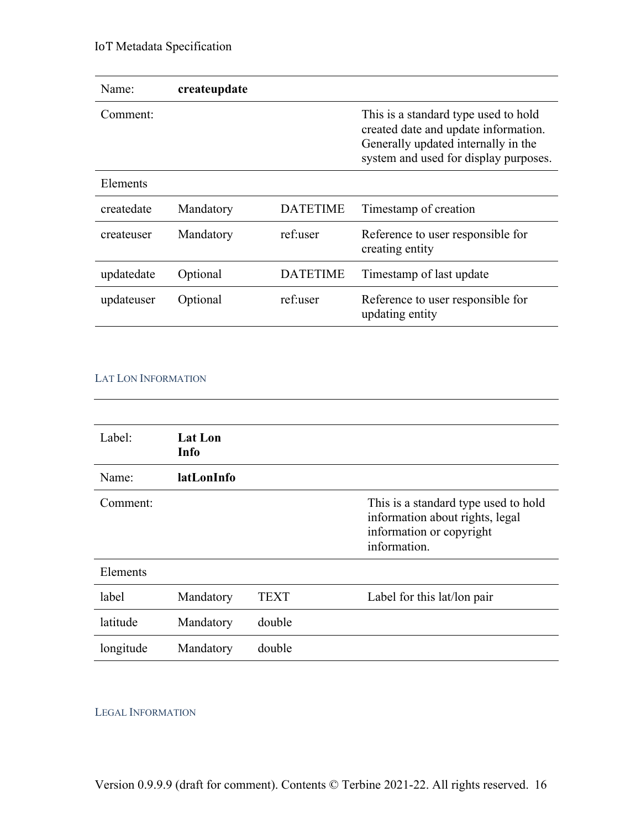| Name:      | createupdate |                 |                                                                                                                                                              |
|------------|--------------|-----------------|--------------------------------------------------------------------------------------------------------------------------------------------------------------|
| Comment:   |              |                 | This is a standard type used to hold<br>created date and update information.<br>Generally updated internally in the<br>system and used for display purposes. |
| Elements   |              |                 |                                                                                                                                                              |
| createdate | Mandatory    | <b>DATETIME</b> | Timestamp of creation                                                                                                                                        |
| createuser | Mandatory    | ref:user        | Reference to user responsible for<br>creating entity                                                                                                         |
| updatedate | Optional     | <b>DATETIME</b> | Timestamp of last update                                                                                                                                     |
| updateuser | Optional     | ref:user        | Reference to user responsible for<br>updating entity                                                                                                         |

#### LAT LON INFORMATION

| Label:    | <b>Lat Lon</b><br>Info |        |                                                                                                                     |
|-----------|------------------------|--------|---------------------------------------------------------------------------------------------------------------------|
| Name:     | latLonInfo             |        |                                                                                                                     |
| Comment:  |                        |        | This is a standard type used to hold<br>information about rights, legal<br>information or copyright<br>information. |
| Elements  |                        |        |                                                                                                                     |
| label     | Mandatory              | TEXT   | Label for this lat/lon pair                                                                                         |
| latitude  | Mandatory              | double |                                                                                                                     |
| longitude | Mandatory              | double |                                                                                                                     |

#### LEGAL INFORMATION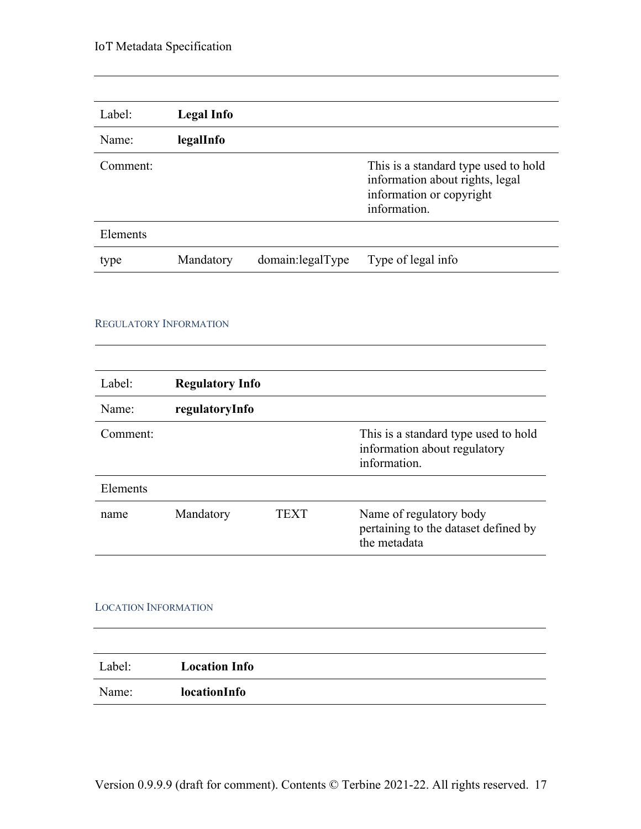| Label:   | Legal Info |                   |                                                                                                                     |
|----------|------------|-------------------|---------------------------------------------------------------------------------------------------------------------|
| Name:    | legalInfo  |                   |                                                                                                                     |
| Comment: |            |                   | This is a standard type used to hold<br>information about rights, legal<br>information or copyright<br>information. |
| Elements |            |                   |                                                                                                                     |
| type     | Mandatory  | domain: legalType | Type of legal info                                                                                                  |

#### REGULATORY INFORMATION

| Label:   | <b>Regulatory Info</b> |      |                                                                                      |
|----------|------------------------|------|--------------------------------------------------------------------------------------|
| Name:    | regulatoryInfo         |      |                                                                                      |
| Comment: |                        |      | This is a standard type used to hold<br>information about regulatory<br>information. |
| Elements |                        |      |                                                                                      |
| name     | Mandatory              | TEXT | Name of regulatory body<br>pertaining to the dataset defined by<br>the metadata      |

#### LOCATION INFORMATION

| Label: | <b>Location Info</b> |  |
|--------|----------------------|--|
| Name:  | locationInfo         |  |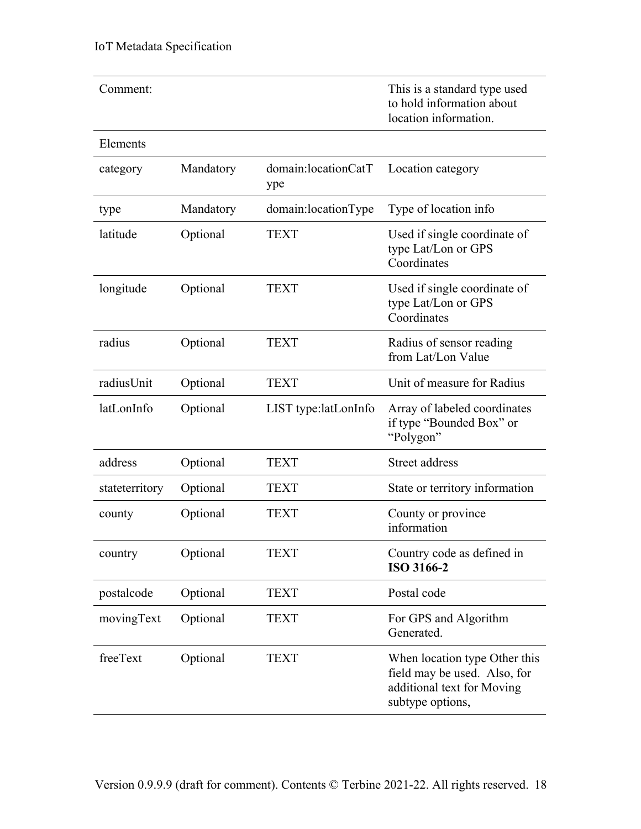| Comment:       |           |                            | This is a standard type used<br>to hold information about<br>location information.                              |
|----------------|-----------|----------------------------|-----------------------------------------------------------------------------------------------------------------|
| Elements       |           |                            |                                                                                                                 |
| category       | Mandatory | domain:locationCatT<br>ype | Location category                                                                                               |
| type           | Mandatory | domain:locationType        | Type of location info                                                                                           |
| latitude       | Optional  | <b>TEXT</b>                | Used if single coordinate of<br>type Lat/Lon or GPS<br>Coordinates                                              |
| longitude      | Optional  | <b>TEXT</b>                | Used if single coordinate of<br>type Lat/Lon or GPS<br>Coordinates                                              |
| radius         | Optional  | <b>TEXT</b>                | Radius of sensor reading<br>from Lat/Lon Value                                                                  |
| radiusUnit     | Optional  | <b>TEXT</b>                | Unit of measure for Radius                                                                                      |
| latLonInfo     | Optional  | LIST type:latLonInfo       | Array of labeled coordinates<br>if type "Bounded Box" or<br>"Polygon"                                           |
| address        | Optional  | <b>TEXT</b>                | Street address                                                                                                  |
| stateterritory | Optional  | <b>TEXT</b>                | State or territory information                                                                                  |
| county         | Optional  | <b>TEXT</b>                | County or province<br>information                                                                               |
| country        | Optional  | <b>TEXT</b>                | Country code as defined in<br>ISO 3166-2                                                                        |
| postalcode     | Optional  | <b>TEXT</b>                | Postal code                                                                                                     |
| movingText     | Optional  | <b>TEXT</b>                | For GPS and Algorithm<br>Generated.                                                                             |
| freeText       | Optional  | <b>TEXT</b>                | When location type Other this<br>field may be used. Also, for<br>additional text for Moving<br>subtype options, |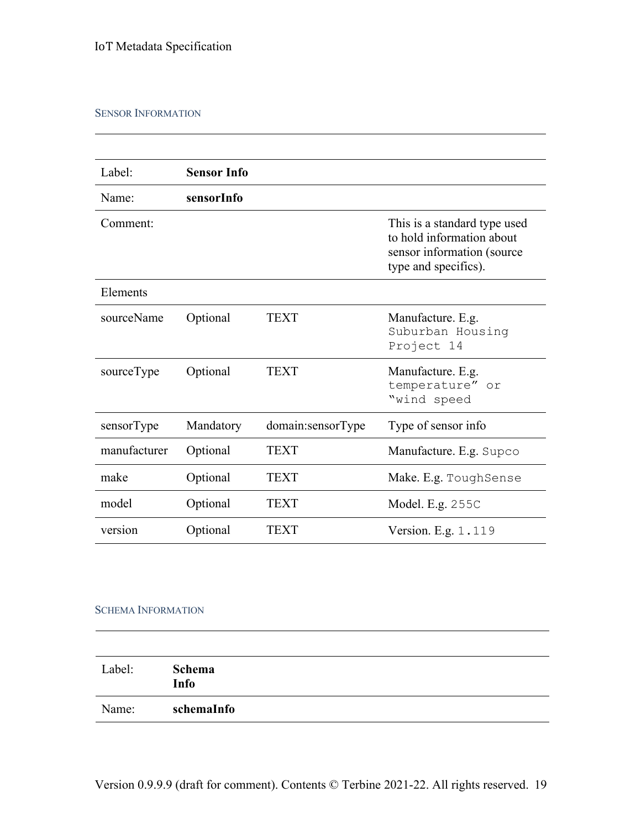#### SENSOR INFORMATION

| Label:       | <b>Sensor Info</b> |                   |                                                                                                                 |
|--------------|--------------------|-------------------|-----------------------------------------------------------------------------------------------------------------|
| Name:        | sensorInfo         |                   |                                                                                                                 |
| Comment:     |                    |                   | This is a standard type used<br>to hold information about<br>sensor information (source<br>type and specifics). |
| Elements     |                    |                   |                                                                                                                 |
| sourceName   | Optional           | <b>TEXT</b>       | Manufacture. E.g.<br>Suburban Housing<br>Project 14                                                             |
| sourceType   | Optional           | <b>TEXT</b>       | Manufacture. E.g.<br>temperature" or<br>"wind speed                                                             |
| sensorType   | Mandatory          | domain:sensorType | Type of sensor info                                                                                             |
| manufacturer | Optional           | <b>TEXT</b>       | Manufacture. E.g. Supco                                                                                         |
| make         | Optional           | <b>TEXT</b>       | Make. E.g. ToughSense                                                                                           |
| model        | Optional           | TEXT              | Model. E.g. 255C                                                                                                |
| version      | Optional           | TEXT              | Version. E.g. 1.119                                                                                             |

## SCHEMA INFORMATION

| Label: | Schema<br>Info |
|--------|----------------|
| Name:  | schemaInfo     |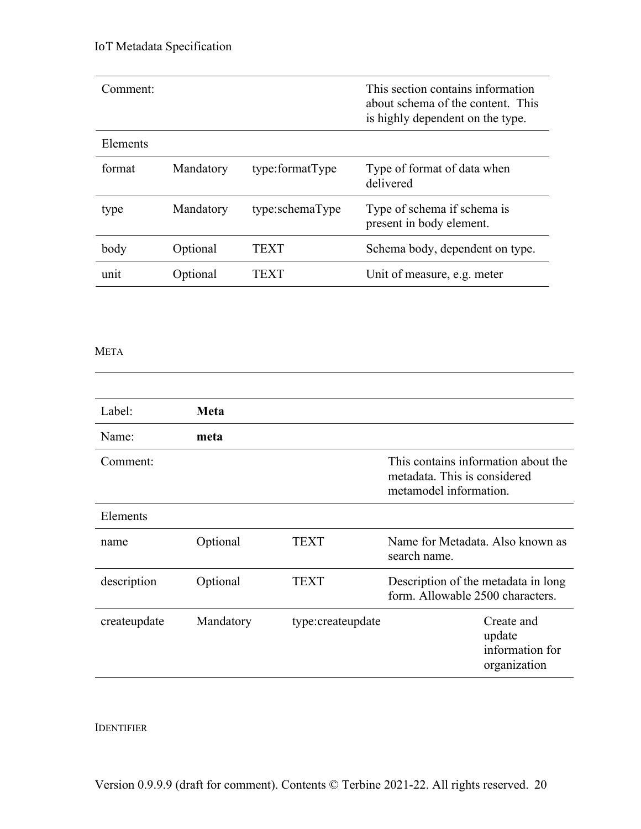| Comment: |           |                 | This section contains information<br>about schema of the content. This<br>is highly dependent on the type. |
|----------|-----------|-----------------|------------------------------------------------------------------------------------------------------------|
| Elements |           |                 |                                                                                                            |
| format   | Mandatory | type:formatType | Type of format of data when<br>delivered                                                                   |
| type     | Mandatory | type:schemaType | Type of schema if schema is<br>present in body element.                                                    |
| body     | Optional  | TEXT            | Schema body, dependent on type.                                                                            |
| unit     | Optional  | TEXT            | Unit of measure, e.g. meter                                                                                |

META

| Label:       | <b>Meta</b> |                   |                                                                                               |                                                         |
|--------------|-------------|-------------------|-----------------------------------------------------------------------------------------------|---------------------------------------------------------|
| Name:        | meta        |                   |                                                                                               |                                                         |
| Comment:     |             |                   | This contains information about the<br>metadata. This is considered<br>metamodel information. |                                                         |
| Elements     |             |                   |                                                                                               |                                                         |
| name         | Optional    | <b>TEXT</b>       | Name for Metadata. Also known as<br>search name.                                              |                                                         |
| description  | Optional    | <b>TEXT</b>       | Description of the metadata in long<br>form. Allowable 2500 characters.                       |                                                         |
| createupdate | Mandatory   | type:createupdate |                                                                                               | Create and<br>update<br>information for<br>organization |

IDENTIFIER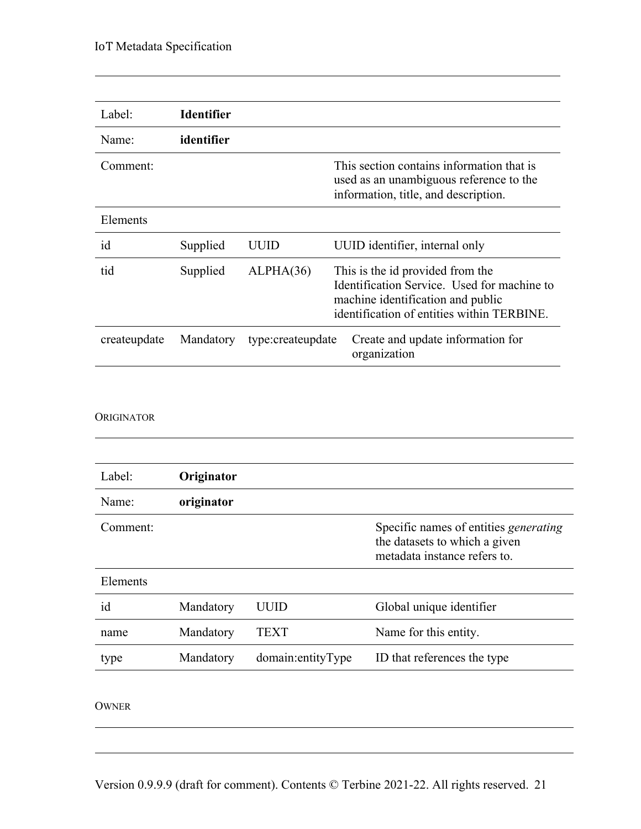| Label:       | <b>Identifier</b> |                   |                                                                                                                                                                    |
|--------------|-------------------|-------------------|--------------------------------------------------------------------------------------------------------------------------------------------------------------------|
| Name:        | identifier        |                   |                                                                                                                                                                    |
| Comment:     |                   |                   | This section contains information that is<br>used as an unambiguous reference to the<br>information, title, and description.                                       |
| Elements     |                   |                   |                                                                                                                                                                    |
| id           | Supplied          | UUID              | UUID identifier, internal only                                                                                                                                     |
| tid          | Supplied          | ALPHA(36)         | This is the id provided from the<br>Identification Service. Used for machine to<br>machine identification and public<br>identification of entities within TERBINE. |
| createupdate | Mandatory         | type:createupdate | Create and update information for<br>organization                                                                                                                  |

#### ORIGINATOR

| Label:   | Originator |                   |                                                                                                               |
|----------|------------|-------------------|---------------------------------------------------------------------------------------------------------------|
| Name:    | originator |                   |                                                                                                               |
| Comment: |            |                   | Specific names of entities <i>generating</i><br>the datasets to which a given<br>metadata instance refers to. |
| Elements |            |                   |                                                                                                               |
| id       | Mandatory  | UUID              | Global unique identifier                                                                                      |
| name     | Mandatory  | TEXT              | Name for this entity.                                                                                         |
| type     | Mandatory  | domain:entityType | ID that references the type                                                                                   |
|          |            |                   |                                                                                                               |

#### OWNER

<u> 1989 - Johann Stoff, deutscher Stoffen und der Stoffen und der Stoffen und der Stoffen und der Stoffen und der</u>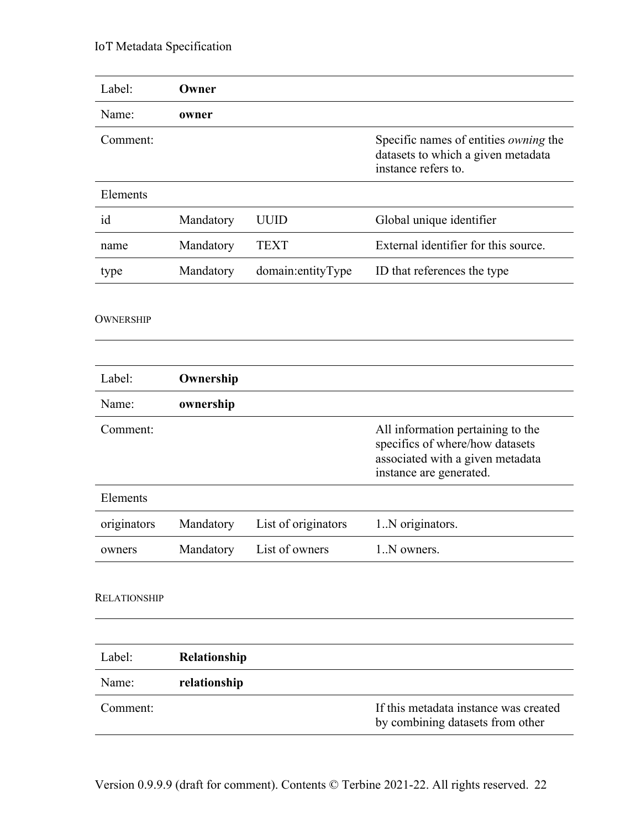| Label:              | Owner        |                     |                                                                                                                                     |
|---------------------|--------------|---------------------|-------------------------------------------------------------------------------------------------------------------------------------|
| Name:               | owner        |                     |                                                                                                                                     |
| Comment:            |              |                     | Specific names of entities <i>owning</i> the<br>datasets to which a given metadata<br>instance refers to.                           |
| Elements            |              |                     |                                                                                                                                     |
| id                  | Mandatory    | <b>UUID</b>         | Global unique identifier                                                                                                            |
| name                | Mandatory    | <b>TEXT</b>         | External identifier for this source.                                                                                                |
| type                | Mandatory    | domain:entityType   | ID that references the type                                                                                                         |
| <b>OWNERSHIP</b>    |              |                     |                                                                                                                                     |
| Label:              | Ownership    |                     |                                                                                                                                     |
| Name:               | ownership    |                     |                                                                                                                                     |
| Comment:            |              |                     | All information pertaining to the<br>specifics of where/how datasets<br>associated with a given metadata<br>instance are generated. |
| Elements            |              |                     |                                                                                                                                     |
| originators         | Mandatory    | List of originators | 1.N originators.                                                                                                                    |
| owners              | Mandatory    | List of owners      | 1.N owners.                                                                                                                         |
| <b>RELATIONSHIP</b> |              |                     |                                                                                                                                     |
|                     |              |                     |                                                                                                                                     |
| Label:              | Relationship |                     |                                                                                                                                     |
| Name:               | relationship |                     |                                                                                                                                     |
| Comment:            |              |                     | If this metadata instance was created<br>by combining datasets from other                                                           |
|                     |              |                     |                                                                                                                                     |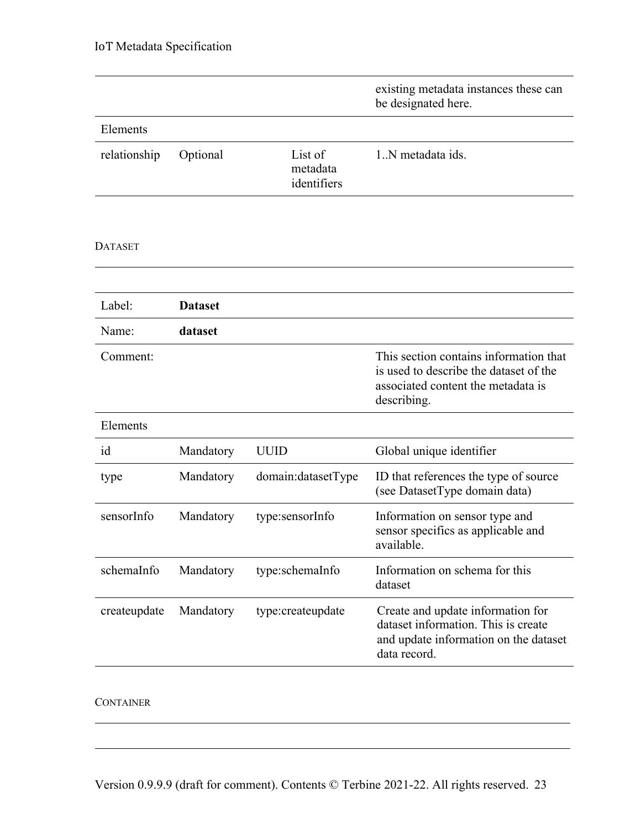|                |                |                                    | existing metadata instances these can<br>be designated here.                                                                          |
|----------------|----------------|------------------------------------|---------------------------------------------------------------------------------------------------------------------------------------|
| Elements       |                |                                    |                                                                                                                                       |
| relationship   | Optional       | List of<br>metadata<br>identifiers | 1.N metadata ids.                                                                                                                     |
| <b>DATASET</b> |                |                                    |                                                                                                                                       |
|                |                |                                    |                                                                                                                                       |
| Label:         | <b>Dataset</b> |                                    |                                                                                                                                       |
| Name:          | dataset        |                                    |                                                                                                                                       |
| Comment:       |                |                                    | This section contains information that<br>is used to describe the dataset of the<br>associated content the metadata is<br>describing. |
| Elements       |                |                                    |                                                                                                                                       |
| id             | Mandatory      | <b>UUID</b>                        | Global unique identifier                                                                                                              |
| type           | Mandatory      | domain:datasetType                 | ID that references the type of source<br>(see DatasetType domain data)                                                                |
| sensorInfo     | Mandatory      | type:sensorInfo                    | Information on sensor type and<br>sensor specifics as applicable and<br>available.                                                    |
| schemaInfo     | Mandatory      | type:schemaInfo                    | Information on schema for this<br>dataset                                                                                             |
| createupdate   | Mandatory      | type:createupdate                  | Create and update information for<br>dataset information. This is create<br>and update information on the dataset<br>data record.     |
|                |                |                                    |                                                                                                                                       |

# CONTAINER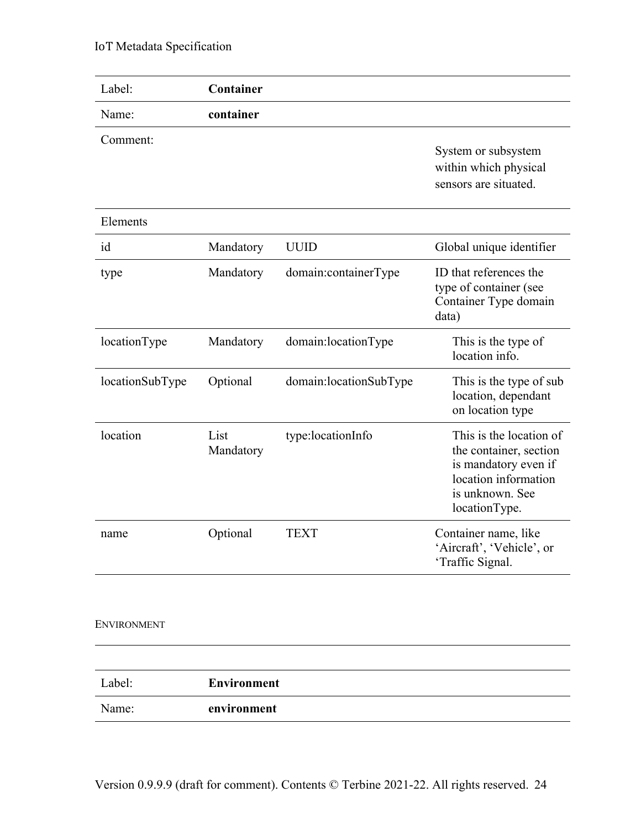| Label:          | Container          |                        |                                                                                                                                       |
|-----------------|--------------------|------------------------|---------------------------------------------------------------------------------------------------------------------------------------|
| Name:           | container          |                        |                                                                                                                                       |
| Comment:        |                    |                        | System or subsystem<br>within which physical<br>sensors are situated.                                                                 |
| Elements        |                    |                        |                                                                                                                                       |
| id              | Mandatory          | <b>UUID</b>            | Global unique identifier                                                                                                              |
| type            | Mandatory          | domain:containerType   | ID that references the<br>type of container (see<br>Container Type domain<br>data)                                                    |
| locationType    | Mandatory          | domain:locationType    | This is the type of<br>location info.                                                                                                 |
| locationSubType | Optional           | domain:locationSubType | This is the type of sub<br>location, dependant<br>on location type                                                                    |
| location        | List<br>Mandatory  | type:locationInfo      | This is the location of<br>the container, section<br>is mandatory even if<br>location information<br>is unknown. See<br>locationType. |
| name            | Optional           | <b>TEXT</b>            | Container name, like<br>'Aircraft', 'Vehicle', or<br>'Traffic Signal.                                                                 |
| ENVIRONMENT     |                    |                        |                                                                                                                                       |
| Label:          | <b>Environment</b> |                        |                                                                                                                                       |
| Name:           | environment        |                        |                                                                                                                                       |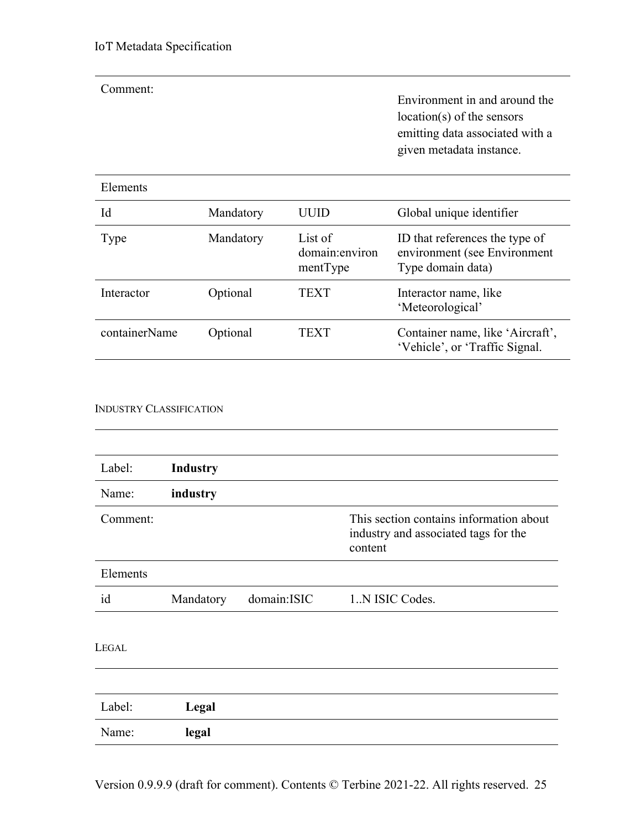| Comment:      |           |                                       | Environment in and around the<br>$location(s)$ of the sensors<br>emitting data associated with a<br>given metadata instance. |
|---------------|-----------|---------------------------------------|------------------------------------------------------------------------------------------------------------------------------|
| Elements      |           |                                       |                                                                                                                              |
| Id            | Mandatory | UUID                                  | Global unique identifier                                                                                                     |
| Type          | Mandatory | List of<br>domain:environ<br>mentType | ID that references the type of<br>environment (see Environment<br>Type domain data)                                          |
| Interactor    | Optional  | TEXT                                  | Interactor name, like<br>'Meteorological'                                                                                    |
| containerName | Optional  | TEXT                                  | Container name, like 'Aircraft',<br>'Vehicle', or 'Traffic Signal.                                                           |

#### INDUSTRY CLASSIFICATION

| Label:       | <b>Industry</b> |             |                                                                                            |
|--------------|-----------------|-------------|--------------------------------------------------------------------------------------------|
| Name:        | industry        |             |                                                                                            |
| Comment:     |                 |             | This section contains information about<br>industry and associated tags for the<br>content |
| Elements     |                 |             |                                                                                            |
| id           | Mandatory       | domain:ISIC | 1N ISIC Codes.                                                                             |
| <b>LEGAL</b> |                 |             |                                                                                            |
| Label:       | Legal           |             |                                                                                            |
| Name:        | legal           |             |                                                                                            |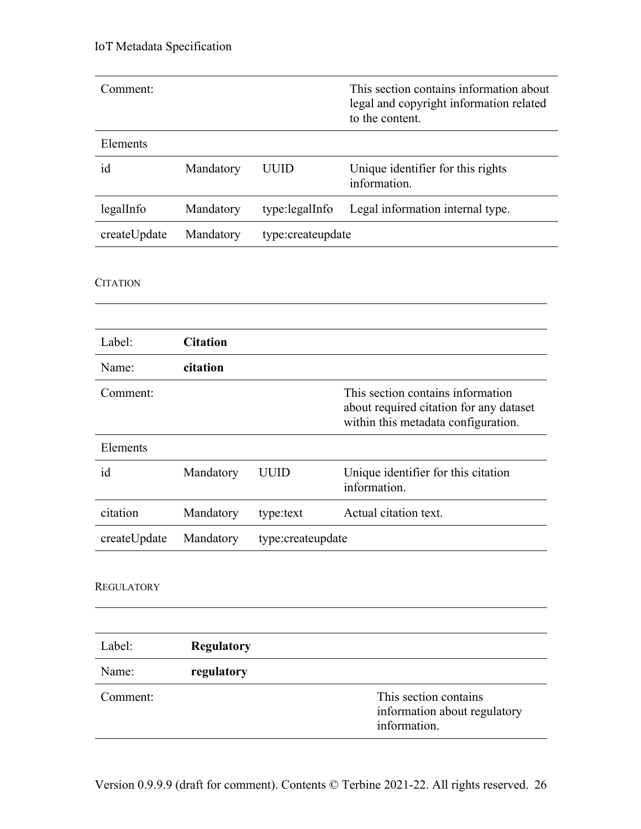| Comment:          |                   |                   | This section contains information about<br>legal and copyright information related<br>to the content.               |
|-------------------|-------------------|-------------------|---------------------------------------------------------------------------------------------------------------------|
| Elements          |                   |                   |                                                                                                                     |
| id                | Mandatory         | <b>UUID</b>       | Unique identifier for this rights<br>information.                                                                   |
| legalInfo         | Mandatory         | type:legalInfo    | Legal information internal type.                                                                                    |
| createUpdate      | Mandatory         | type:createupdate |                                                                                                                     |
| <b>CITATION</b>   |                   |                   |                                                                                                                     |
| Label:            | <b>Citation</b>   |                   |                                                                                                                     |
| Name:             | citation          |                   |                                                                                                                     |
| Comment:          |                   |                   | This section contains information<br>about required citation for any dataset<br>within this metadata configuration. |
| Elements          |                   |                   |                                                                                                                     |
| id                | Mandatory         | <b>UUID</b>       | Unique identifier for this citation<br>information.                                                                 |
| citation          | Mandatory         | type:text         | Actual citation text.                                                                                               |
| createUpdate      | Mandatory         | type:createupdate |                                                                                                                     |
| <b>REGULATORY</b> |                   |                   |                                                                                                                     |
|                   |                   |                   |                                                                                                                     |
| Label:            | <b>Regulatory</b> |                   |                                                                                                                     |
| Name:             | regulatory        |                   |                                                                                                                     |
| Comment:          |                   |                   | This section contains<br>information about regulatory<br>information.                                               |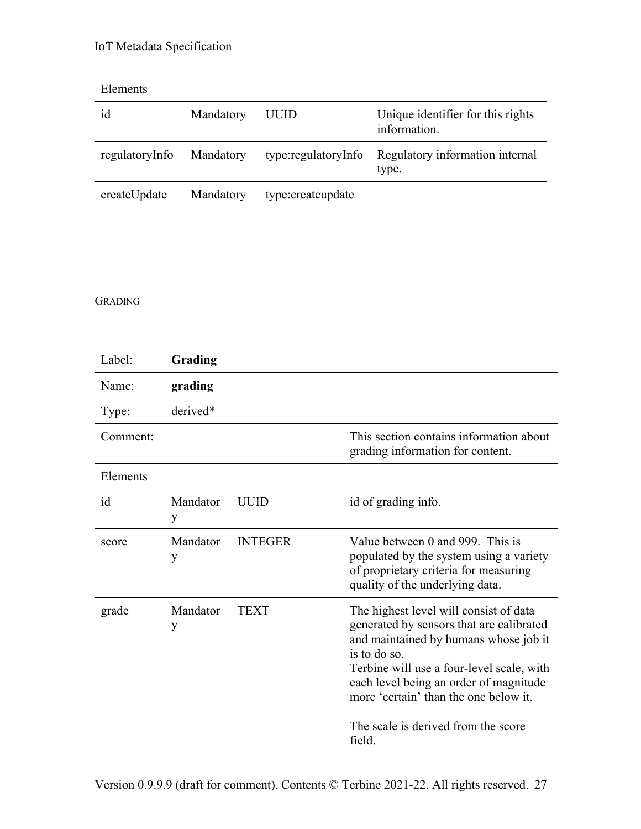| Elements       |           |                     |                                                   |
|----------------|-----------|---------------------|---------------------------------------------------|
| id             | Mandatory | UUID                | Unique identifier for this rights<br>information. |
| regulatoryInfo | Mandatory | type:regulatoryInfo | Regulatory information internal<br>type.          |
| createUpdate   | Mandatory | type:createupdate   |                                                   |

#### GRADING

| Label:   | Grading       |                |                                                                                                                                                                                                                                                                                                                              |
|----------|---------------|----------------|------------------------------------------------------------------------------------------------------------------------------------------------------------------------------------------------------------------------------------------------------------------------------------------------------------------------------|
| Name:    | grading       |                |                                                                                                                                                                                                                                                                                                                              |
| Type:    | derived*      |                |                                                                                                                                                                                                                                                                                                                              |
| Comment: |               |                | This section contains information about<br>grading information for content.                                                                                                                                                                                                                                                  |
| Elements |               |                |                                                                                                                                                                                                                                                                                                                              |
| id       | Mandator<br>y | <b>UUID</b>    | id of grading info.                                                                                                                                                                                                                                                                                                          |
| score    | Mandator<br>y | <b>INTEGER</b> | Value between 0 and 999. This is<br>populated by the system using a variety<br>of proprietary criteria for measuring<br>quality of the underlying data.                                                                                                                                                                      |
| grade    | Mandator<br>y | <b>TEXT</b>    | The highest level will consist of data<br>generated by sensors that are calibrated<br>and maintained by humans whose job it<br>is to do so.<br>Terbine will use a four-level scale, with<br>each level being an order of magnitude<br>more 'certain' than the one below it.<br>The scale is derived from the score<br>field. |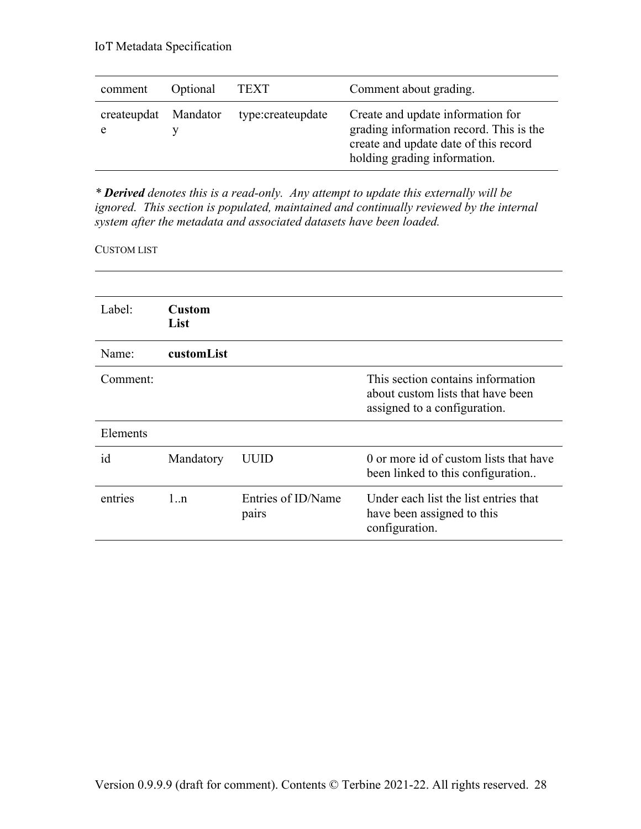| comment          | Optional | TEXT              | Comment about grading.                                                                                                                                |
|------------------|----------|-------------------|-------------------------------------------------------------------------------------------------------------------------------------------------------|
| createupdat<br>e | Mandator | type:createupdate | Create and update information for<br>grading information record. This is the<br>create and update date of this record<br>holding grading information. |

*\* Derived denotes this is a read-only. Any attempt to update this externally will be ignored. This section is populated, maintained and continually reviewed by the internal system after the metadata and associated datasets have been loaded.*

#### CUSTOM LIST

| Label:   | <b>Custom</b><br>List |                             |                                                                                                        |
|----------|-----------------------|-----------------------------|--------------------------------------------------------------------------------------------------------|
| Name:    | customList            |                             |                                                                                                        |
| Comment: |                       |                             | This section contains information<br>about custom lists that have been<br>assigned to a configuration. |
| Elements |                       |                             |                                                                                                        |
| id       | Mandatory             | UUID                        | 0 or more id of custom lists that have<br>been linked to this configuration                            |
| entries  | 1:n                   | Entries of ID/Name<br>pairs | Under each list the list entries that<br>have been assigned to this<br>configuration.                  |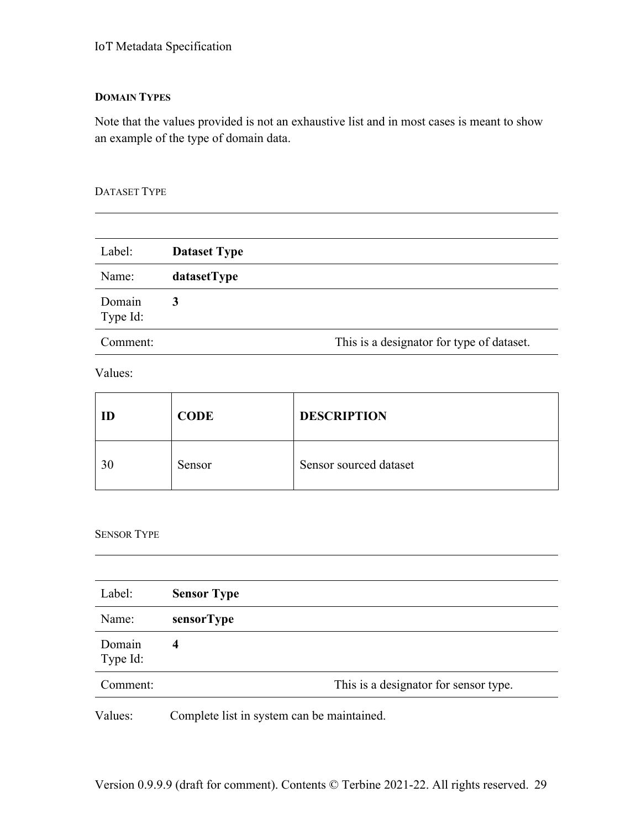# **DOMAIN TYPES**

Note that the values provided is not an exhaustive list and in most cases is meant to show an example of the type of domain data.

# DATASET TYPE

| Label:             | <b>Dataset Type</b> |                                           |
|--------------------|---------------------|-------------------------------------------|
| Name:              | datasetType         |                                           |
| Domain<br>Type Id: |                     |                                           |
| Comment:           |                     | This is a designator for type of dataset. |

Values:

| ID | <b>CODE</b> | <b>DESCRIPTION</b>     |
|----|-------------|------------------------|
| 30 | Sensor      | Sensor sourced dataset |

# SENSOR TYPE

| Label:             | <b>Sensor Type</b> |                                       |
|--------------------|--------------------|---------------------------------------|
| Name:              | sensorType         |                                       |
| Domain<br>Type Id: | $\boldsymbol{4}$   |                                       |
| Comment:           |                    | This is a designator for sensor type. |
|                    |                    |                                       |

Values: Complete list in system can be maintained.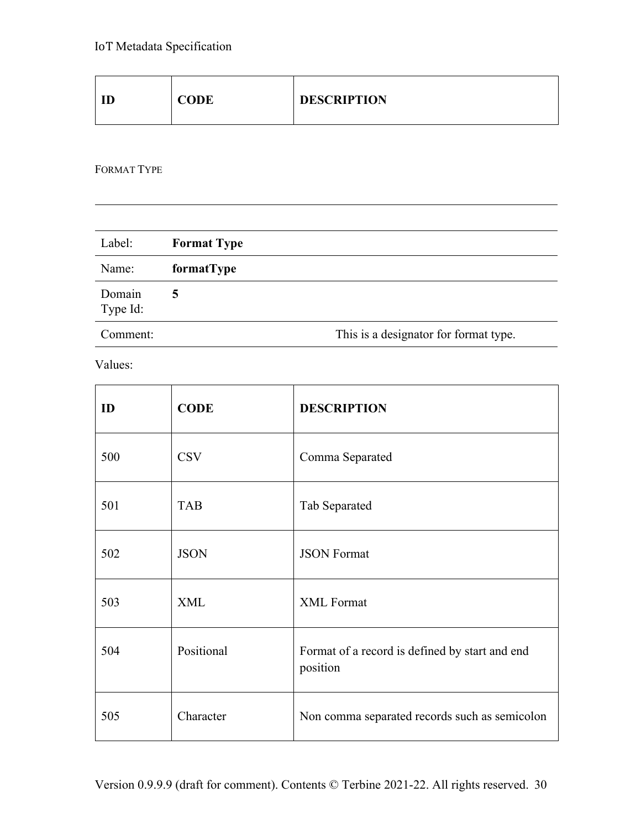| CODE<br>ID | <b>DESCRIPTION</b> |
|------------|--------------------|
|------------|--------------------|

FORMAT TYPE

| Label:             | <b>Format Type</b>                    |  |
|--------------------|---------------------------------------|--|
| Name:              | formatType                            |  |
| Domain<br>Type Id: | 5                                     |  |
| Comment:           | This is a designator for format type. |  |

Values:

| ID  | <b>CODE</b> | <b>DESCRIPTION</b>                                         |
|-----|-------------|------------------------------------------------------------|
| 500 | <b>CSV</b>  | Comma Separated                                            |
| 501 | <b>TAB</b>  | Tab Separated                                              |
| 502 | <b>JSON</b> | <b>JSON Format</b>                                         |
| 503 | <b>XML</b>  | <b>XML</b> Format                                          |
| 504 | Positional  | Format of a record is defined by start and end<br>position |
| 505 | Character   | Non comma separated records such as semicolon              |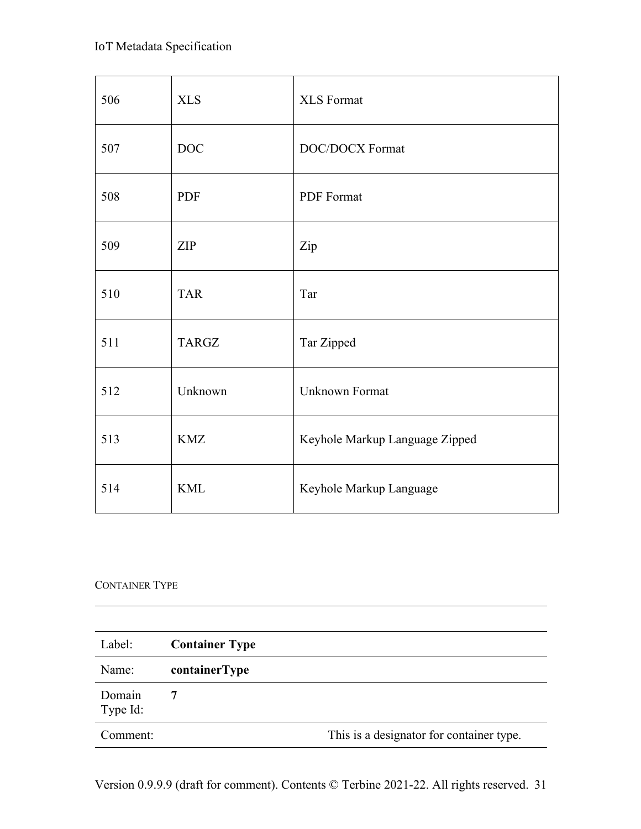| 506 | <b>XLS</b>   | <b>XLS</b> Format              |
|-----|--------------|--------------------------------|
| 507 | DOC          | DOC/DOCX Format                |
| 508 | <b>PDF</b>   | PDF Format                     |
| 509 | <b>ZIP</b>   | Zip                            |
| 510 | <b>TAR</b>   | Tar                            |
| 511 | <b>TARGZ</b> | Tar Zipped                     |
| 512 | Unknown      | Unknown Format                 |
| 513 | <b>KMZ</b>   | Keyhole Markup Language Zipped |
| 514 | <b>KML</b>   | Keyhole Markup Language        |

# CONTAINER TYPE

| Label:             | <b>Container Type</b> |                                          |
|--------------------|-----------------------|------------------------------------------|
| Name:              | containerType         |                                          |
| Domain<br>Type Id: |                       |                                          |
| Comment:           |                       | This is a designator for container type. |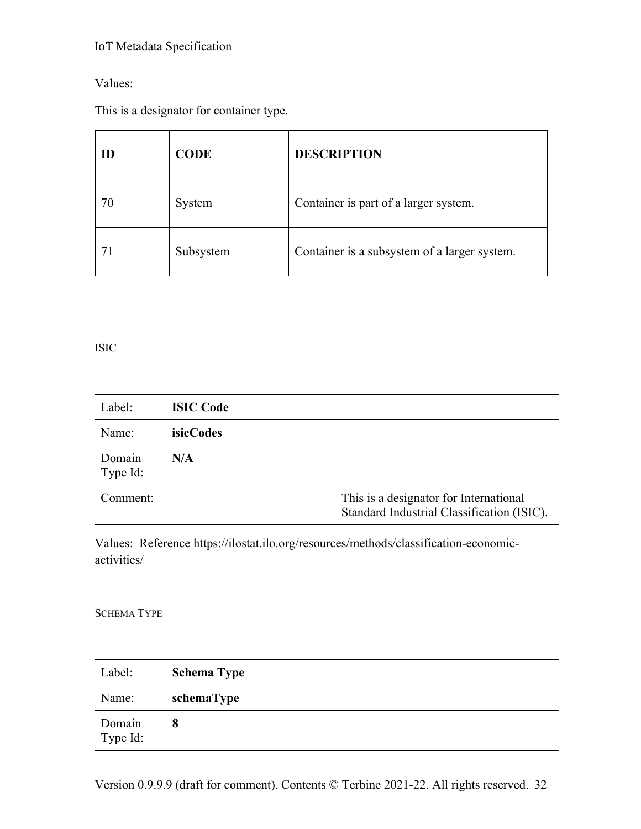# Values:

This is a designator for container type.

| ID | <b>CODE</b> | <b>DESCRIPTION</b>                           |
|----|-------------|----------------------------------------------|
| 70 | System      | Container is part of a larger system.        |
| 71 | Subsystem   | Container is a subsystem of a larger system. |

#### ISIC

| Label:             | <b>ISIC Code</b> |                                                                                      |
|--------------------|------------------|--------------------------------------------------------------------------------------|
| Name:              | <i>isicCodes</i> |                                                                                      |
| Domain<br>Type Id: | N/A              |                                                                                      |
| Comment:           |                  | This is a designator for International<br>Standard Industrial Classification (ISIC). |

Values: Reference https://ilostat.ilo.org/resources/methods/classification-economicactivities/

## SCHEMA TYPE

| Label:             | <b>Schema Type</b> |
|--------------------|--------------------|
| Name:              | schemaType         |
| Domain<br>Type Id: | 8                  |

Version 0.9.9.9 (draft for comment). Contents © Terbine 2021-22. All rights reserved. 32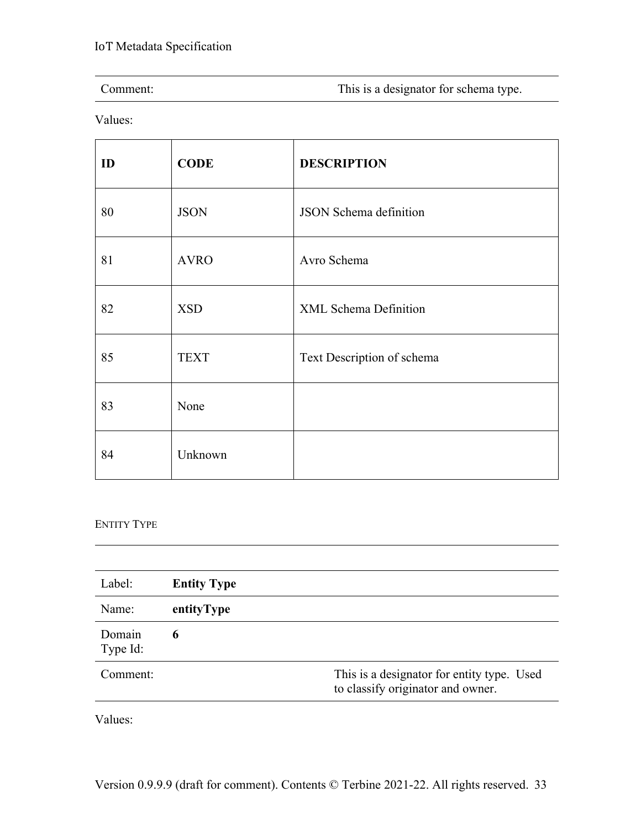| Comment: | This is a designator for schema type. |
|----------|---------------------------------------|
|          |                                       |

<u> 1989 - Johann Stoff, deutscher Stoffen und der Stoffen und der Stoffen und der Stoffen und der Stoffen und der</u>

Values:

| ID | <b>CODE</b> | <b>DESCRIPTION</b>            |
|----|-------------|-------------------------------|
| 80 | <b>JSON</b> | <b>JSON</b> Schema definition |
| 81 | <b>AVRO</b> | Avro Schema                   |
| 82 | <b>XSD</b>  | <b>XML Schema Definition</b>  |
| 85 | <b>TEXT</b> | Text Description of schema    |
| 83 | None        |                               |
| 84 | Unknown     |                               |

# ENTITY TYPE

| Label:             | <b>Entity Type</b> |                                                                                 |
|--------------------|--------------------|---------------------------------------------------------------------------------|
| Name:              | entityType         |                                                                                 |
| Domain<br>Type Id: | 6                  |                                                                                 |
| Comment:           |                    | This is a designator for entity type. Used<br>to classify originator and owner. |

Values: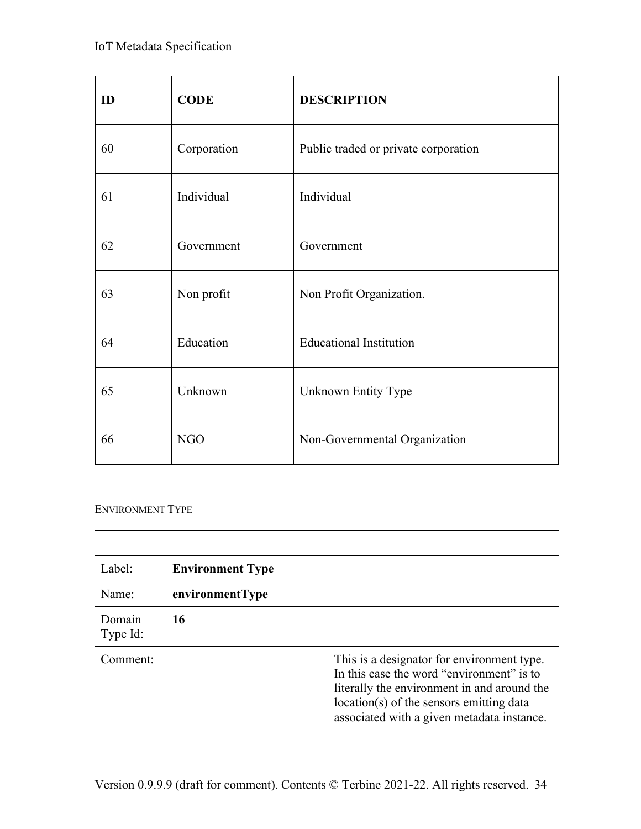| ID | <b>CODE</b> | <b>DESCRIPTION</b>                   |
|----|-------------|--------------------------------------|
| 60 | Corporation | Public traded or private corporation |
| 61 | Individual  | Individual                           |
| 62 | Government  | Government                           |
| 63 | Non profit  | Non Profit Organization.             |
| 64 | Education   | <b>Educational Institution</b>       |
| 65 | Unknown     | Unknown Entity Type                  |
| 66 | <b>NGO</b>  | Non-Governmental Organization        |

#### ENVIRONMENT TYPE

| Label:             | <b>Environment Type</b> |                                                                                                                                                                                                                                  |
|--------------------|-------------------------|----------------------------------------------------------------------------------------------------------------------------------------------------------------------------------------------------------------------------------|
| Name:              | environmentType         |                                                                                                                                                                                                                                  |
| Domain<br>Type Id: | 16                      |                                                                                                                                                                                                                                  |
| Comment:           |                         | This is a designator for environment type.<br>In this case the word "environment" is to<br>literally the environment in and around the<br>location(s) of the sensors emitting data<br>associated with a given metadata instance. |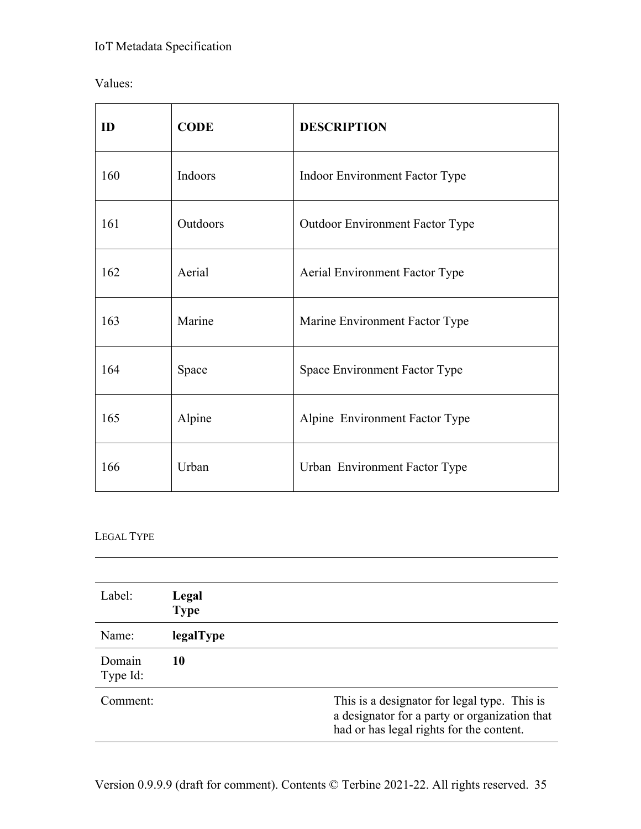| Values: |
|---------|
|         |

| ID  | <b>CODE</b> | <b>DESCRIPTION</b>                     |
|-----|-------------|----------------------------------------|
| 160 | Indoors     | Indoor Environment Factor Type         |
| 161 | Outdoors    | <b>Outdoor Environment Factor Type</b> |
| 162 | Aerial      | <b>Aerial Environment Factor Type</b>  |
| 163 | Marine      | Marine Environment Factor Type         |
| 164 | Space       | Space Environment Factor Type          |
| 165 | Alpine      | Alpine Environment Factor Type         |
| 166 | Urban       | Urban Environment Factor Type          |

# LEGAL TYPE

| Label:             | Legal<br><b>Type</b> |                                                                                                                                           |
|--------------------|----------------------|-------------------------------------------------------------------------------------------------------------------------------------------|
| Name:              | legalType            |                                                                                                                                           |
| Domain<br>Type Id: | 10                   |                                                                                                                                           |
| Comment:           |                      | This is a designator for legal type. This is<br>a designator for a party or organization that<br>had or has legal rights for the content. |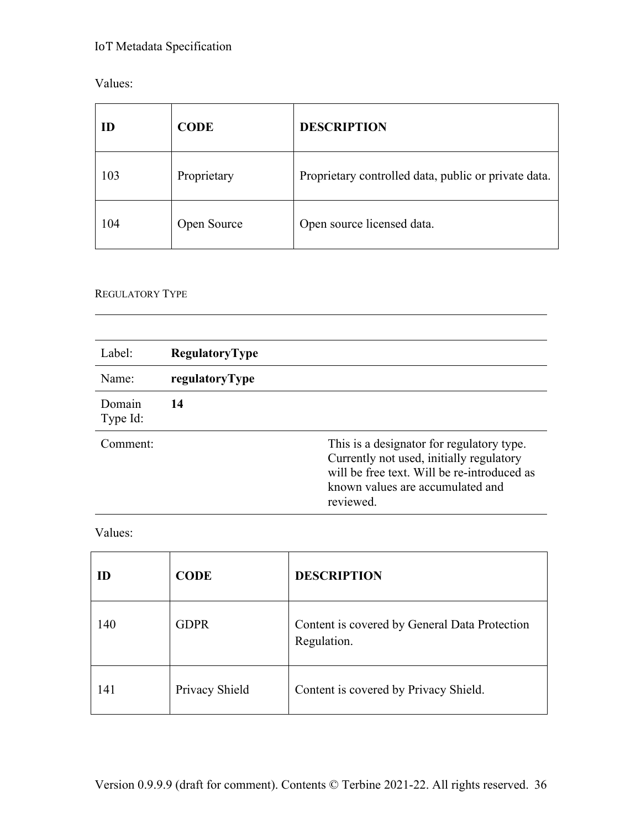| Values: |
|---------|
|---------|

| ID  | <b>CODE</b> | <b>DESCRIPTION</b>                                   |
|-----|-------------|------------------------------------------------------|
| 103 | Proprietary | Proprietary controlled data, public or private data. |
| 104 | Open Source | Open source licensed data.                           |

# REGULATORY TYPE

| Label:             | RegulatoryType |                                                                                                                                                                                       |
|--------------------|----------------|---------------------------------------------------------------------------------------------------------------------------------------------------------------------------------------|
| Name:              | regulatoryType |                                                                                                                                                                                       |
| Domain<br>Type Id: | 14             |                                                                                                                                                                                       |
| Comment:           |                | This is a designator for regulatory type.<br>Currently not used, initially regulatory<br>will be free text. Will be re-introduced as<br>known values are accumulated and<br>reviewed. |

Values:

| ID  | <b>CODE</b>    | <b>DESCRIPTION</b>                                           |
|-----|----------------|--------------------------------------------------------------|
| 140 | <b>GDPR</b>    | Content is covered by General Data Protection<br>Regulation. |
| 141 | Privacy Shield | Content is covered by Privacy Shield.                        |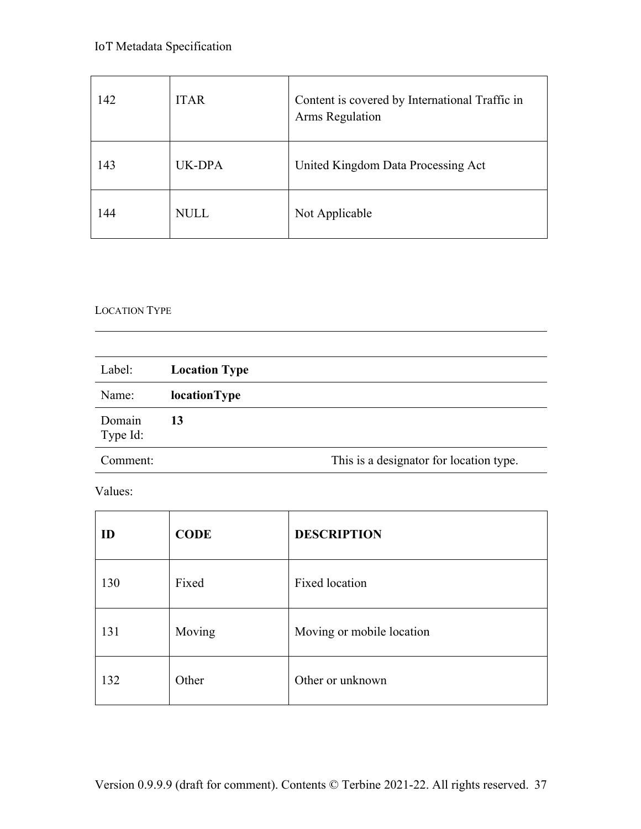| 142 | <b>ITAR</b> | Content is covered by International Traffic in<br>Arms Regulation |
|-----|-------------|-------------------------------------------------------------------|
| 143 | UK-DPA      | United Kingdom Data Processing Act                                |
| 144 | <b>NULL</b> | Not Applicable                                                    |

## LOCATION TYPE

| Label:             | <b>Location Type</b> |                                         |
|--------------------|----------------------|-----------------------------------------|
| Name:              | locationType         |                                         |
| Domain<br>Type Id: | 13                   |                                         |
| Comment:           |                      | This is a designator for location type. |

| ID  | <b>CODE</b> | <b>DESCRIPTION</b>        |
|-----|-------------|---------------------------|
| 130 | Fixed       | <b>Fixed location</b>     |
| 131 | Moving      | Moving or mobile location |
| 132 | Other       | Other or unknown          |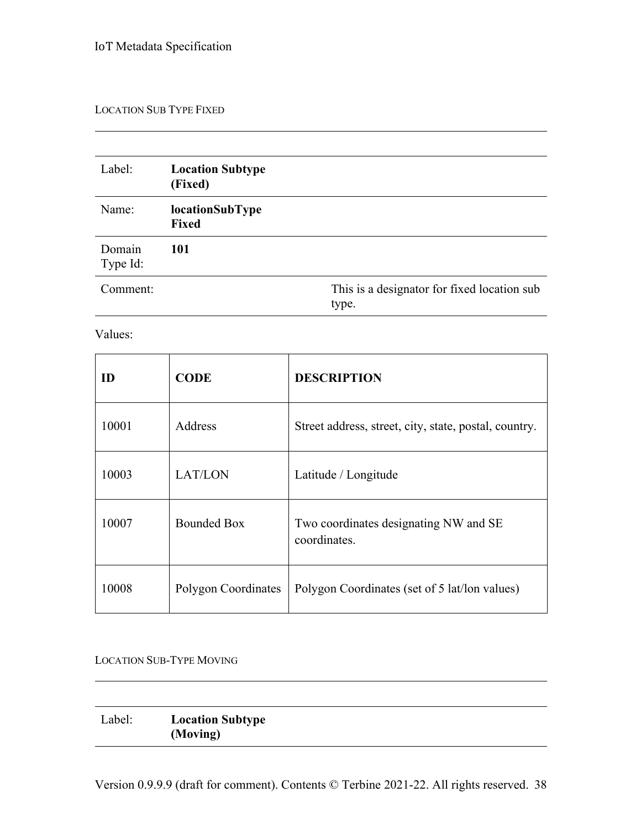#### LOCATION SUB TYPE FIXED

| Label:             | <b>Location Subtype</b><br>(Fixed) |                                                      |
|--------------------|------------------------------------|------------------------------------------------------|
| Name:              | locationSubType<br><b>Fixed</b>    |                                                      |
| Domain<br>Type Id: | <b>101</b>                         |                                                      |
| Comment:           |                                    | This is a designator for fixed location sub<br>type. |

Values:

| ID    | <b>CODE</b>         | <b>DESCRIPTION</b>                                    |
|-------|---------------------|-------------------------------------------------------|
| 10001 | Address             | Street address, street, city, state, postal, country. |
| 10003 | LAT/LON             | Latitude / Longitude                                  |
| 10007 | <b>Bounded Box</b>  | Two coordinates designating NW and SE<br>coordinates. |
| 10008 | Polygon Coordinates | Polygon Coordinates (set of 5 lat/lon values)         |

#### LOCATION SUB-TYPE MOVING

| Label: | <b>Location Subtype</b> |
|--------|-------------------------|
|        | (Moving)                |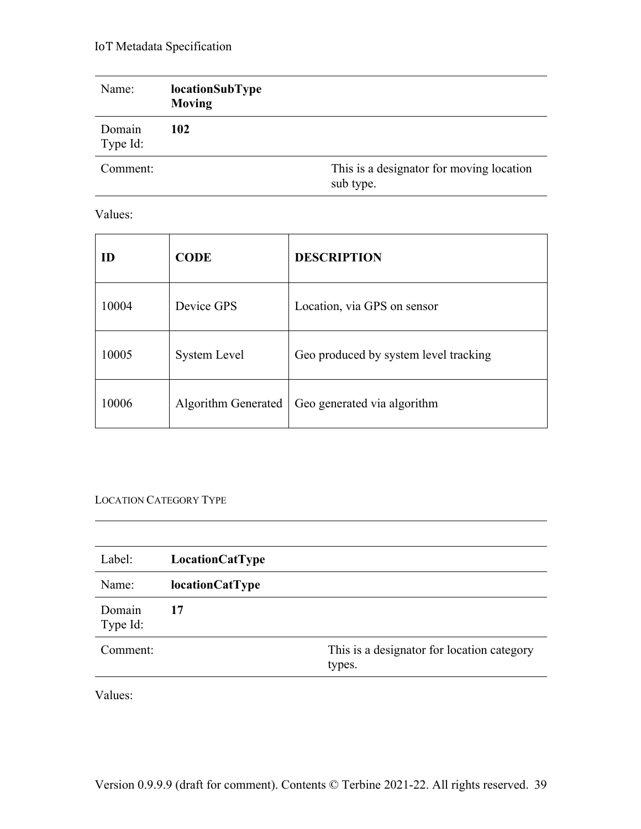| Name:              | locationSubType<br><b>Moving</b> |                                                       |
|--------------------|----------------------------------|-------------------------------------------------------|
| Domain<br>Type Id: | 102                              |                                                       |
| Comment:           |                                  | This is a designator for moving location<br>sub type. |

Values:

| ID    | <b>CODE</b>         | <b>DESCRIPTION</b>                    |
|-------|---------------------|---------------------------------------|
| 10004 | Device GPS          | Location, via GPS on sensor           |
| 10005 | <b>System Level</b> | Geo produced by system level tracking |
| 10006 | Algorithm Generated | Geo generated via algorithm           |

LOCATION CATEGORY TYPE

| LocationCatType        |                                                      |
|------------------------|------------------------------------------------------|
| <b>locationCatType</b> |                                                      |
| 17                     |                                                      |
|                        | This is a designator for location category<br>types. |
|                        |                                                      |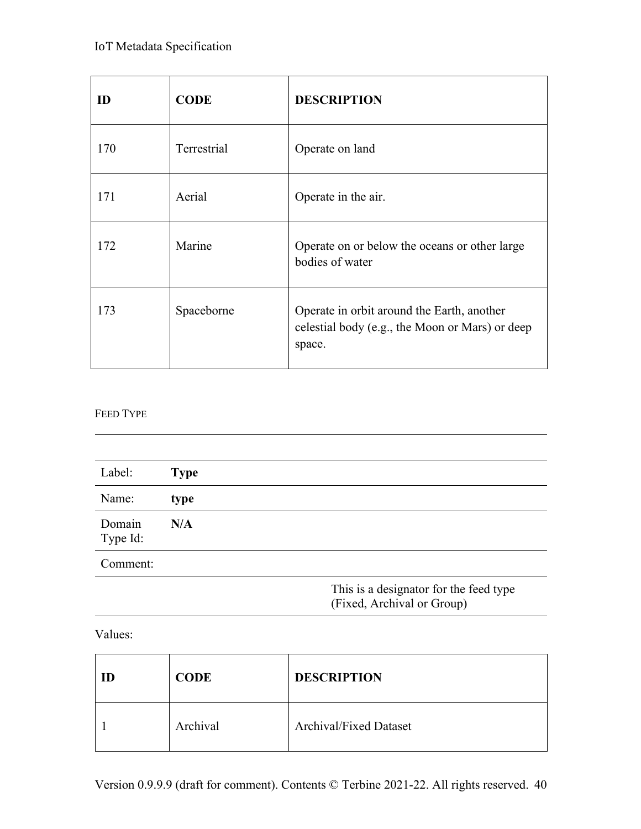| ID  | <b>CODE</b> | <b>DESCRIPTION</b>                                                                                      |
|-----|-------------|---------------------------------------------------------------------------------------------------------|
| 170 | Terrestrial | Operate on land                                                                                         |
| 171 | Aerial      | Operate in the air.                                                                                     |
| 172 | Marine      | Operate on or below the oceans or other large<br>bodies of water                                        |
| 173 | Spaceborne  | Operate in orbit around the Earth, another<br>celestial body (e.g., the Moon or Mars) or deep<br>space. |

#### FEED TYPE

| Label:             | <b>Type</b> |
|--------------------|-------------|
| Name:              | type        |
| Domain<br>Type Id: | N/A         |
| Comment:           |             |

This is a designator for the feed type (Fixed, Archival or Group)

| ID | <b>CODE</b> | <b>DESCRIPTION</b>            |
|----|-------------|-------------------------------|
|    | Archival    | <b>Archival/Fixed Dataset</b> |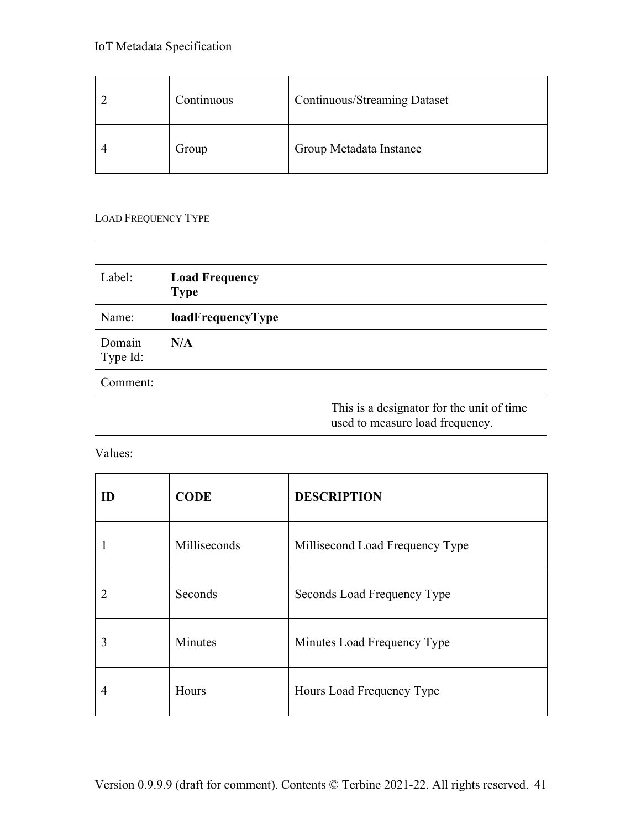| Continuous | <b>Continuous/Streaming Dataset</b> |
|------------|-------------------------------------|
| Group      | Group Metadata Instance             |

#### LOAD FREQUENCY TYPE

| Label:             | <b>Load Frequency</b><br><b>Type</b> |                                           |
|--------------------|--------------------------------------|-------------------------------------------|
| Name:              | loadFrequencyType                    |                                           |
| Domain<br>Type Id: | N/A                                  |                                           |
| Comment:           |                                      |                                           |
|                    |                                      | This is a designator for the unit of time |

used to measure load frequency.

| ID | <b>CODE</b>  | <b>DESCRIPTION</b>              |
|----|--------------|---------------------------------|
|    | Milliseconds | Millisecond Load Frequency Type |
| 2  | Seconds      | Seconds Load Frequency Type     |
| 3  | Minutes      | Minutes Load Frequency Type     |
| 4  | Hours        | Hours Load Frequency Type       |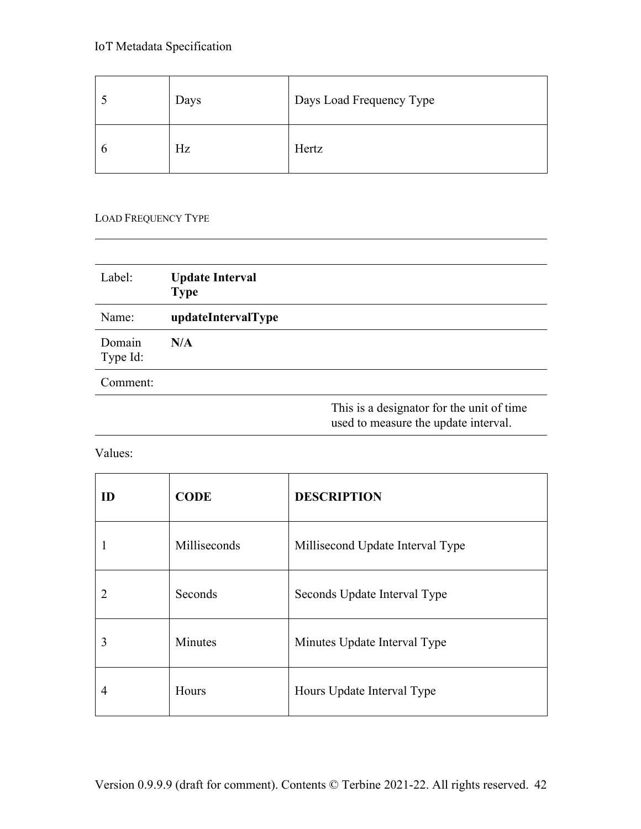| Days | Days Load Frequency Type |
|------|--------------------------|
| Hz   | Hertz                    |

#### LOAD FREQUENCY TYPE

| Label:             | <b>Update Interval</b><br><b>Type</b> |                                                                                    |
|--------------------|---------------------------------------|------------------------------------------------------------------------------------|
| Name:              | updateIntervalType                    |                                                                                    |
| Domain<br>Type Id: | N/A                                   |                                                                                    |
| Comment:           |                                       |                                                                                    |
|                    |                                       | This is a designator for the unit of time.<br>used to measure the update interval. |

| ID | <b>CODE</b>  | <b>DESCRIPTION</b>               |
|----|--------------|----------------------------------|
|    | Milliseconds | Millisecond Update Interval Type |
| 2  | Seconds      | Seconds Update Interval Type     |
| 3  | Minutes      | Minutes Update Interval Type     |
| 4  | Hours        | Hours Update Interval Type       |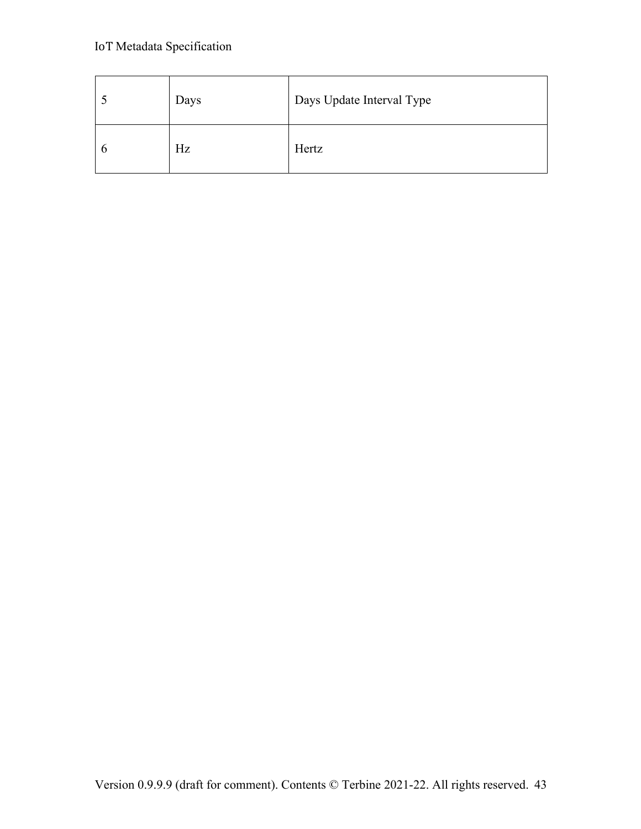| Days | Days Update Interval Type |
|------|---------------------------|
| Hz   | Hertz                     |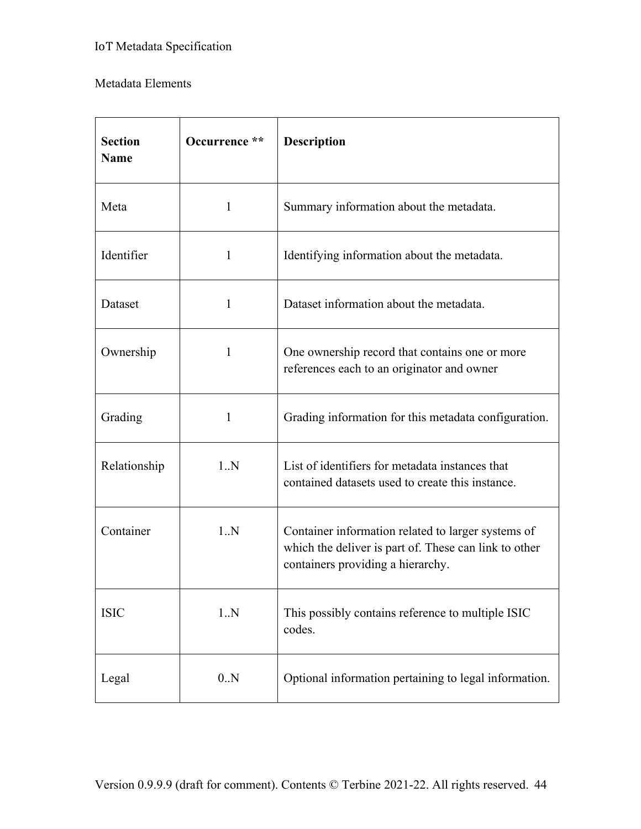## Metadata Elements

| <b>Section</b><br><b>Name</b> | Occurrence ** | <b>Description</b>                                                                                                                               |  |
|-------------------------------|---------------|--------------------------------------------------------------------------------------------------------------------------------------------------|--|
| Meta                          | $\mathbf{1}$  | Summary information about the metadata.                                                                                                          |  |
| Identifier                    | $\mathbf{1}$  | Identifying information about the metadata.                                                                                                      |  |
| Dataset                       | $\mathbf{1}$  | Dataset information about the metadata.                                                                                                          |  |
| Ownership                     | 1             | One ownership record that contains one or more<br>references each to an originator and owner                                                     |  |
| Grading                       | 1             | Grading information for this metadata configuration.                                                                                             |  |
| Relationship                  | 1.N           | List of identifiers for metadata instances that<br>contained datasets used to create this instance.                                              |  |
| Container                     | 1.N           | Container information related to larger systems of<br>which the deliver is part of. These can link to other<br>containers providing a hierarchy. |  |
| <b>ISIC</b>                   | 1.N           | This possibly contains reference to multiple ISIC<br>codes.                                                                                      |  |
| Legal                         | 0.N           | Optional information pertaining to legal information.                                                                                            |  |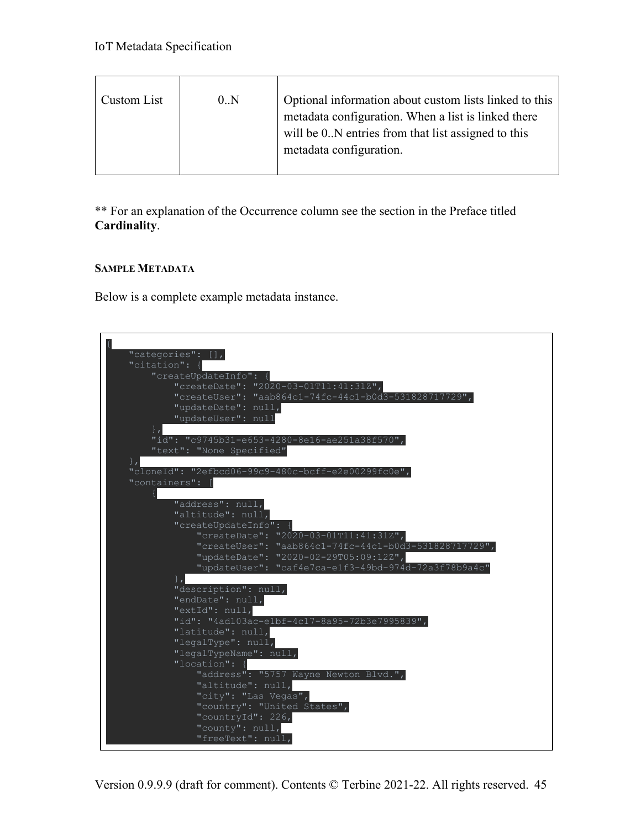| Custom List | 0.N | Optional information about custom lists linked to this<br>metadata configuration. When a list is linked there<br>will be 0. N entries from that list assigned to this<br>metadata configuration. |
|-------------|-----|--------------------------------------------------------------------------------------------------------------------------------------------------------------------------------------------------|
|             |     |                                                                                                                                                                                                  |

\*\* For an explanation of the Occurrence column see the section in the Preface titled **Cardinality**.

#### **SAMPLE METADATA**

Below is a complete example metadata instance.

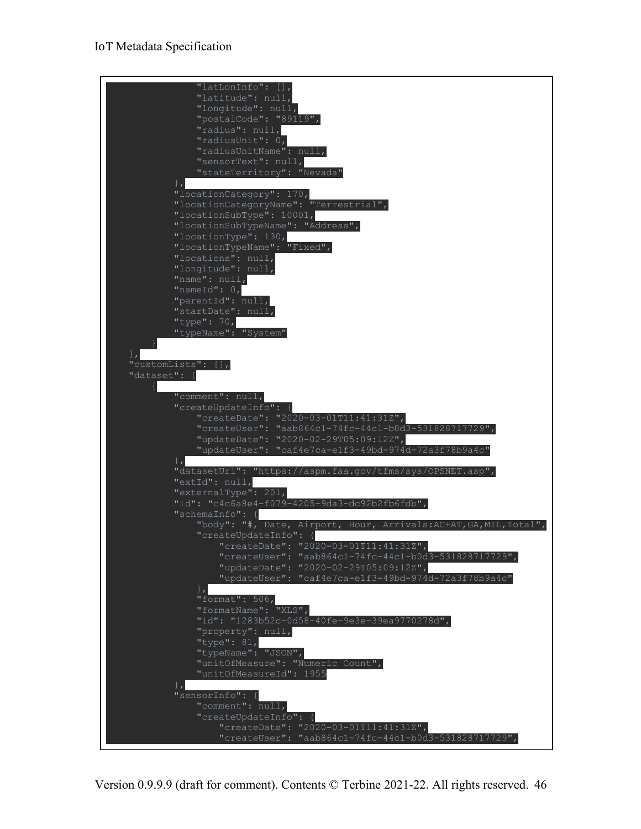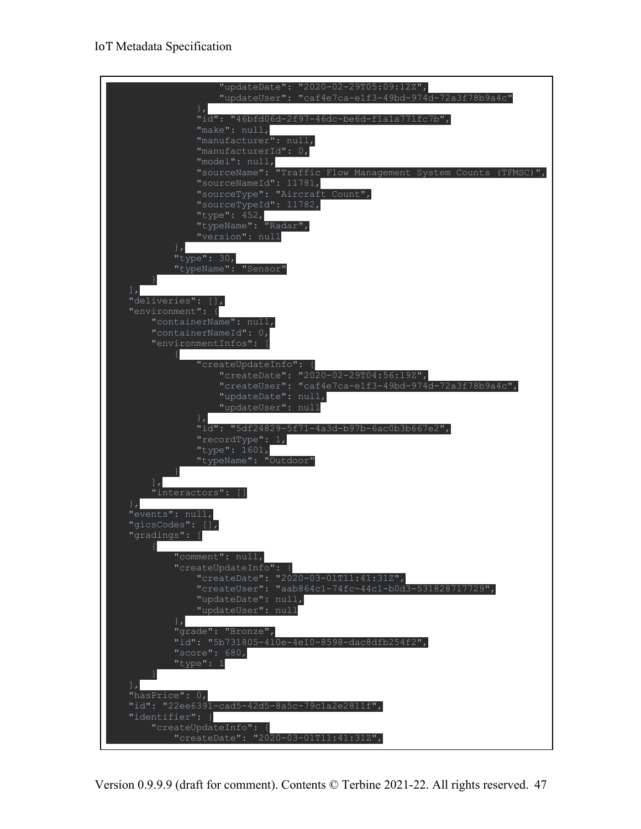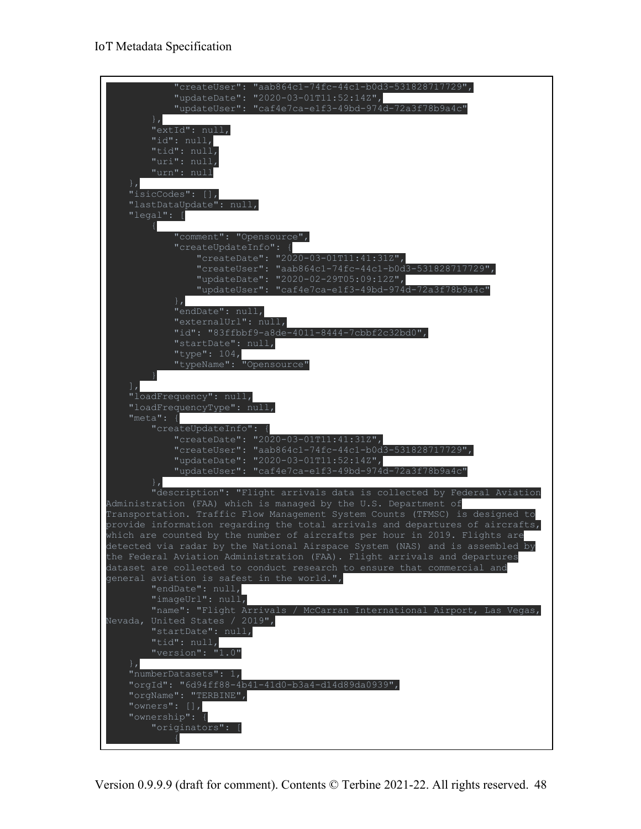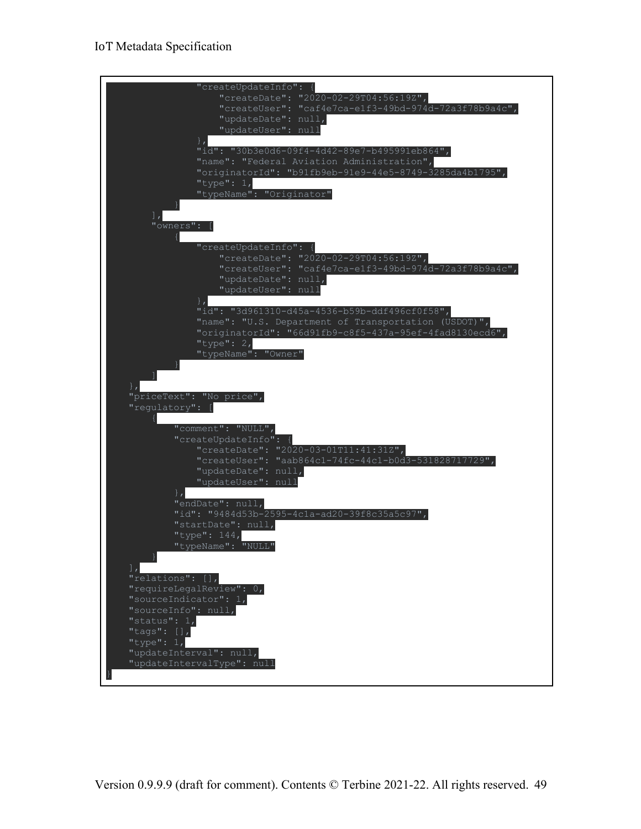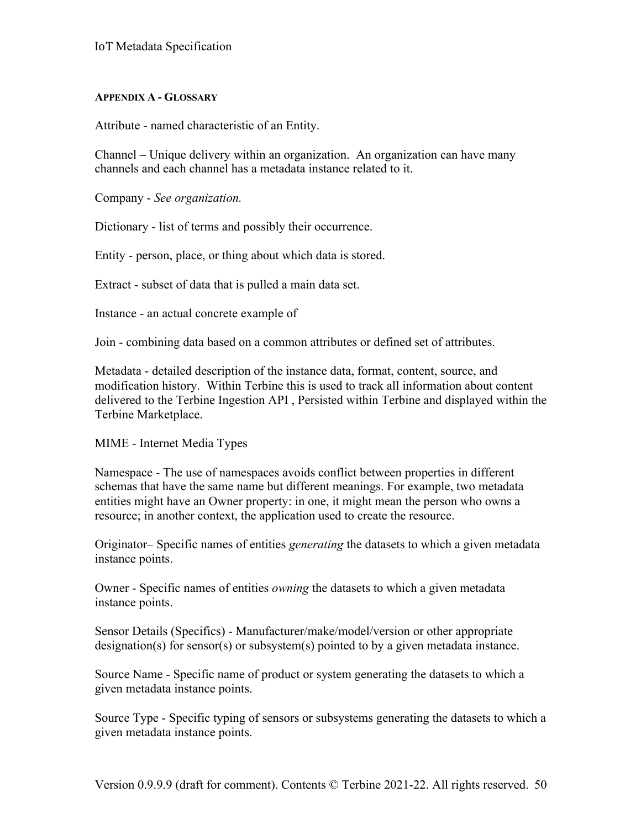#### **APPENDIX A - GLOSSARY**

Attribute - named characteristic of an Entity.

Channel – Unique delivery within an organization. An organization can have many channels and each channel has a metadata instance related to it.

Company - *See organization.*

Dictionary - list of terms and possibly their occurrence.

Entity - person, place, or thing about which data is stored.

Extract - subset of data that is pulled a main data set.

Instance - an actual concrete example of

Join - combining data based on a common attributes or defined set of attributes.

Metadata - detailed description of the instance data, format, content, source, and modification history. Within Terbine this is used to track all information about content delivered to the Terbine Ingestion API , Persisted within Terbine and displayed within the Terbine Marketplace.

MIME - Internet Media Types

Namespace - The use of namespaces avoids conflict between properties in different schemas that have the same name but different meanings. For example, two metadata entities might have an Owner property: in one, it might mean the person who owns a resource; in another context, the application used to create the resource.

Originator– Specific names of entities *generating* the datasets to which a given metadata instance points.

Owner - Specific names of entities *owning* the datasets to which a given metadata instance points.

Sensor Details (Specifics) - Manufacturer/make/model/version or other appropriate designation(s) for sensor(s) or subsystem(s) pointed to by a given metadata instance.

Source Name - Specific name of product or system generating the datasets to which a given metadata instance points.

Source Type - Specific typing of sensors or subsystems generating the datasets to which a given metadata instance points.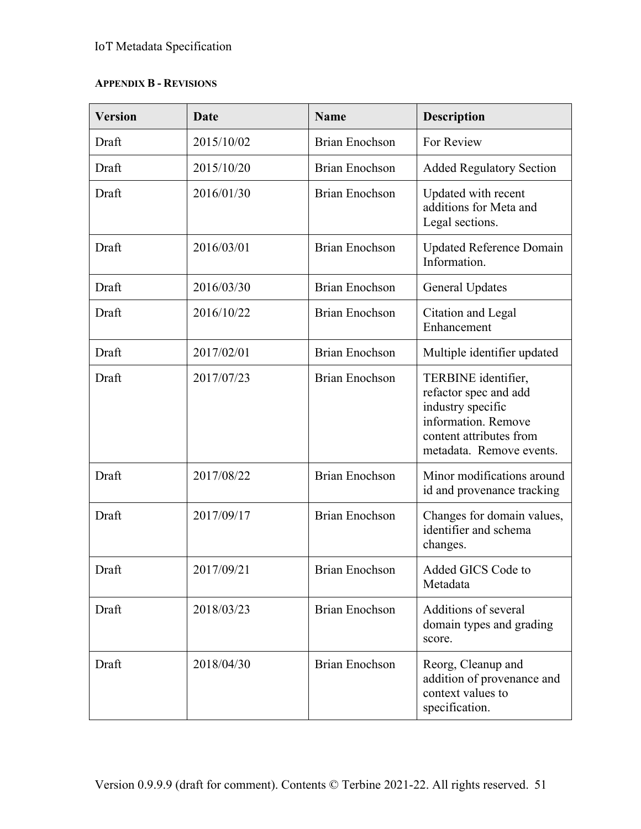## **APPENDIX B - REVISIONS**

| <b>Version</b> | Date       | <b>Name</b>           | <b>Description</b>                                                                                                                              |
|----------------|------------|-----------------------|-------------------------------------------------------------------------------------------------------------------------------------------------|
| Draft          | 2015/10/02 | <b>Brian Enochson</b> | For Review                                                                                                                                      |
| Draft          | 2015/10/20 | <b>Brian Enochson</b> | <b>Added Regulatory Section</b>                                                                                                                 |
| Draft          | 2016/01/30 | <b>Brian Enochson</b> | Updated with recent<br>additions for Meta and<br>Legal sections.                                                                                |
| Draft          | 2016/03/01 | <b>Brian Enochson</b> | <b>Updated Reference Domain</b><br>Information.                                                                                                 |
| Draft          | 2016/03/30 | <b>Brian Enochson</b> | <b>General Updates</b>                                                                                                                          |
| Draft          | 2016/10/22 | <b>Brian Enochson</b> | Citation and Legal<br>Enhancement                                                                                                               |
| Draft          | 2017/02/01 | <b>Brian Enochson</b> | Multiple identifier updated                                                                                                                     |
| Draft          | 2017/07/23 | <b>Brian Enochson</b> | TERBINE identifier,<br>refactor spec and add<br>industry specific<br>information. Remove<br>content attributes from<br>metadata. Remove events. |
| Draft          | 2017/08/22 | <b>Brian Enochson</b> | Minor modifications around<br>id and provenance tracking                                                                                        |
| Draft          | 2017/09/17 | <b>Brian Enochson</b> | Changes for domain values,<br>identifier and schema<br>changes.                                                                                 |
| Draft          | 2017/09/21 | <b>Brian Enochson</b> | Added GICS Code to<br>Metadata                                                                                                                  |
| Draft          | 2018/03/23 | <b>Brian Enochson</b> | Additions of several<br>domain types and grading<br>score.                                                                                      |
| Draft          | 2018/04/30 | <b>Brian Enochson</b> | Reorg, Cleanup and<br>addition of provenance and<br>context values to<br>specification.                                                         |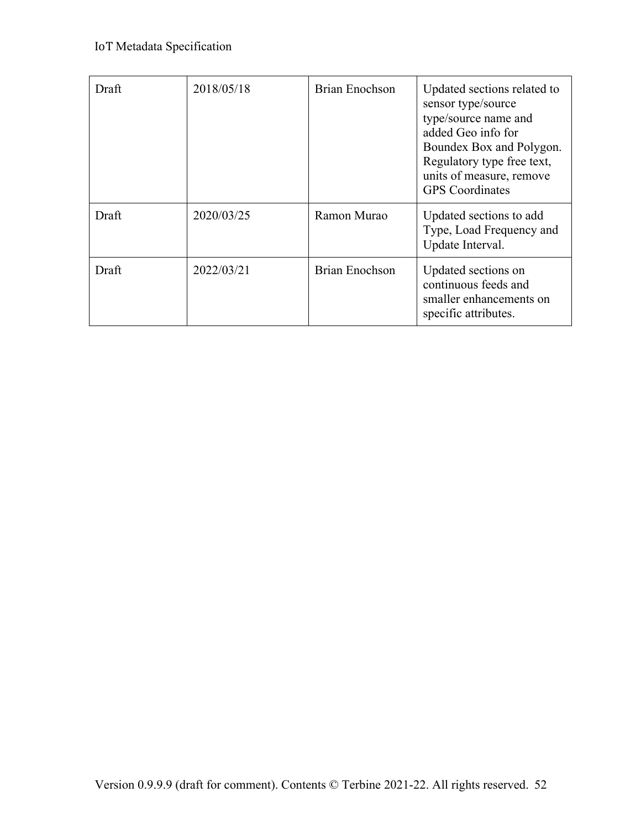| Draft | 2018/05/18 | <b>Brian Enochson</b> | Updated sections related to<br>sensor type/source<br>type/source name and<br>added Geo info for<br>Boundex Box and Polygon.<br>Regulatory type free text,<br>units of measure, remove<br><b>GPS</b> Coordinates |
|-------|------------|-----------------------|-----------------------------------------------------------------------------------------------------------------------------------------------------------------------------------------------------------------|
| Draft | 2020/03/25 | Ramon Murao           | Updated sections to add<br>Type, Load Frequency and<br>Update Interval.                                                                                                                                         |
| Draft | 2022/03/21 | <b>Brian Enochson</b> | Updated sections on<br>continuous feeds and<br>smaller enhancements on<br>specific attributes.                                                                                                                  |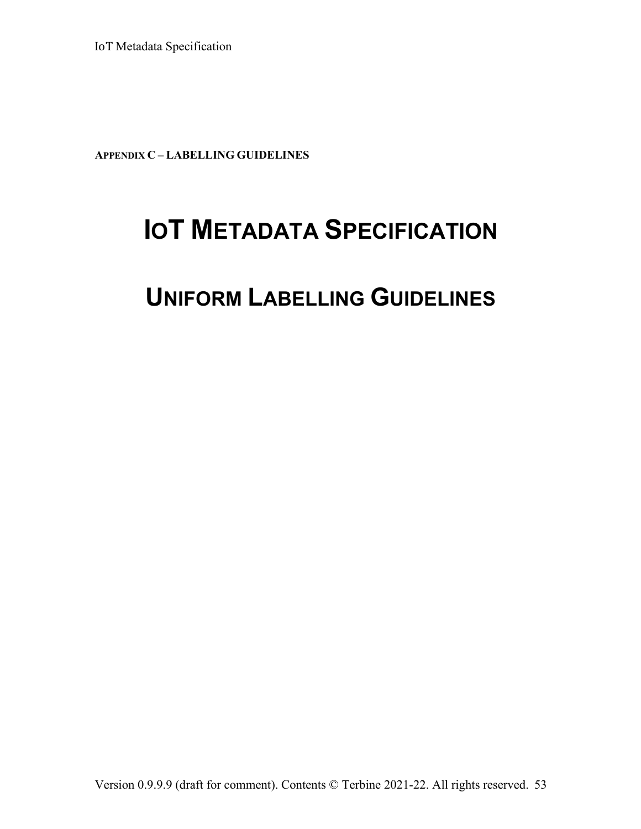**APPENDIX C – LABELLING GUIDELINES**

# **IOT METADATA SPECIFICATION**

# **UNIFORM LABELLING GUIDELINES**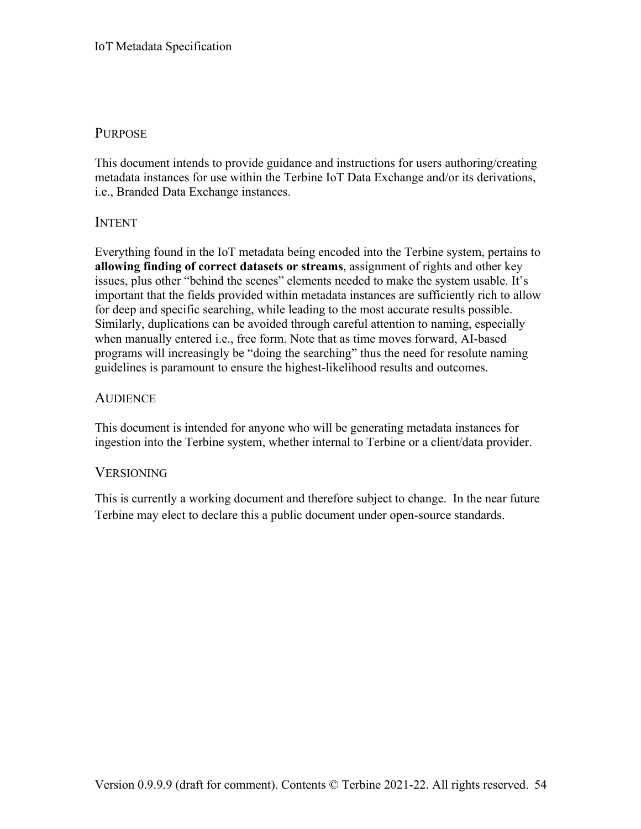## **PURPOSE**

This document intends to provide guidance and instructions for users authoring/creating metadata instances for use within the Terbine IoT Data Exchange and/or its derivations, i.e., Branded Data Exchange instances.

## INTENT

Everything found in the IoT metadata being encoded into the Terbine system, pertains to **allowing finding of correct datasets or streams**, assignment of rights and other key issues, plus other "behind the scenes" elements needed to make the system usable. It's important that the fields provided within metadata instances are sufficiently rich to allow for deep and specific searching, while leading to the most accurate results possible. Similarly, duplications can be avoided through careful attention to naming, especially when manually entered i.e., free form. Note that as time moves forward, AI-based programs will increasingly be "doing the searching" thus the need for resolute naming guidelines is paramount to ensure the highest-likelihood results and outcomes.

## **AUDIENCE**

This document is intended for anyone who will be generating metadata instances for ingestion into the Terbine system, whether internal to Terbine or a client/data provider.

## **VERSIONING**

This is currently a working document and therefore subject to change. In the near future Terbine may elect to declare this a public document under open-source standards.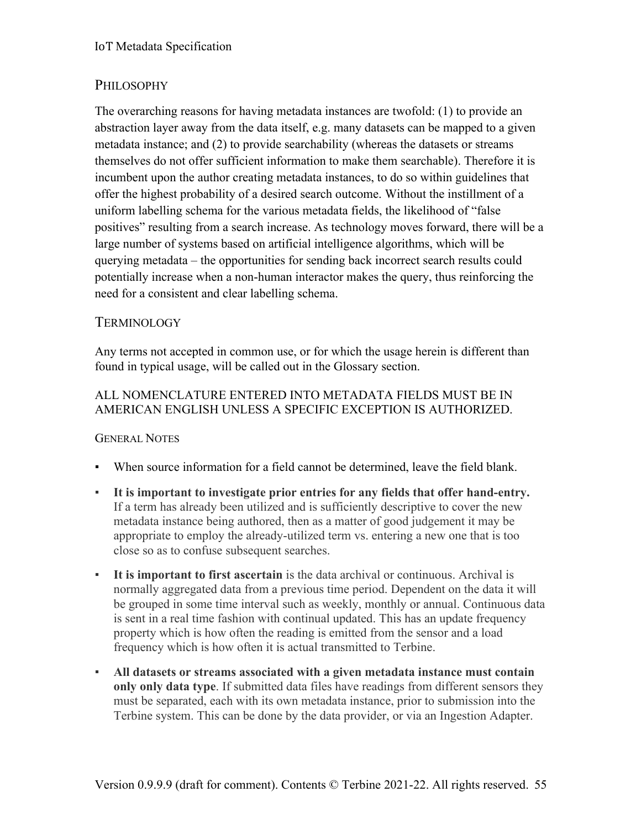## PHILOSOPHY

The overarching reasons for having metadata instances are twofold: (1) to provide an abstraction layer away from the data itself, e.g. many datasets can be mapped to a given metadata instance; and (2) to provide searchability (whereas the datasets or streams themselves do not offer sufficient information to make them searchable). Therefore it is incumbent upon the author creating metadata instances, to do so within guidelines that offer the highest probability of a desired search outcome. Without the instillment of a uniform labelling schema for the various metadata fields, the likelihood of "false positives" resulting from a search increase. As technology moves forward, there will be a large number of systems based on artificial intelligence algorithms, which will be querying metadata – the opportunities for sending back incorrect search results could potentially increase when a non-human interactor makes the query, thus reinforcing the need for a consistent and clear labelling schema.

## **TERMINOLOGY**

Any terms not accepted in common use, or for which the usage herein is different than found in typical usage, will be called out in the Glossary section.

## ALL NOMENCLATURE ENTERED INTO METADATA FIELDS MUST BE IN AMERICAN ENGLISH UNLESS A SPECIFIC EXCEPTION IS AUTHORIZED.

## GENERAL NOTES

- When source information for a field cannot be determined, leave the field blank.
- **It is important to investigate prior entries for any fields that offer hand-entry.** If a term has already been utilized and is sufficiently descriptive to cover the new metadata instance being authored, then as a matter of good judgement it may be appropriate to employ the already-utilized term vs. entering a new one that is too close so as to confuse subsequent searches.
- **It is important to first ascertain** is the data archival or continuous. Archival is normally aggregated data from a previous time period. Dependent on the data it will be grouped in some time interval such as weekly, monthly or annual. Continuous data is sent in a real time fashion with continual updated. This has an update frequency property which is how often the reading is emitted from the sensor and a load frequency which is how often it is actual transmitted to Terbine.
- **All datasets or streams associated with a given metadata instance must contain only only data type**. If submitted data files have readings from different sensors they must be separated, each with its own metadata instance, prior to submission into the Terbine system. This can be done by the data provider, or via an Ingestion Adapter.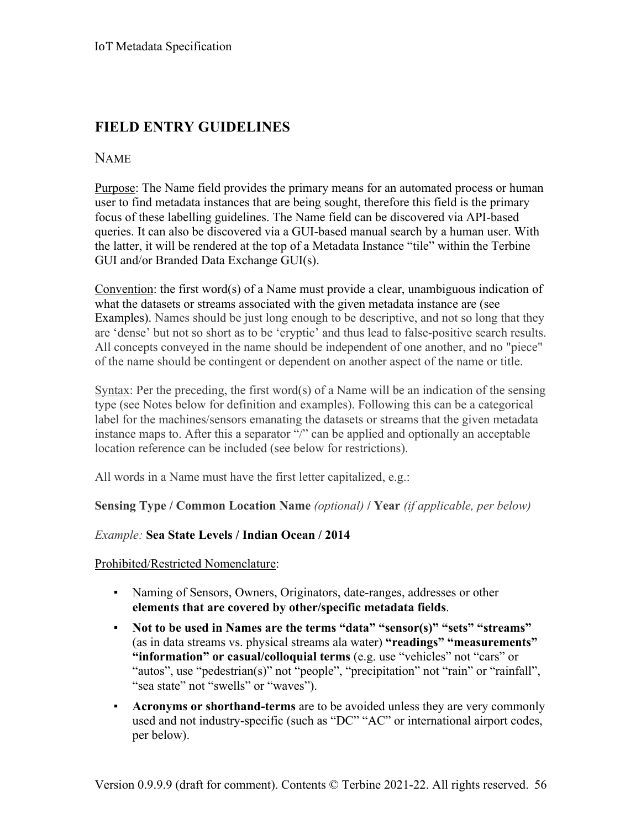## **FIELD ENTRY GUIDELINES**

## NAME

Purpose: The Name field provides the primary means for an automated process or human user to find metadata instances that are being sought, therefore this field is the primary focus of these labelling guidelines. The Name field can be discovered via API-based queries. It can also be discovered via a GUI-based manual search by a human user. With the latter, it will be rendered at the top of a Metadata Instance "tile" within the Terbine GUI and/or Branded Data Exchange GUI(s).

Convention: the first word(s) of a Name must provide a clear, unambiguous indication of what the datasets or streams associated with the given metadata instance are (see Examples). Names should be just long enough to be descriptive, and not so long that they are 'dense' but not so short as to be 'cryptic' and thus lead to false-positive search results. All concepts conveyed in the name should be independent of one another, and no "piece" of the name should be contingent or dependent on another aspect of the name or title.

Syntax: Per the preceding, the first word(s) of a Name will be an indication of the sensing type (see Notes below for definition and examples). Following this can be a categorical label for the machines/sensors emanating the datasets or streams that the given metadata instance maps to. After this a separator "/" can be applied and optionally an acceptable location reference can be included (see below for restrictions).

All words in a Name must have the first letter capitalized, e.g.:

#### **Sensing Type / Common Location Name** *(optional)* **/ Year** *(if applicable, per below)*

#### *Example:* **Sea State Levels / Indian Ocean / 2014**

Prohibited/Restricted Nomenclature:

- Naming of Sensors, Owners, Originators, date-ranges, addresses or other **elements that are covered by other/specific metadata fields**.
- **Not to be used in Names are the terms "data" "sensor(s)" "sets" "streams"** (as in data streams vs. physical streams ala water) **"readings" "measurements" "information" or casual/colloquial terms** (e.g. use "vehicles" not "cars" or "autos", use "pedestrian(s)" not "people", "precipitation" not "rain" or "rainfall", "sea state" not "swells" or "waves").
- **Acronyms or shorthand-terms** are to be avoided unless they are very commonly used and not industry-specific (such as "DC" "AC" or international airport codes, per below).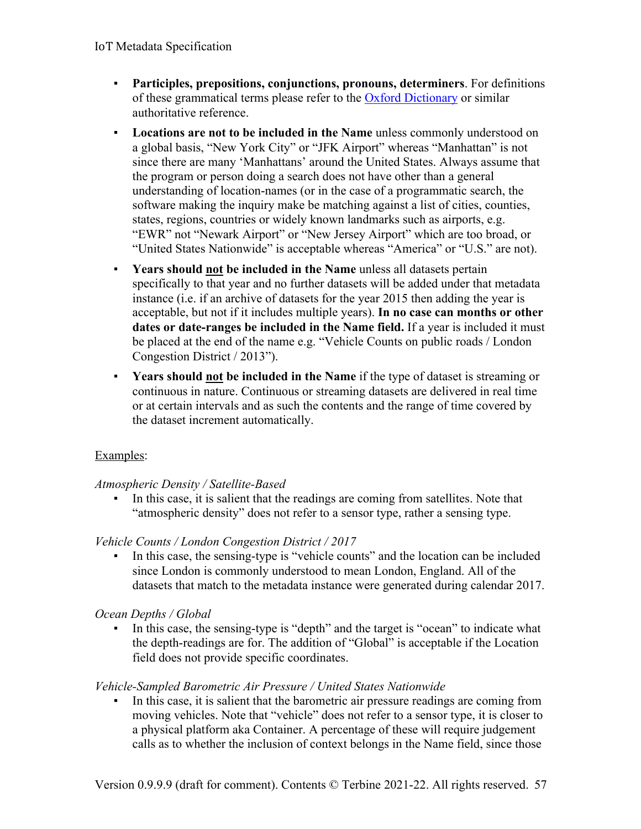- **Participles, prepositions, conjunctions, pronouns, determiners**. For definitions of these grammatical terms please refer to the Oxford Dictionary or similar authoritative reference.
- **Locations are not to be included in the Name** unless commonly understood on a global basis, "New York City" or "JFK Airport" whereas "Manhattan" is not since there are many 'Manhattans' around the United States. Always assume that the program or person doing a search does not have other than a general understanding of location-names (or in the case of a programmatic search, the software making the inquiry make be matching against a list of cities, counties, states, regions, countries or widely known landmarks such as airports, e.g. "EWR" not "Newark Airport" or "New Jersey Airport" which are too broad, or "United States Nationwide" is acceptable whereas "America" or "U.S." are not).
- **Years should not be included in the Name** unless all datasets pertain specifically to that year and no further datasets will be added under that metadata instance (i.e. if an archive of datasets for the year 2015 then adding the year is acceptable, but not if it includes multiple years). **In no case can months or other dates or date-ranges be included in the Name field.** If a year is included it must be placed at the end of the name e.g. "Vehicle Counts on public roads / London Congestion District / 2013").
- **Years should not be included in the Name** if the type of dataset is streaming or continuous in nature. Continuous or streaming datasets are delivered in real time or at certain intervals and as such the contents and the range of time covered by the dataset increment automatically.

## Examples:

## *Atmospheric Density / Satellite-Based*

In this case, it is salient that the readings are coming from satellites. Note that "atmospheric density" does not refer to a sensor type, rather a sensing type.

## *Vehicle Counts / London Congestion District / 2017*

▪ In this case, the sensing-type is "vehicle counts" and the location can be included since London is commonly understood to mean London, England. All of the datasets that match to the metadata instance were generated during calendar 2017.

## *Ocean Depths / Global*

In this case, the sensing-type is "depth" and the target is "ocean" to indicate what the depth-readings are for. The addition of "Global" is acceptable if the Location field does not provide specific coordinates.

## *Vehicle-Sampled Barometric Air Pressure / United States Nationwide*

In this case, it is salient that the barometric air pressure readings are coming from moving vehicles. Note that "vehicle" does not refer to a sensor type, it is closer to a physical platform aka Container. A percentage of these will require judgement calls as to whether the inclusion of context belongs in the Name field, since those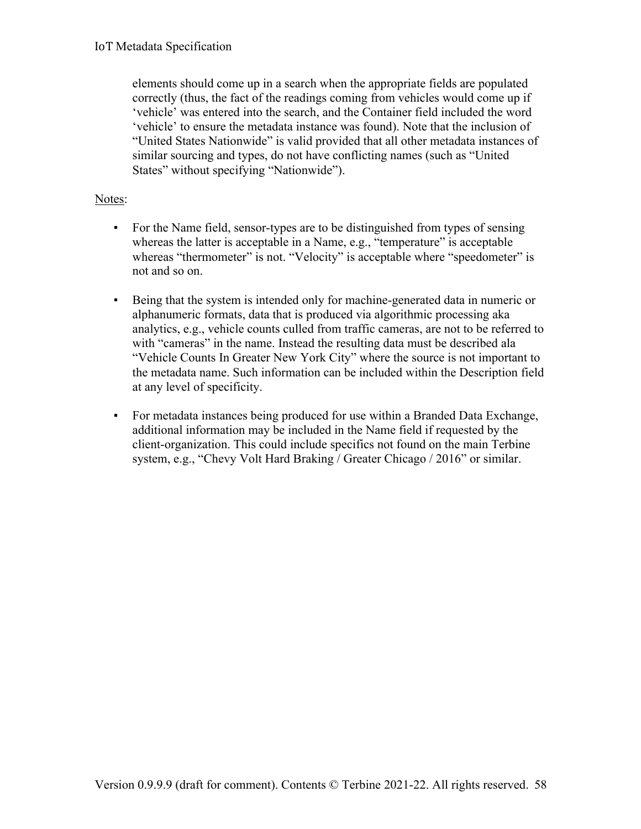elements should come up in a search when the appropriate fields are populated correctly (thus, the fact of the readings coming from vehicles would come up if 'vehicle' was entered into the search, and the Container field included the word 'vehicle' to ensure the metadata instance was found). Note that the inclusion of "United States Nationwide" is valid provided that all other metadata instances of similar sourcing and types, do not have conflicting names (such as "United States" without specifying "Nationwide").

#### Notes:

- For the Name field, sensor-types are to be distinguished from types of sensing whereas the latter is acceptable in a Name, e.g., "temperature" is acceptable whereas "thermometer" is not. "Velocity" is acceptable where "speedometer" is not and so on.
- Being that the system is intended only for machine-generated data in numeric or alphanumeric formats, data that is produced via algorithmic processing aka analytics, e.g., vehicle counts culled from traffic cameras, are not to be referred to with "cameras" in the name. Instead the resulting data must be described ala "Vehicle Counts In Greater New York City" where the source is not important to the metadata name. Such information can be included within the Description field at any level of specificity.
- For metadata instances being produced for use within a Branded Data Exchange, additional information may be included in the Name field if requested by the client-organization. This could include specifics not found on the main Terbine system, e.g., "Chevy Volt Hard Braking / Greater Chicago / 2016" or similar.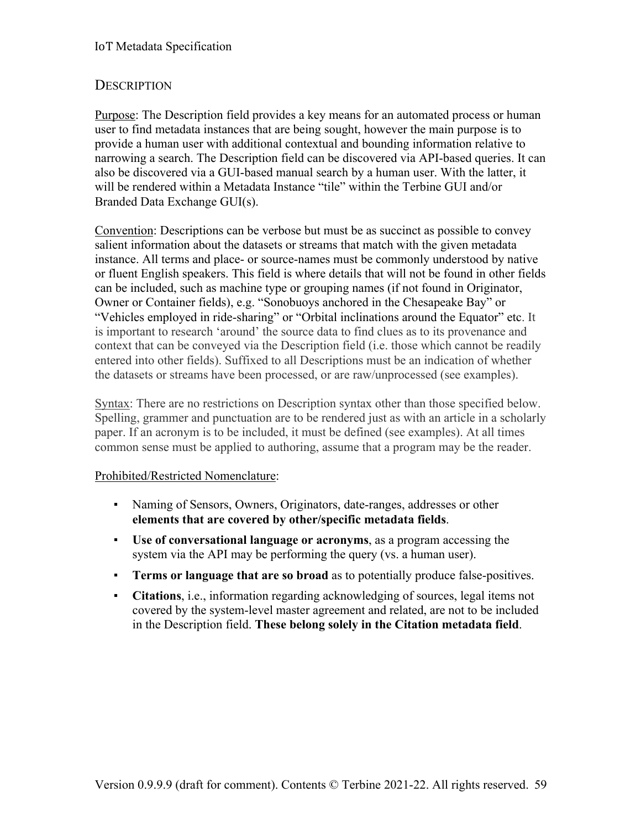## **DESCRIPTION**

Purpose: The Description field provides a key means for an automated process or human user to find metadata instances that are being sought, however the main purpose is to provide a human user with additional contextual and bounding information relative to narrowing a search. The Description field can be discovered via API-based queries. It can also be discovered via a GUI-based manual search by a human user. With the latter, it will be rendered within a Metadata Instance "tile" within the Terbine GUI and/or Branded Data Exchange GUI(s).

Convention: Descriptions can be verbose but must be as succinct as possible to convey salient information about the datasets or streams that match with the given metadata instance. All terms and place- or source-names must be commonly understood by native or fluent English speakers. This field is where details that will not be found in other fields can be included, such as machine type or grouping names (if not found in Originator, Owner or Container fields), e.g. "Sonobuoys anchored in the Chesapeake Bay" or "Vehicles employed in ride-sharing" or "Orbital inclinations around the Equator" etc. It is important to research 'around' the source data to find clues as to its provenance and context that can be conveyed via the Description field (i.e. those which cannot be readily entered into other fields). Suffixed to all Descriptions must be an indication of whether the datasets or streams have been processed, or are raw/unprocessed (see examples).

Syntax: There are no restrictions on Description syntax other than those specified below. Spelling, grammer and punctuation are to be rendered just as with an article in a scholarly paper. If an acronym is to be included, it must be defined (see examples). At all times common sense must be applied to authoring, assume that a program may be the reader.

## Prohibited/Restricted Nomenclature:

- Naming of Sensors, Owners, Originators, date-ranges, addresses or other **elements that are covered by other/specific metadata fields**.
- **Use of conversational language or acronyms**, as a program accessing the system via the API may be performing the query (vs. a human user).
- **Terms or language that are so broad** as to potentially produce false-positives.
- **Citations**, i.e., information regarding acknowledging of sources, legal items not covered by the system-level master agreement and related, are not to be included in the Description field. **These belong solely in the Citation metadata field**.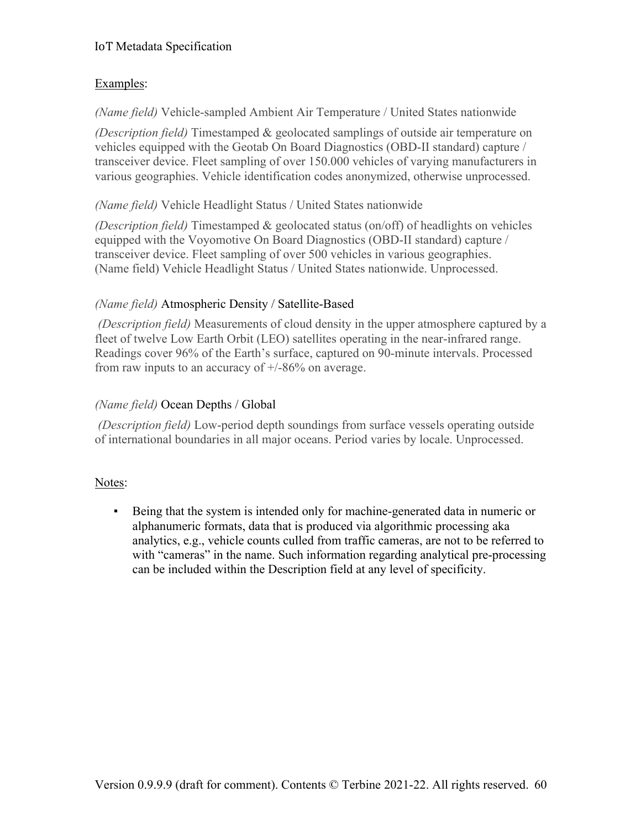## Examples:

*(Name field)* Vehicle-sampled Ambient Air Temperature / United States nationwide

*(Description field)* Timestamped & geolocated samplings of outside air temperature on vehicles equipped with the Geotab On Board Diagnostics (OBD-II standard) capture / transceiver device. Fleet sampling of over 150.000 vehicles of varying manufacturers in various geographies. Vehicle identification codes anonymized, otherwise unprocessed.

## *(Name field)* Vehicle Headlight Status / United States nationwide

*(Description field)* Timestamped & geolocated status (on/off) of headlights on vehicles equipped with the Voyomotive On Board Diagnostics (OBD-II standard) capture / transceiver device. Fleet sampling of over 500 vehicles in various geographies. (Name field) Vehicle Headlight Status / United States nationwide. Unprocessed.

## *(Name field)* Atmospheric Density / Satellite-Based

*(Description field)* Measurements of cloud density in the upper atmosphere captured by a fleet of twelve Low Earth Orbit (LEO) satellites operating in the near-infrared range. Readings cover 96% of the Earth's surface, captured on 90-minute intervals. Processed from raw inputs to an accuracy of  $+/86%$  on average.

## *(Name field)* Ocean Depths / Global

*(Description field)* Low-period depth soundings from surface vessels operating outside of international boundaries in all major oceans. Period varies by locale. Unprocessed.

## Notes:

▪ Being that the system is intended only for machine-generated data in numeric or alphanumeric formats, data that is produced via algorithmic processing aka analytics, e.g., vehicle counts culled from traffic cameras, are not to be referred to with "cameras" in the name. Such information regarding analytical pre-processing can be included within the Description field at any level of specificity.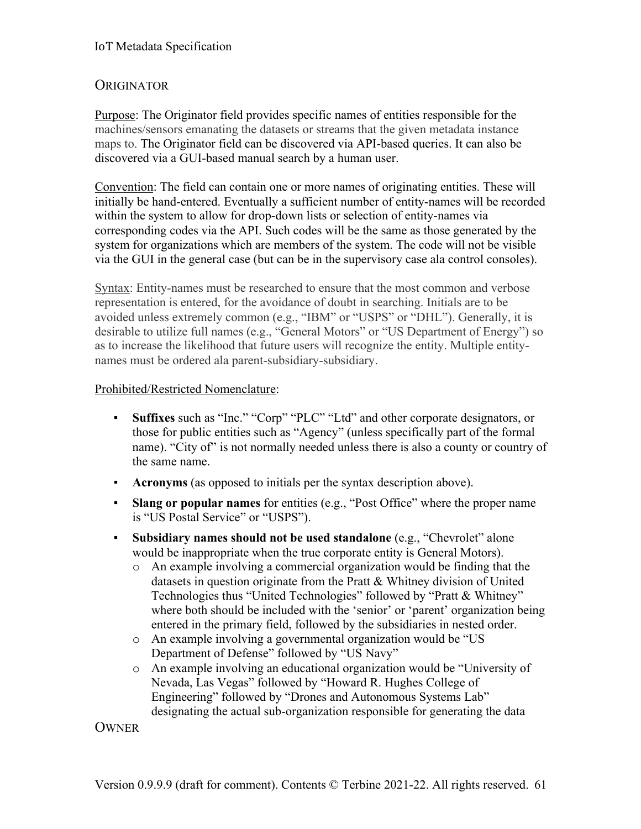## **ORIGINATOR**

Purpose: The Originator field provides specific names of entities responsible for the machines/sensors emanating the datasets or streams that the given metadata instance maps to. The Originator field can be discovered via API-based queries. It can also be discovered via a GUI-based manual search by a human user.

Convention: The field can contain one or more names of originating entities. These will initially be hand-entered. Eventually a sufficient number of entity-names will be recorded within the system to allow for drop-down lists or selection of entity-names via corresponding codes via the API. Such codes will be the same as those generated by the system for organizations which are members of the system. The code will not be visible via the GUI in the general case (but can be in the supervisory case ala control consoles).

Syntax: Entity-names must be researched to ensure that the most common and verbose representation is entered, for the avoidance of doubt in searching. Initials are to be avoided unless extremely common (e.g., "IBM" or "USPS" or "DHL"). Generally, it is desirable to utilize full names (e.g., "General Motors" or "US Department of Energy") so as to increase the likelihood that future users will recognize the entity. Multiple entitynames must be ordered ala parent-subsidiary-subsidiary.

#### Prohibited/Restricted Nomenclature:

- **Suffixes** such as "Inc." "Corp" "PLC" "Ltd" and other corporate designators, or those for public entities such as "Agency" (unless specifically part of the formal name). "City of" is not normally needed unless there is also a county or country of the same name.
- **Acronyms** (as opposed to initials per the syntax description above).
- **Slang or popular names** for entities (e.g., "Post Office" where the proper name is "US Postal Service" or "USPS").
- **Subsidiary names should not be used standalone** (e.g., "Chevrolet" alone would be inappropriate when the true corporate entity is General Motors).
	- o An example involving a commercial organization would be finding that the datasets in question originate from the Pratt & Whitney division of United Technologies thus "United Technologies" followed by "Pratt & Whitney" where both should be included with the 'senior' or 'parent' organization being entered in the primary field, followed by the subsidiaries in nested order.
	- o An example involving a governmental organization would be "US Department of Defense" followed by "US Navy"
	- o An example involving an educational organization would be "University of Nevada, Las Vegas" followed by "Howard R. Hughes College of Engineering" followed by "Drones and Autonomous Systems Lab" designating the actual sub-organization responsible for generating the data

**OWNER**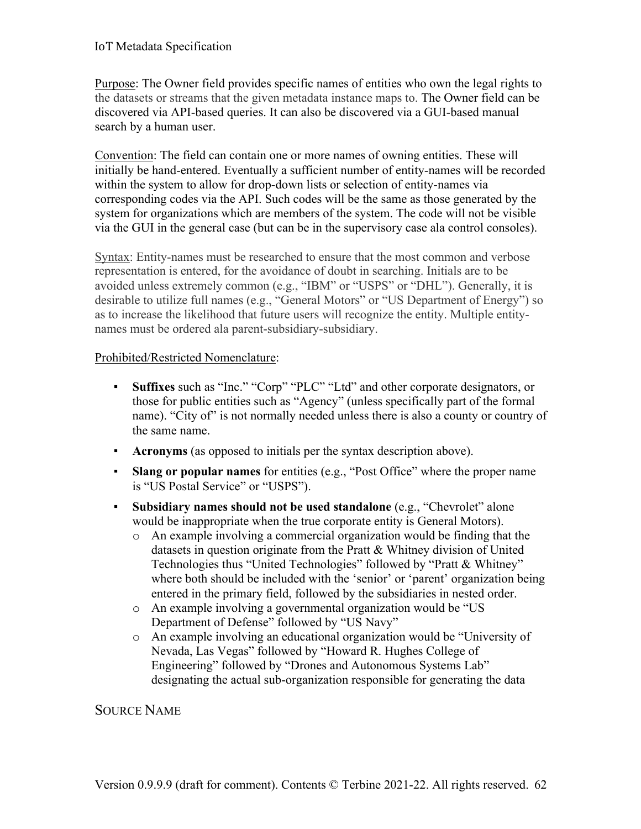Purpose: The Owner field provides specific names of entities who own the legal rights to the datasets or streams that the given metadata instance maps to. The Owner field can be discovered via API-based queries. It can also be discovered via a GUI-based manual search by a human user.

Convention: The field can contain one or more names of owning entities. These will initially be hand-entered. Eventually a sufficient number of entity-names will be recorded within the system to allow for drop-down lists or selection of entity-names via corresponding codes via the API. Such codes will be the same as those generated by the system for organizations which are members of the system. The code will not be visible via the GUI in the general case (but can be in the supervisory case ala control consoles).

Syntax: Entity-names must be researched to ensure that the most common and verbose representation is entered, for the avoidance of doubt in searching. Initials are to be avoided unless extremely common (e.g., "IBM" or "USPS" or "DHL"). Generally, it is desirable to utilize full names (e.g., "General Motors" or "US Department of Energy") so as to increase the likelihood that future users will recognize the entity. Multiple entitynames must be ordered ala parent-subsidiary-subsidiary.

#### Prohibited/Restricted Nomenclature:

- **Suffixes** such as "Inc." "Corp" "PLC" "Ltd" and other corporate designators, or those for public entities such as "Agency" (unless specifically part of the formal name). "City of" is not normally needed unless there is also a county or country of the same name.
- **Acronyms** (as opposed to initials per the syntax description above).
- **Slang or popular names** for entities (e.g., "Post Office" where the proper name is "US Postal Service" or "USPS").
- **Subsidiary names should not be used standalone** (e.g., "Chevrolet" alone would be inappropriate when the true corporate entity is General Motors).
	- o An example involving a commercial organization would be finding that the datasets in question originate from the Pratt & Whitney division of United Technologies thus "United Technologies" followed by "Pratt & Whitney" where both should be included with the 'senior' or 'parent' organization being entered in the primary field, followed by the subsidiaries in nested order.
	- o An example involving a governmental organization would be "US Department of Defense" followed by "US Navy"
	- o An example involving an educational organization would be "University of Nevada, Las Vegas" followed by "Howard R. Hughes College of Engineering" followed by "Drones and Autonomous Systems Lab" designating the actual sub-organization responsible for generating the data

## SOURCE NAME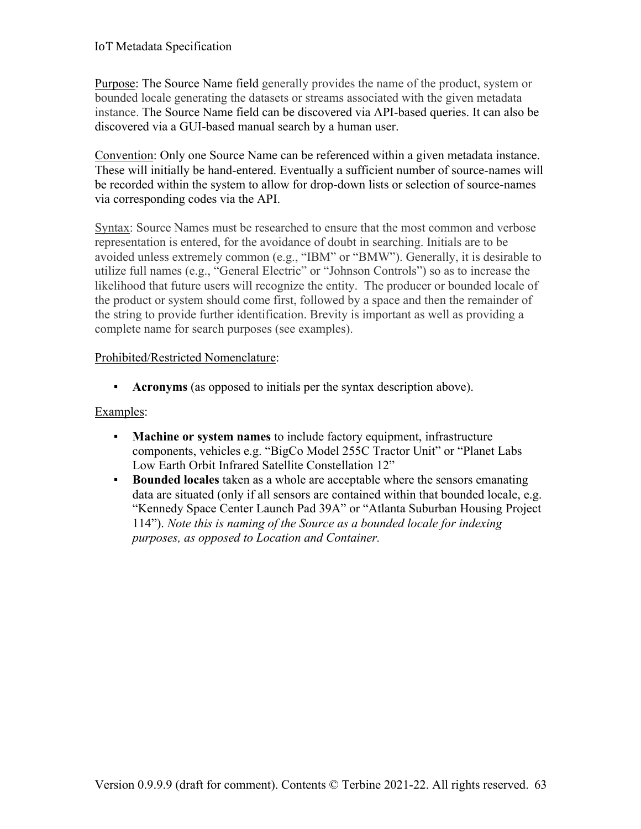Purpose: The Source Name field generally provides the name of the product, system or bounded locale generating the datasets or streams associated with the given metadata instance. The Source Name field can be discovered via API-based queries. It can also be discovered via a GUI-based manual search by a human user.

Convention: Only one Source Name can be referenced within a given metadata instance. These will initially be hand-entered. Eventually a sufficient number of source-names will be recorded within the system to allow for drop-down lists or selection of source-names via corresponding codes via the API.

Syntax: Source Names must be researched to ensure that the most common and verbose representation is entered, for the avoidance of doubt in searching. Initials are to be avoided unless extremely common (e.g., "IBM" or "BMW"). Generally, it is desirable to utilize full names (e.g., "General Electric" or "Johnson Controls") so as to increase the likelihood that future users will recognize the entity. The producer or bounded locale of the product or system should come first, followed by a space and then the remainder of the string to provide further identification. Brevity is important as well as providing a complete name for search purposes (see examples).

#### Prohibited/Restricted Nomenclature:

▪ **Acronyms** (as opposed to initials per the syntax description above).

- **Machine or system names** to include factory equipment, infrastructure components, vehicles e.g. "BigCo Model 255C Tractor Unit" or "Planet Labs Low Earth Orbit Infrared Satellite Constellation 12"
- **Bounded locales** taken as a whole are acceptable where the sensors emanating data are situated (only if all sensors are contained within that bounded locale, e.g. "Kennedy Space Center Launch Pad 39A" or "Atlanta Suburban Housing Project 114"). *Note this is naming of the Source as a bounded locale for indexing purposes, as opposed to Location and Container.*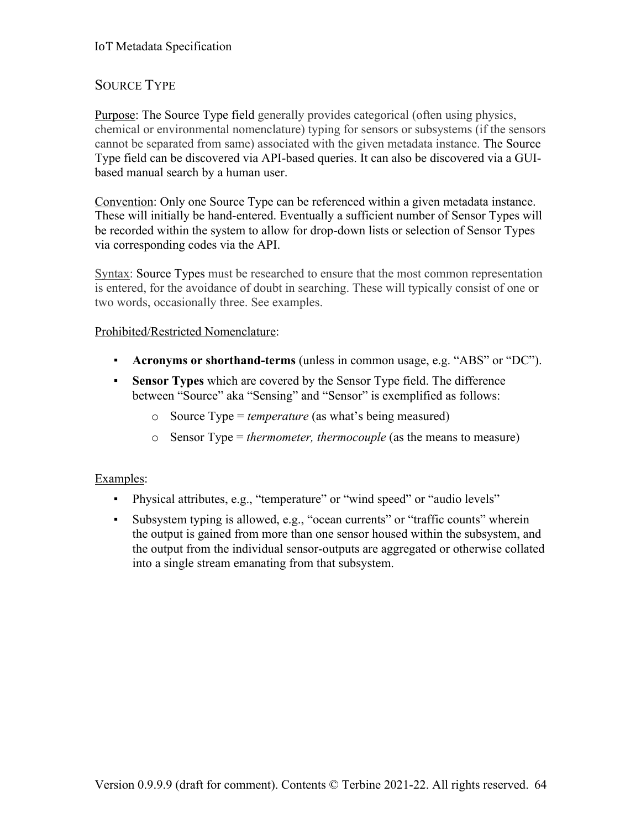## SOURCE TYPE

Purpose: The Source Type field generally provides categorical (often using physics, chemical or environmental nomenclature) typing for sensors or subsystems (if the sensors cannot be separated from same) associated with the given metadata instance. The Source Type field can be discovered via API-based queries. It can also be discovered via a GUIbased manual search by a human user.

Convention: Only one Source Type can be referenced within a given metadata instance. These will initially be hand-entered. Eventually a sufficient number of Sensor Types will be recorded within the system to allow for drop-down lists or selection of Sensor Types via corresponding codes via the API.

Syntax: Source Types must be researched to ensure that the most common representation is entered, for the avoidance of doubt in searching. These will typically consist of one or two words, occasionally three. See examples.

#### Prohibited/Restricted Nomenclature:

- **Acronyms or shorthand-terms** (unless in common usage, e.g. "ABS" or "DC").
- **Sensor Types** which are covered by the Sensor Type field. The difference between "Source" aka "Sensing" and "Sensor" is exemplified as follows:
	- o Source Type = *temperature* (as what's being measured)
	- o Sensor Type = *thermometer, thermocouple* (as the means to measure)

- Physical attributes, e.g., "temperature" or "wind speed" or "audio levels"
- Subsystem typing is allowed, e.g., "ocean currents" or "traffic counts" wherein the output is gained from more than one sensor housed within the subsystem, and the output from the individual sensor-outputs are aggregated or otherwise collated into a single stream emanating from that subsystem.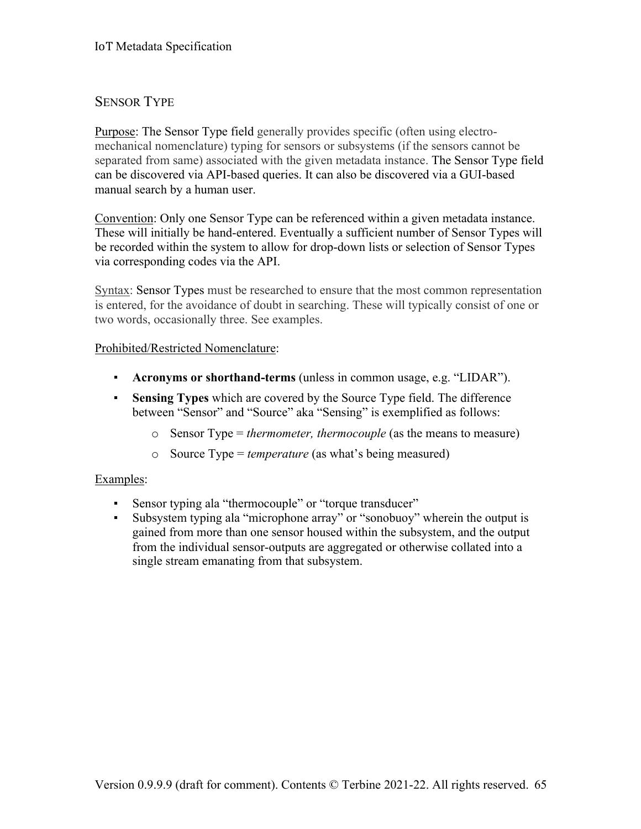## SENSOR TYPE

Purpose: The Sensor Type field generally provides specific (often using electromechanical nomenclature) typing for sensors or subsystems (if the sensors cannot be separated from same) associated with the given metadata instance. The Sensor Type field can be discovered via API-based queries. It can also be discovered via a GUI-based manual search by a human user.

Convention: Only one Sensor Type can be referenced within a given metadata instance. These will initially be hand-entered. Eventually a sufficient number of Sensor Types will be recorded within the system to allow for drop-down lists or selection of Sensor Types via corresponding codes via the API.

Syntax: Sensor Types must be researched to ensure that the most common representation is entered, for the avoidance of doubt in searching. These will typically consist of one or two words, occasionally three. See examples.

#### Prohibited/Restricted Nomenclature:

- **Acronyms or shorthand-terms** (unless in common usage, e.g. "LIDAR").
- **Sensing Types** which are covered by the Source Type field. The difference between "Sensor" and "Source" aka "Sensing" is exemplified as follows:
	- o Sensor Type = *thermometer, thermocouple* (as the means to measure)
	- o Source Type = *temperature* (as what's being measured)

- Sensor typing ala "thermocouple" or "torque transducer"
- Subsystem typing ala "microphone array" or "sonobuoy" wherein the output is gained from more than one sensor housed within the subsystem, and the output from the individual sensor-outputs are aggregated or otherwise collated into a single stream emanating from that subsystem.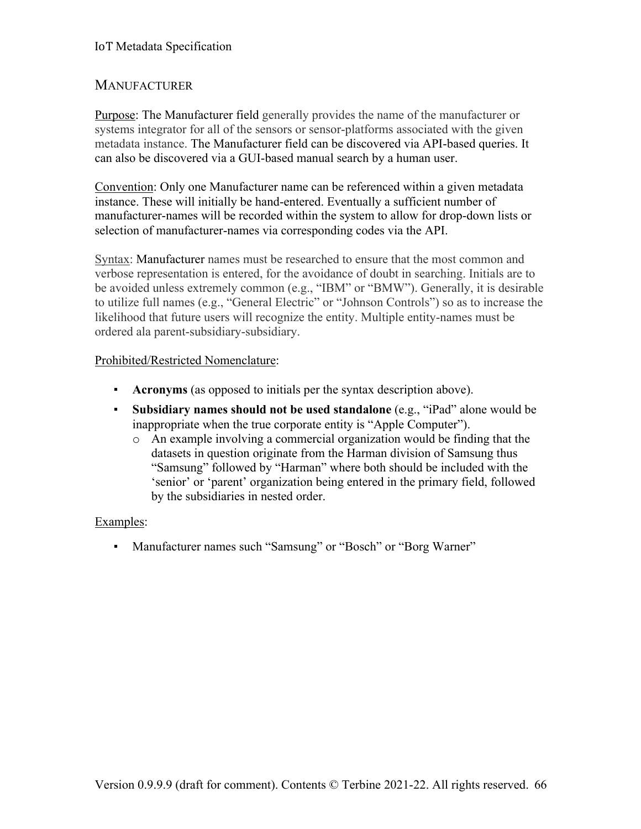## MANUFACTURER

Purpose: The Manufacturer field generally provides the name of the manufacturer or systems integrator for all of the sensors or sensor-platforms associated with the given metadata instance. The Manufacturer field can be discovered via API-based queries. It can also be discovered via a GUI-based manual search by a human user.

Convention: Only one Manufacturer name can be referenced within a given metadata instance. These will initially be hand-entered. Eventually a sufficient number of manufacturer-names will be recorded within the system to allow for drop-down lists or selection of manufacturer-names via corresponding codes via the API.

Syntax: Manufacturer names must be researched to ensure that the most common and verbose representation is entered, for the avoidance of doubt in searching. Initials are to be avoided unless extremely common (e.g., "IBM" or "BMW"). Generally, it is desirable to utilize full names (e.g., "General Electric" or "Johnson Controls") so as to increase the likelihood that future users will recognize the entity. Multiple entity-names must be ordered ala parent-subsidiary-subsidiary.

## Prohibited/Restricted Nomenclature:

- **Acronyms** (as opposed to initials per the syntax description above).
- **Subsidiary names should not be used standalone** (e.g., "iPad" alone would be inappropriate when the true corporate entity is "Apple Computer").
	- o An example involving a commercial organization would be finding that the datasets in question originate from the Harman division of Samsung thus "Samsung" followed by "Harman" where both should be included with the 'senior' or 'parent' organization being entered in the primary field, followed by the subsidiaries in nested order.

## Examples:

▪ Manufacturer names such "Samsung" or "Bosch" or "Borg Warner"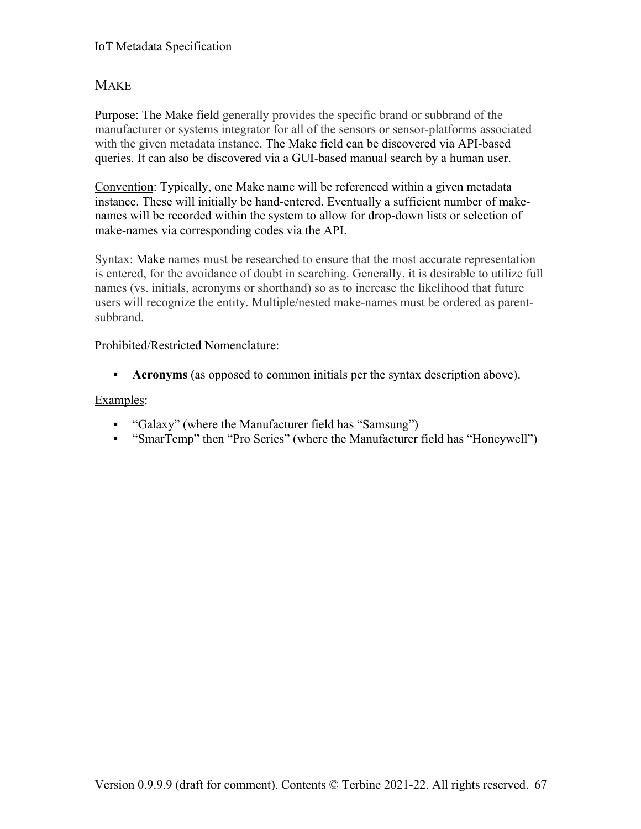## **MAKE**

Purpose: The Make field generally provides the specific brand or subbrand of the manufacturer or systems integrator for all of the sensors or sensor-platforms associated with the given metadata instance. The Make field can be discovered via API-based queries. It can also be discovered via a GUI-based manual search by a human user.

Convention: Typically, one Make name will be referenced within a given metadata instance. These will initially be hand-entered. Eventually a sufficient number of makenames will be recorded within the system to allow for drop-down lists or selection of make-names via corresponding codes via the API.

Syntax: Make names must be researched to ensure that the most accurate representation is entered, for the avoidance of doubt in searching. Generally, it is desirable to utilize full names (vs. initials, acronyms or shorthand) so as to increase the likelihood that future users will recognize the entity. Multiple/nested make-names must be ordered as parentsubbrand.

#### Prohibited/Restricted Nomenclature:

▪ **Acronyms** (as opposed to common initials per the syntax description above).

- "Galaxy" (where the Manufacturer field has "Samsung")
- "SmarTemp" then "Pro Series" (where the Manufacturer field has "Honeywell")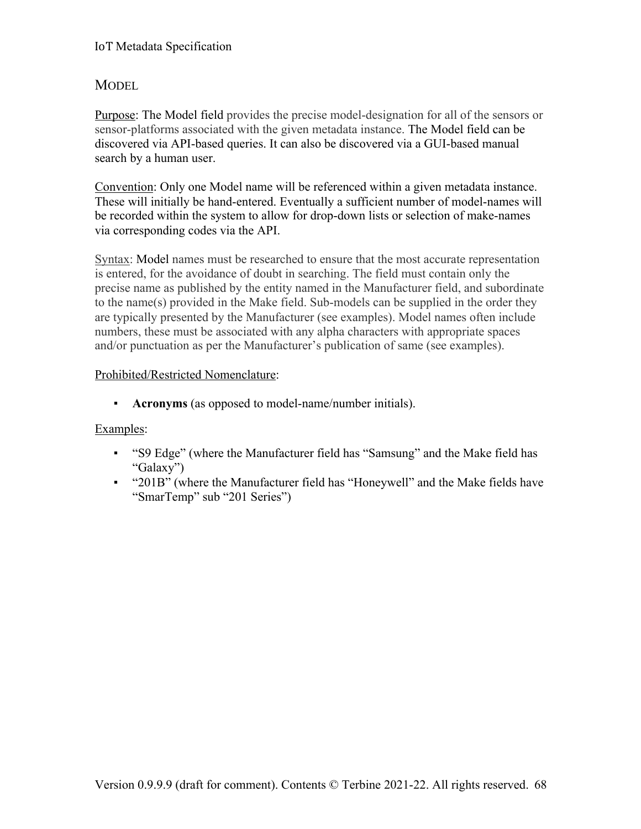## **MODEL**

Purpose: The Model field provides the precise model-designation for all of the sensors or sensor-platforms associated with the given metadata instance. The Model field can be discovered via API-based queries. It can also be discovered via a GUI-based manual search by a human user.

Convention: Only one Model name will be referenced within a given metadata instance. These will initially be hand-entered. Eventually a sufficient number of model-names will be recorded within the system to allow for drop-down lists or selection of make-names via corresponding codes via the API.

Syntax: Model names must be researched to ensure that the most accurate representation is entered, for the avoidance of doubt in searching. The field must contain only the precise name as published by the entity named in the Manufacturer field, and subordinate to the name(s) provided in the Make field. Sub-models can be supplied in the order they are typically presented by the Manufacturer (see examples). Model names often include numbers, these must be associated with any alpha characters with appropriate spaces and/or punctuation as per the Manufacturer's publication of same (see examples).

## Prohibited/Restricted Nomenclature:

▪ **Acronyms** (as opposed to model-name/number initials).

- "S9 Edge" (where the Manufacturer field has "Samsung" and the Make field has "Galaxy")
- "201B" (where the Manufacturer field has "Honeywell" and the Make fields have "SmarTemp" sub "201 Series")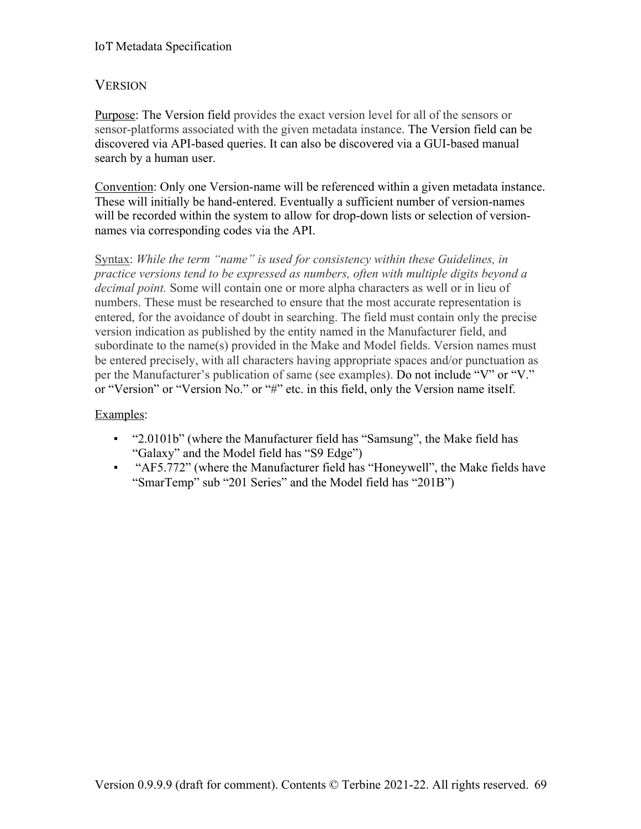## **VERSION**

Purpose: The Version field provides the exact version level for all of the sensors or sensor-platforms associated with the given metadata instance. The Version field can be discovered via API-based queries. It can also be discovered via a GUI-based manual search by a human user.

Convention: Only one Version-name will be referenced within a given metadata instance. These will initially be hand-entered. Eventually a sufficient number of version-names will be recorded within the system to allow for drop-down lists or selection of versionnames via corresponding codes via the API.

Syntax: *While the term "name" is used for consistency within these Guidelines, in practice versions tend to be expressed as numbers, often with multiple digits beyond a decimal point.* Some will contain one or more alpha characters as well or in lieu of numbers. These must be researched to ensure that the most accurate representation is entered, for the avoidance of doubt in searching. The field must contain only the precise version indication as published by the entity named in the Manufacturer field, and subordinate to the name(s) provided in the Make and Model fields. Version names must be entered precisely, with all characters having appropriate spaces and/or punctuation as per the Manufacturer's publication of same (see examples). Do not include "V" or "V." or "Version" or "Version No." or "#" etc. in this field, only the Version name itself.

- "2.0101b" (where the Manufacturer field has "Samsung", the Make field has "Galaxy" and the Model field has "S9 Edge")
- "AF5.772" (where the Manufacturer field has "Honeywell", the Make fields have "SmarTemp" sub "201 Series" and the Model field has "201B")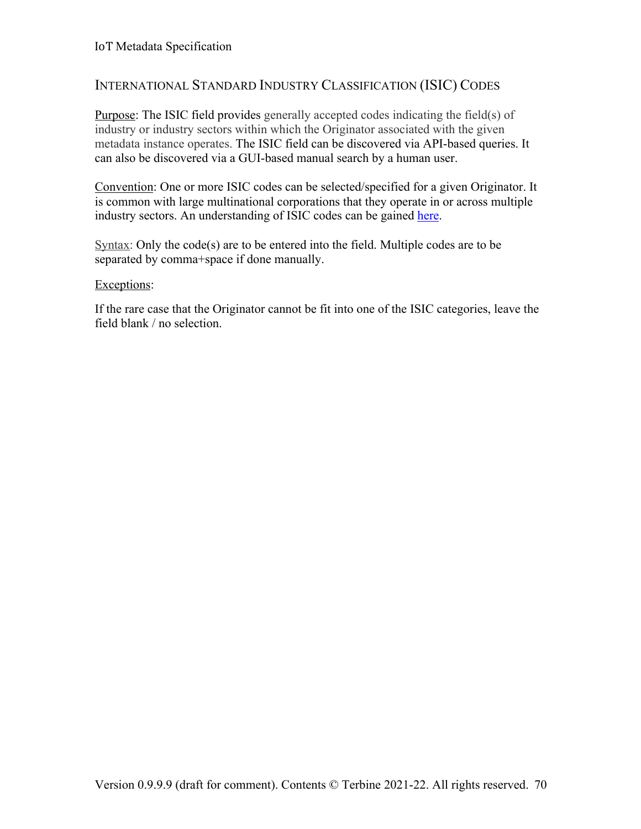## INTERNATIONAL STANDARD INDUSTRY CLASSIFICATION (ISIC) CODES

Purpose: The ISIC field provides generally accepted codes indicating the field(s) of industry or industry sectors within which the Originator associated with the given metadata instance operates. The ISIC field can be discovered via API-based queries. It can also be discovered via a GUI-based manual search by a human user.

Convention: One or more ISIC codes can be selected/specified for a given Originator. It is common with large multinational corporations that they operate in or across multiple industry sectors. An understanding of ISIC codes can be gained here.

Syntax: Only the code(s) are to be entered into the field. Multiple codes are to be separated by comma+space if done manually.

#### Exceptions:

If the rare case that the Originator cannot be fit into one of the ISIC categories, leave the field blank / no selection.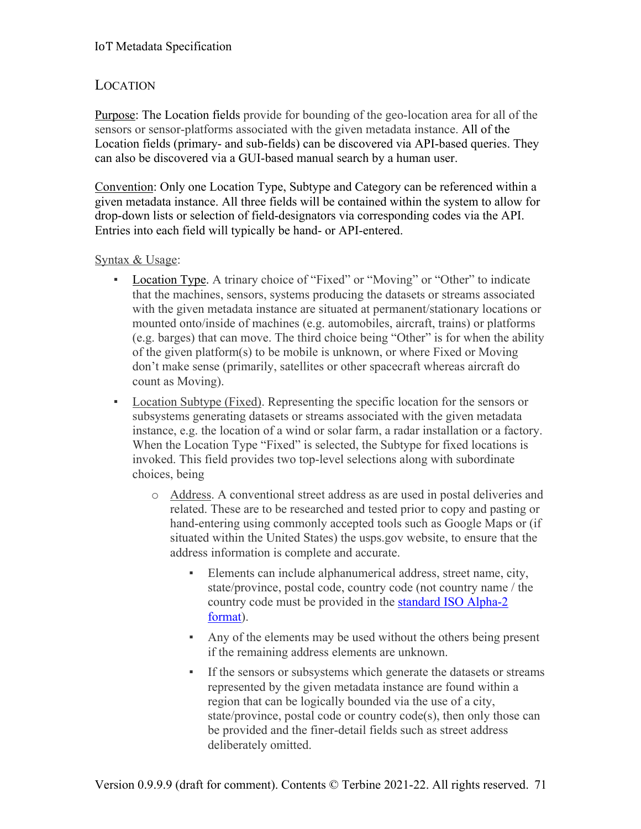# LOCATION

Purpose: The Location fields provide for bounding of the geo-location area for all of the sensors or sensor-platforms associated with the given metadata instance. All of the Location fields (primary- and sub-fields) can be discovered via API-based queries. They can also be discovered via a GUI-based manual search by a human user.

Convention: Only one Location Type, Subtype and Category can be referenced within a given metadata instance. All three fields will be contained within the system to allow for drop-down lists or selection of field-designators via corresponding codes via the API. Entries into each field will typically be hand- or API-entered.

## Syntax & Usage:

- Location Type. A trinary choice of "Fixed" or "Moving" or "Other" to indicate that the machines, sensors, systems producing the datasets or streams associated with the given metadata instance are situated at permanent/stationary locations or mounted onto/inside of machines (e.g. automobiles, aircraft, trains) or platforms (e.g. barges) that can move. The third choice being "Other" is for when the ability of the given platform(s) to be mobile is unknown, or where Fixed or Moving don't make sense (primarily, satellites or other spacecraft whereas aircraft do count as Moving).
- Location Subtype (Fixed). Representing the specific location for the sensors or subsystems generating datasets or streams associated with the given metadata instance, e.g. the location of a wind or solar farm, a radar installation or a factory. When the Location Type "Fixed" is selected, the Subtype for fixed locations is invoked. This field provides two top-level selections along with subordinate choices, being
	- o Address. A conventional street address as are used in postal deliveries and related. These are to be researched and tested prior to copy and pasting or hand-entering using commonly accepted tools such as Google Maps or (if situated within the United States) the usps.gov website, to ensure that the address information is complete and accurate.
		- Elements can include alphanumerical address, street name, city, state/province, postal code, country code (not country name / the country code must be provided in the standard ISO Alpha-2 format).
		- Any of the elements may be used without the others being present if the remaining address elements are unknown.
		- If the sensors or subsystems which generate the datasets or streams represented by the given metadata instance are found within a region that can be logically bounded via the use of a city, state/province, postal code or country code(s), then only those can be provided and the finer-detail fields such as street address deliberately omitted.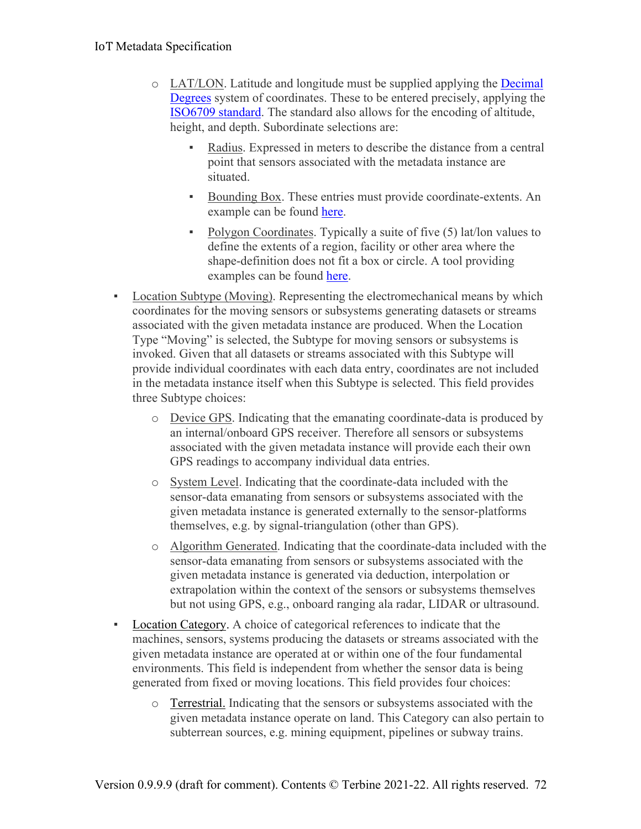- o LAT/LON. Latitude and longitude must be supplied applying the Decimal Degrees system of coordinates. These to be entered precisely, applying the ISO6709 standard. The standard also allows for the encoding of altitude, height, and depth. Subordinate selections are:
	- Radius. Expressed in meters to describe the distance from a central point that sensors associated with the metadata instance are situated.
	- Bounding Box. These entries must provide coordinate-extents. An example can be found here.
	- Polygon Coordinates. Typically a suite of five (5) lat/lon values to define the extents of a region, facility or other area where the shape-definition does not fit a box or circle. A tool providing examples can be found here.
- Location Subtype (Moving). Representing the electromechanical means by which coordinates for the moving sensors or subsystems generating datasets or streams associated with the given metadata instance are produced. When the Location Type "Moving" is selected, the Subtype for moving sensors or subsystems is invoked. Given that all datasets or streams associated with this Subtype will provide individual coordinates with each data entry, coordinates are not included in the metadata instance itself when this Subtype is selected. This field provides three Subtype choices:
	- o Device GPS. Indicating that the emanating coordinate-data is produced by an internal/onboard GPS receiver. Therefore all sensors or subsystems associated with the given metadata instance will provide each their own GPS readings to accompany individual data entries.
	- o System Level. Indicating that the coordinate-data included with the sensor-data emanating from sensors or subsystems associated with the given metadata instance is generated externally to the sensor-platforms themselves, e.g. by signal-triangulation (other than GPS).
	- o Algorithm Generated. Indicating that the coordinate-data included with the sensor-data emanating from sensors or subsystems associated with the given metadata instance is generated via deduction, interpolation or extrapolation within the context of the sensors or subsystems themselves but not using GPS, e.g., onboard ranging ala radar, LIDAR or ultrasound.
- Location Category. A choice of categorical references to indicate that the machines, sensors, systems producing the datasets or streams associated with the given metadata instance are operated at or within one of the four fundamental environments. This field is independent from whether the sensor data is being generated from fixed or moving locations. This field provides four choices:
	- o Terrestrial. Indicating that the sensors or subsystems associated with the given metadata instance operate on land. This Category can also pertain to subterrean sources, e.g. mining equipment, pipelines or subway trains.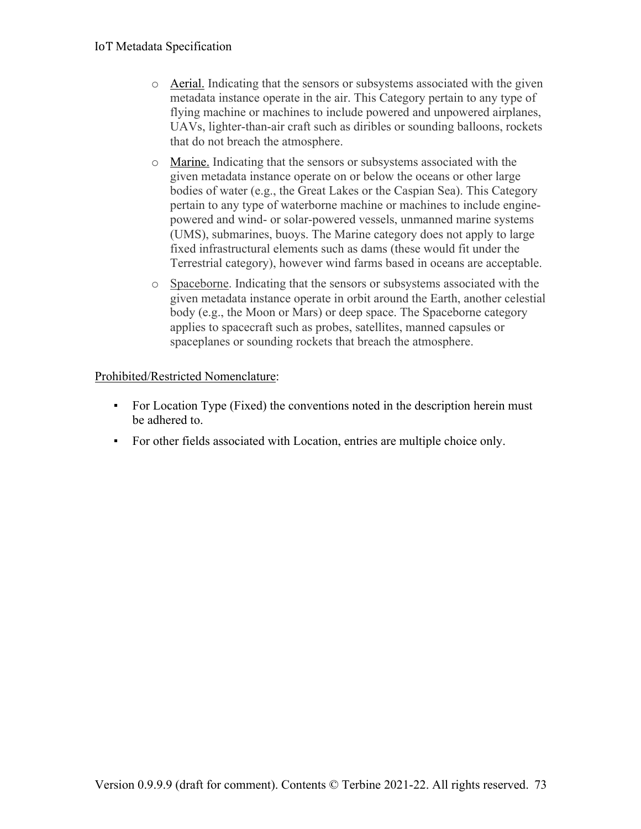- $\circ$  Aerial. Indicating that the sensors or subsystems associated with the given metadata instance operate in the air. This Category pertain to any type of flying machine or machines to include powered and unpowered airplanes, UAVs, lighter-than-air craft such as diribles or sounding balloons, rockets that do not breach the atmosphere.
- o Marine. Indicating that the sensors or subsystems associated with the given metadata instance operate on or below the oceans or other large bodies of water (e.g., the Great Lakes or the Caspian Sea). This Category pertain to any type of waterborne machine or machines to include enginepowered and wind- or solar-powered vessels, unmanned marine systems (UMS), submarines, buoys. The Marine category does not apply to large fixed infrastructural elements such as dams (these would fit under the Terrestrial category), however wind farms based in oceans are acceptable.
- o Spaceborne. Indicating that the sensors or subsystems associated with the given metadata instance operate in orbit around the Earth, another celestial body (e.g., the Moon or Mars) or deep space. The Spaceborne category applies to spacecraft such as probes, satellites, manned capsules or spaceplanes or sounding rockets that breach the atmosphere.

#### Prohibited/Restricted Nomenclature:

- For Location Type (Fixed) the conventions noted in the description herein must be adhered to.
- For other fields associated with Location, entries are multiple choice only.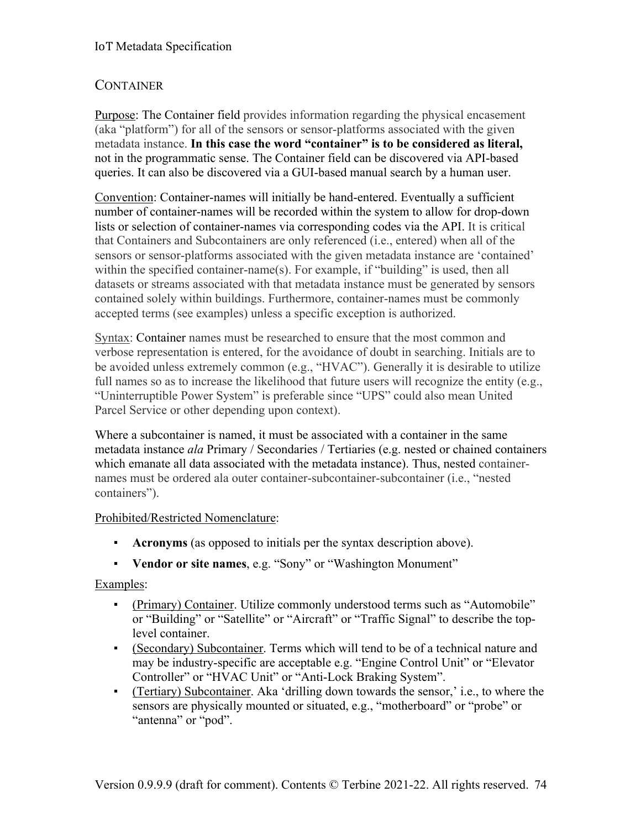## **CONTAINER**

Purpose: The Container field provides information regarding the physical encasement (aka "platform") for all of the sensors or sensor-platforms associated with the given metadata instance. **In this case the word "container" is to be considered as literal,**  not in the programmatic sense. The Container field can be discovered via API-based queries. It can also be discovered via a GUI-based manual search by a human user.

Convention: Container-names will initially be hand-entered. Eventually a sufficient number of container-names will be recorded within the system to allow for drop-down lists or selection of container-names via corresponding codes via the API. It is critical that Containers and Subcontainers are only referenced (i.e., entered) when all of the sensors or sensor-platforms associated with the given metadata instance are 'contained' within the specified container-name(s). For example, if "building" is used, then all datasets or streams associated with that metadata instance must be generated by sensors contained solely within buildings. Furthermore, container-names must be commonly accepted terms (see examples) unless a specific exception is authorized.

Syntax: Container names must be researched to ensure that the most common and verbose representation is entered, for the avoidance of doubt in searching. Initials are to be avoided unless extremely common (e.g., "HVAC"). Generally it is desirable to utilize full names so as to increase the likelihood that future users will recognize the entity (e.g., "Uninterruptible Power System" is preferable since "UPS" could also mean United Parcel Service or other depending upon context).

Where a subcontainer is named, it must be associated with a container in the same metadata instance *ala* Primary / Secondaries / Tertiaries (e.g. nested or chained containers which emanate all data associated with the metadata instance). Thus, nested containernames must be ordered ala outer container-subcontainer-subcontainer (i.e., "nested containers").

#### Prohibited/Restricted Nomenclature:

- **Acronyms** (as opposed to initials per the syntax description above).
- **Vendor or site names**, e.g. "Sony" or "Washington Monument"

#### Examples:

- (Primary) Container. Utilize commonly understood terms such as "Automobile" or "Building" or "Satellite" or "Aircraft" or "Traffic Signal" to describe the toplevel container.
- (Secondary) Subcontainer. Terms which will tend to be of a technical nature and may be industry-specific are acceptable e.g. "Engine Control Unit" or "Elevator Controller" or "HVAC Unit" or "Anti-Lock Braking System".
- (Tertiary) Subcontainer. Aka 'drilling down towards the sensor,' i.e., to where the sensors are physically mounted or situated, e.g., "motherboard" or "probe" or "antenna" or "pod".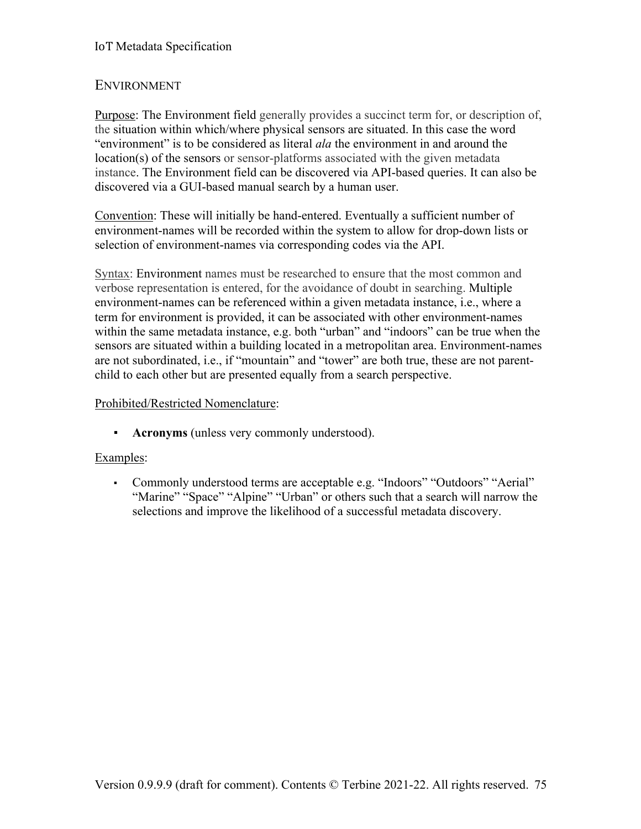#### IoT Metadata Specification

### ENVIRONMENT

Purpose: The Environment field generally provides a succinct term for, or description of, the situation within which/where physical sensors are situated. In this case the word "environment" is to be considered as literal *ala* the environment in and around the location(s) of the sensors or sensor-platforms associated with the given metadata instance. The Environment field can be discovered via API-based queries. It can also be discovered via a GUI-based manual search by a human user.

Convention: These will initially be hand-entered. Eventually a sufficient number of environment-names will be recorded within the system to allow for drop-down lists or selection of environment-names via corresponding codes via the API.

Syntax: Environment names must be researched to ensure that the most common and verbose representation is entered, for the avoidance of doubt in searching. Multiple environment-names can be referenced within a given metadata instance, i.e., where a term for environment is provided, it can be associated with other environment-names within the same metadata instance, e.g. both "urban" and "indoors" can be true when the sensors are situated within a building located in a metropolitan area. Environment-names are not subordinated, i.e., if "mountain" and "tower" are both true, these are not parentchild to each other but are presented equally from a search perspective.

#### Prohibited/Restricted Nomenclature:

▪ **Acronyms** (unless very commonly understood).

#### Examples:

▪ Commonly understood terms are acceptable e.g. "Indoors" "Outdoors" "Aerial" "Marine" "Space" "Alpine" "Urban" or others such that a search will narrow the selections and improve the likelihood of a successful metadata discovery.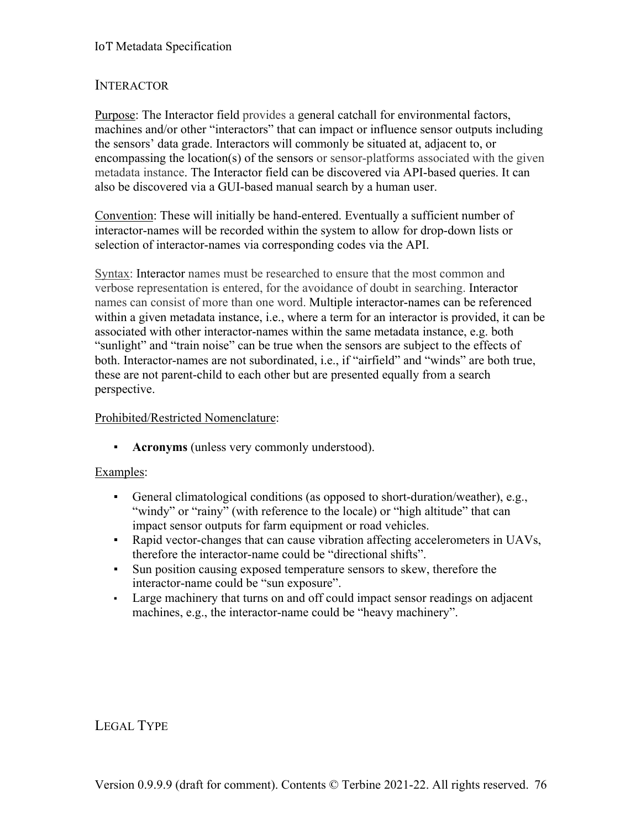### **INTERACTOR**

Purpose: The Interactor field provides a general catchall for environmental factors, machines and/or other "interactors" that can impact or influence sensor outputs including the sensors' data grade. Interactors will commonly be situated at, adjacent to, or encompassing the location(s) of the sensors or sensor-platforms associated with the given metadata instance. The Interactor field can be discovered via API-based queries. It can also be discovered via a GUI-based manual search by a human user.

Convention: These will initially be hand-entered. Eventually a sufficient number of interactor-names will be recorded within the system to allow for drop-down lists or selection of interactor-names via corresponding codes via the API.

Syntax: Interactor names must be researched to ensure that the most common and verbose representation is entered, for the avoidance of doubt in searching. Interactor names can consist of more than one word. Multiple interactor-names can be referenced within a given metadata instance, i.e., where a term for an interactor is provided, it can be associated with other interactor-names within the same metadata instance, e.g. both "sunlight" and "train noise" can be true when the sensors are subject to the effects of both. Interactor-names are not subordinated, i.e., if "airfield" and "winds" are both true, these are not parent-child to each other but are presented equally from a search perspective.

#### Prohibited/Restricted Nomenclature:

▪ **Acronyms** (unless very commonly understood).

#### Examples:

- General climatological conditions (as opposed to short-duration/weather), e.g., "windy" or "rainy" (with reference to the locale) or "high altitude" that can impact sensor outputs for farm equipment or road vehicles.
- Rapid vector-changes that can cause vibration affecting accelerometers in UAVs, therefore the interactor-name could be "directional shifts".
- Sun position causing exposed temperature sensors to skew, therefore the interactor-name could be "sun exposure".
- Large machinery that turns on and off could impact sensor readings on adjacent machines, e.g., the interactor-name could be "heavy machinery".

LEGAL TYPE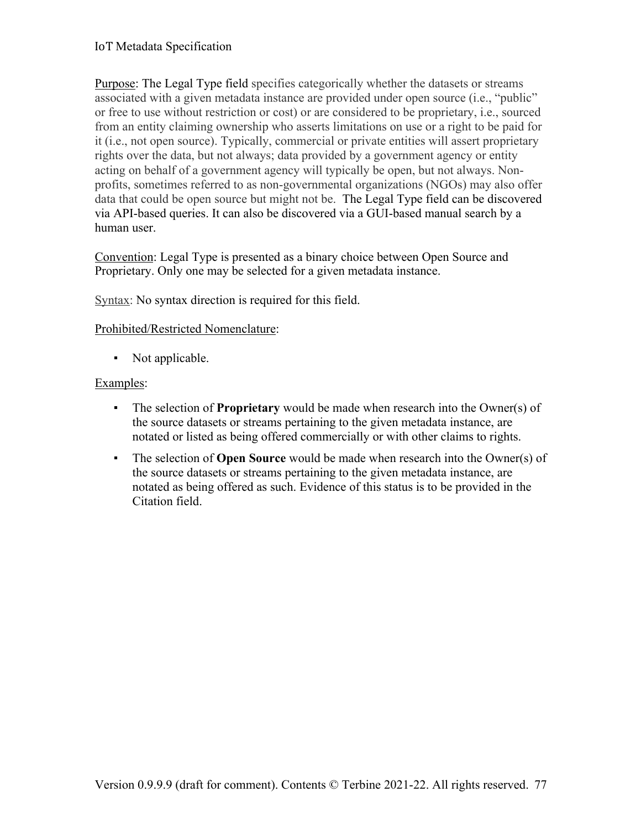Purpose: The Legal Type field specifies categorically whether the datasets or streams associated with a given metadata instance are provided under open source (i.e., "public" or free to use without restriction or cost) or are considered to be proprietary, i.e., sourced from an entity claiming ownership who asserts limitations on use or a right to be paid for it (i.e., not open source). Typically, commercial or private entities will assert proprietary rights over the data, but not always; data provided by a government agency or entity acting on behalf of a government agency will typically be open, but not always. Nonprofits, sometimes referred to as non-governmental organizations (NGOs) may also offer data that could be open source but might not be. The Legal Type field can be discovered via API-based queries. It can also be discovered via a GUI-based manual search by a human user.

Convention: Legal Type is presented as a binary choice between Open Source and Proprietary. Only one may be selected for a given metadata instance.

Syntax: No syntax direction is required for this field.

#### Prohibited/Restricted Nomenclature:

• Not applicable.

#### Examples:

- The selection of **Proprietary** would be made when research into the Owner(s) of the source datasets or streams pertaining to the given metadata instance, are notated or listed as being offered commercially or with other claims to rights.
- The selection of **Open Source** would be made when research into the Owner(s) of the source datasets or streams pertaining to the given metadata instance, are notated as being offered as such. Evidence of this status is to be provided in the Citation field.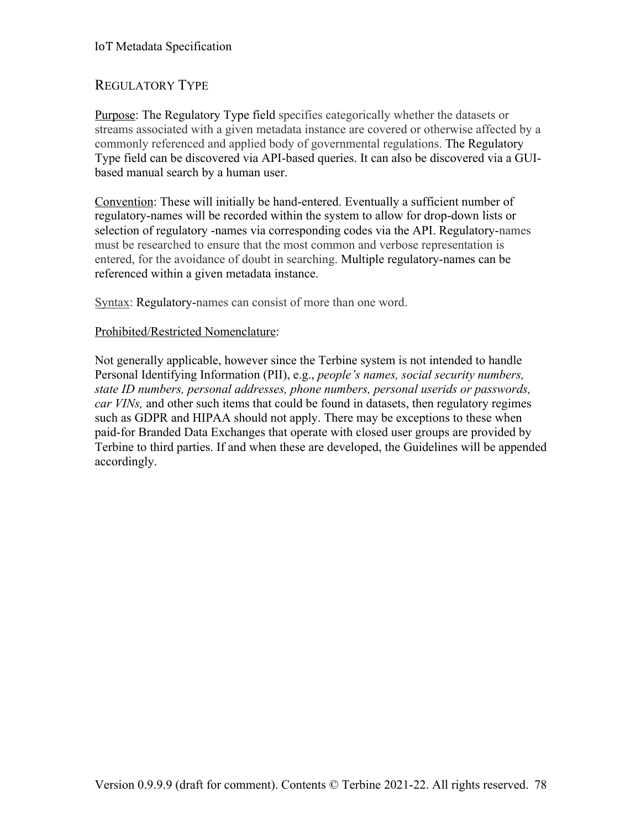#### IoT Metadata Specification

### REGULATORY TYPE

Purpose: The Regulatory Type field specifies categorically whether the datasets or streams associated with a given metadata instance are covered or otherwise affected by a commonly referenced and applied body of governmental regulations. The Regulatory Type field can be discovered via API-based queries. It can also be discovered via a GUIbased manual search by a human user.

Convention: These will initially be hand-entered. Eventually a sufficient number of regulatory-names will be recorded within the system to allow for drop-down lists or selection of regulatory -names via corresponding codes via the API. Regulatory-names must be researched to ensure that the most common and verbose representation is entered, for the avoidance of doubt in searching. Multiple regulatory-names can be referenced within a given metadata instance.

Syntax: Regulatory-names can consist of more than one word.

#### Prohibited/Restricted Nomenclature:

Not generally applicable, however since the Terbine system is not intended to handle Personal Identifying Information (PII), e.g., *people's names, social security numbers, state ID numbers, personal addresses, phone numbers, personal userids or passwords, car VINs,* and other such items that could be found in datasets, then regulatory regimes such as GDPR and HIPAA should not apply. There may be exceptions to these when paid-for Branded Data Exchanges that operate with closed user groups are provided by Terbine to third parties. If and when these are developed, the Guidelines will be appended accordingly.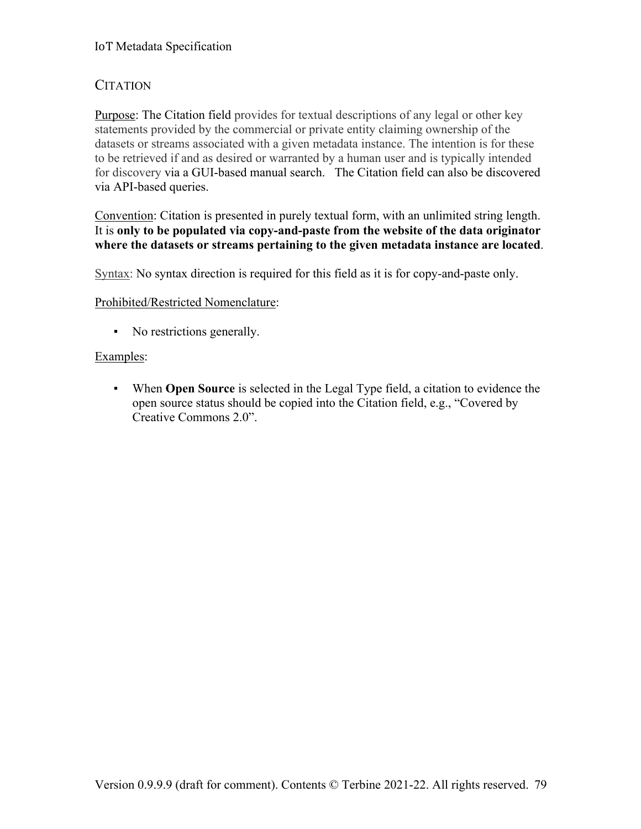## CITATION

Purpose: The Citation field provides for textual descriptions of any legal or other key statements provided by the commercial or private entity claiming ownership of the datasets or streams associated with a given metadata instance. The intention is for these to be retrieved if and as desired or warranted by a human user and is typically intended for discovery via a GUI-based manual search. The Citation field can also be discovered via API-based queries.

Convention: Citation is presented in purely textual form, with an unlimited string length. It is **only to be populated via copy-and-paste from the website of the data originator where the datasets or streams pertaining to the given metadata instance are located**.

Syntax: No syntax direction is required for this field as it is for copy-and-paste only.

#### Prohibited/Restricted Nomenclature:

▪ No restrictions generally.

#### Examples:

▪ When **Open Source** is selected in the Legal Type field, a citation to evidence the open source status should be copied into the Citation field, e.g., "Covered by Creative Commons 2.0".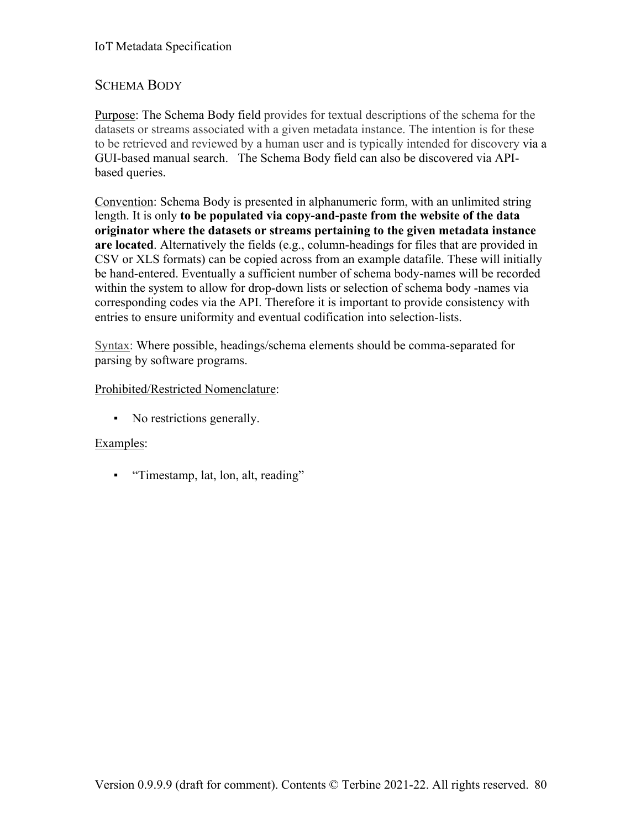## SCHEMA BODY

Purpose: The Schema Body field provides for textual descriptions of the schema for the datasets or streams associated with a given metadata instance. The intention is for these to be retrieved and reviewed by a human user and is typically intended for discovery via a GUI-based manual search. The Schema Body field can also be discovered via APIbased queries.

Convention: Schema Body is presented in alphanumeric form, with an unlimited string length. It is only **to be populated via copy-and-paste from the website of the data originator where the datasets or streams pertaining to the given metadata instance are located**. Alternatively the fields (e.g., column-headings for files that are provided in CSV or XLS formats) can be copied across from an example datafile. These will initially be hand-entered. Eventually a sufficient number of schema body-names will be recorded within the system to allow for drop-down lists or selection of schema body -names via corresponding codes via the API. Therefore it is important to provide consistency with entries to ensure uniformity and eventual codification into selection-lists.

Syntax: Where possible, headings/schema elements should be comma-separated for parsing by software programs.

#### Prohibited/Restricted Nomenclature:

▪ No restrictions generally.

#### Examples:

▪ "Timestamp, lat, lon, alt, reading"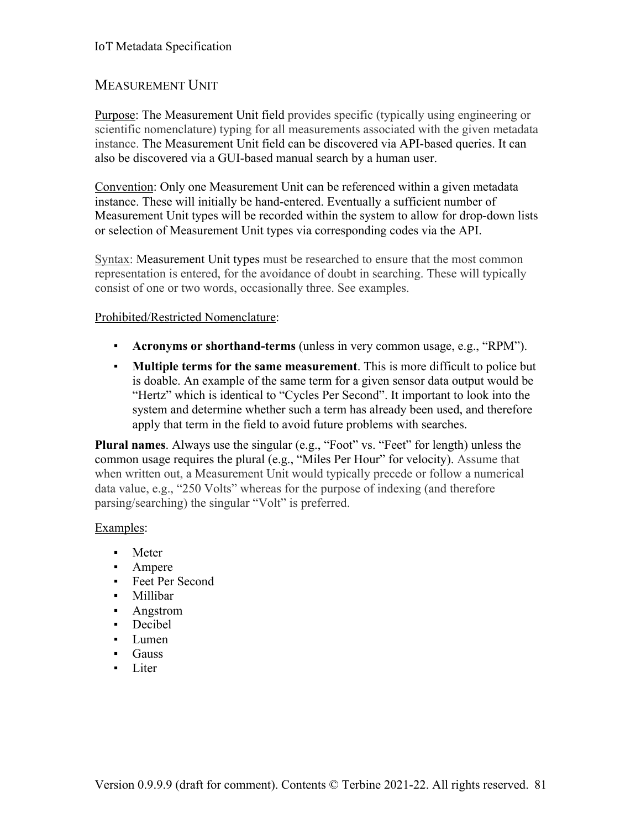## MEASUREMENT UNIT

Purpose: The Measurement Unit field provides specific (typically using engineering or scientific nomenclature) typing for all measurements associated with the given metadata instance. The Measurement Unit field can be discovered via API-based queries. It can also be discovered via a GUI-based manual search by a human user.

Convention: Only one Measurement Unit can be referenced within a given metadata instance. These will initially be hand-entered. Eventually a sufficient number of Measurement Unit types will be recorded within the system to allow for drop-down lists or selection of Measurement Unit types via corresponding codes via the API.

Syntax: Measurement Unit types must be researched to ensure that the most common representation is entered, for the avoidance of doubt in searching. These will typically consist of one or two words, occasionally three. See examples.

#### Prohibited/Restricted Nomenclature:

- **Acronyms or shorthand-terms** (unless in very common usage, e.g., "RPM").
- **Multiple terms for the same measurement**. This is more difficult to police but is doable. An example of the same term for a given sensor data output would be "Hertz" which is identical to "Cycles Per Second". It important to look into the system and determine whether such a term has already been used, and therefore apply that term in the field to avoid future problems with searches.

**Plural names**. Always use the singular (e.g., "Foot" vs. "Feet" for length) unless the common usage requires the plural (e.g., "Miles Per Hour" for velocity). Assume that when written out, a Measurement Unit would typically precede or follow a numerical data value, e.g., "250 Volts" whereas for the purpose of indexing (and therefore parsing/searching) the singular "Volt" is preferred.

#### Examples:

- Meter
- Ampere
- Feet Per Second
- Millibar
- Angstrom
- Decibel
- Lumen
- Gauss
- Liter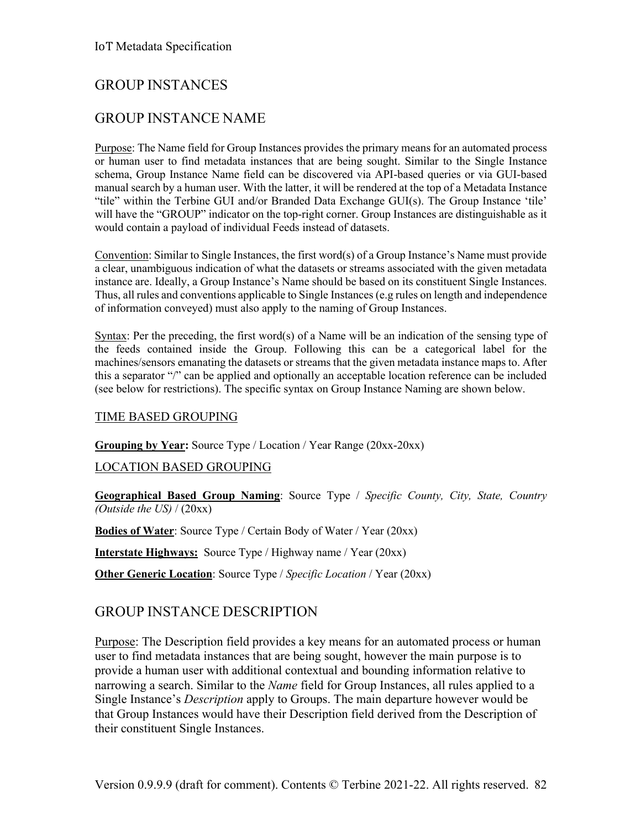## GROUP INSTANCES

## GROUP INSTANCE NAME

Purpose: The Name field for Group Instances provides the primary means for an automated process or human user to find metadata instances that are being sought. Similar to the Single Instance schema, Group Instance Name field can be discovered via API-based queries or via GUI-based manual search by a human user. With the latter, it will be rendered at the top of a Metadata Instance "tile" within the Terbine GUI and/or Branded Data Exchange GUI(s). The Group Instance 'tile' will have the "GROUP" indicator on the top-right corner. Group Instances are distinguishable as it would contain a payload of individual Feeds instead of datasets.

Convention: Similar to Single Instances, the first word(s) of a Group Instance's Name must provide a clear, unambiguous indication of what the datasets or streams associated with the given metadata instance are. Ideally, a Group Instance's Name should be based on its constituent Single Instances. Thus, all rules and conventions applicable to Single Instances (e.g rules on length and independence of information conveyed) must also apply to the naming of Group Instances.

Syntax: Per the preceding, the first word(s) of a Name will be an indication of the sensing type of the feeds contained inside the Group. Following this can be a categorical label for the machines/sensors emanating the datasets or streams that the given metadata instance maps to. After this a separator "/" can be applied and optionally an acceptable location reference can be included (see below for restrictions). The specific syntax on Group Instance Naming are shown below.

#### TIME BASED GROUPING

#### **Grouping by Year:** Source Type / Location / Year Range (20xx-20xx)

#### LOCATION BASED GROUPING

**Geographical Based Group Naming**: Source Type / *Specific County, City, State, Country (Outside the US)* / (20xx)

**Bodies of Water**: Source Type / Certain Body of Water / Year (20xx)

**Interstate Highways:** Source Type / Highway name / Year (20xx)

**Other Generic Location**: Source Type / *Specific Location* / Year (20xx)

### GROUP INSTANCE DESCRIPTION

Purpose: The Description field provides a key means for an automated process or human user to find metadata instances that are being sought, however the main purpose is to provide a human user with additional contextual and bounding information relative to narrowing a search. Similar to the *Name* field for Group Instances, all rules applied to a Single Instance's *Description* apply to Groups. The main departure however would be that Group Instances would have their Description field derived from the Description of their constituent Single Instances.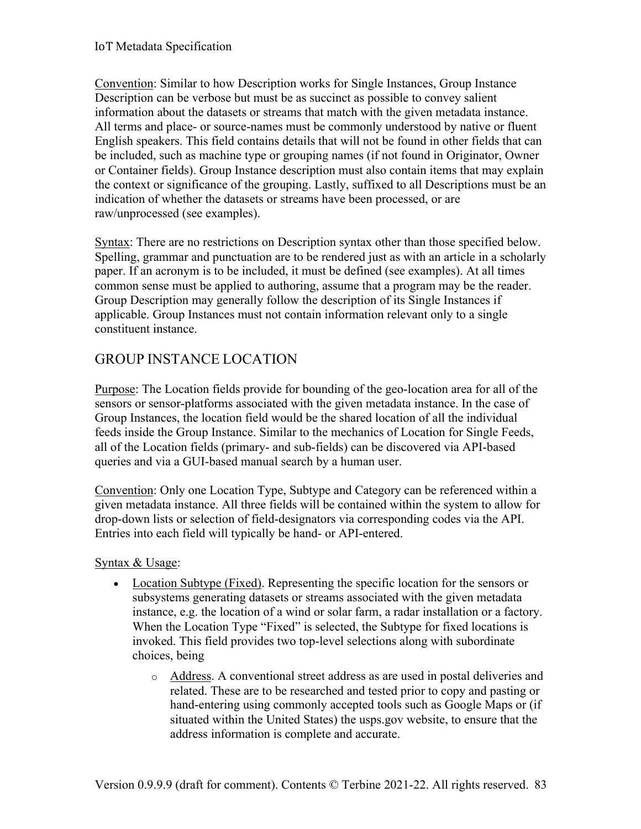Convention: Similar to how Description works for Single Instances, Group Instance Description can be verbose but must be as succinct as possible to convey salient information about the datasets or streams that match with the given metadata instance. All terms and place- or source-names must be commonly understood by native or fluent English speakers. This field contains details that will not be found in other fields that can be included, such as machine type or grouping names (if not found in Originator, Owner or Container fields). Group Instance description must also contain items that may explain the context or significance of the grouping. Lastly, suffixed to all Descriptions must be an indication of whether the datasets or streams have been processed, or are raw/unprocessed (see examples).

Syntax: There are no restrictions on Description syntax other than those specified below. Spelling, grammar and punctuation are to be rendered just as with an article in a scholarly paper. If an acronym is to be included, it must be defined (see examples). At all times common sense must be applied to authoring, assume that a program may be the reader. Group Description may generally follow the description of its Single Instances if applicable. Group Instances must not contain information relevant only to a single constituent instance.

# GROUP INSTANCE LOCATION

Purpose: The Location fields provide for bounding of the geo-location area for all of the sensors or sensor-platforms associated with the given metadata instance. In the case of Group Instances, the location field would be the shared location of all the individual feeds inside the Group Instance. Similar to the mechanics of Location for Single Feeds, all of the Location fields (primary- and sub-fields) can be discovered via API-based queries and via a GUI-based manual search by a human user.

Convention: Only one Location Type, Subtype and Category can be referenced within a given metadata instance. All three fields will be contained within the system to allow for drop-down lists or selection of field-designators via corresponding codes via the API. Entries into each field will typically be hand- or API-entered.

Syntax & Usage:

- Location Subtype (Fixed). Representing the specific location for the sensors or subsystems generating datasets or streams associated with the given metadata instance, e.g. the location of a wind or solar farm, a radar installation or a factory. When the Location Type "Fixed" is selected, the Subtype for fixed locations is invoked. This field provides two top-level selections along with subordinate choices, being
	- o Address. A conventional street address as are used in postal deliveries and related. These are to be researched and tested prior to copy and pasting or hand-entering using commonly accepted tools such as Google Maps or (if situated within the United States) the usps.gov website, to ensure that the address information is complete and accurate.